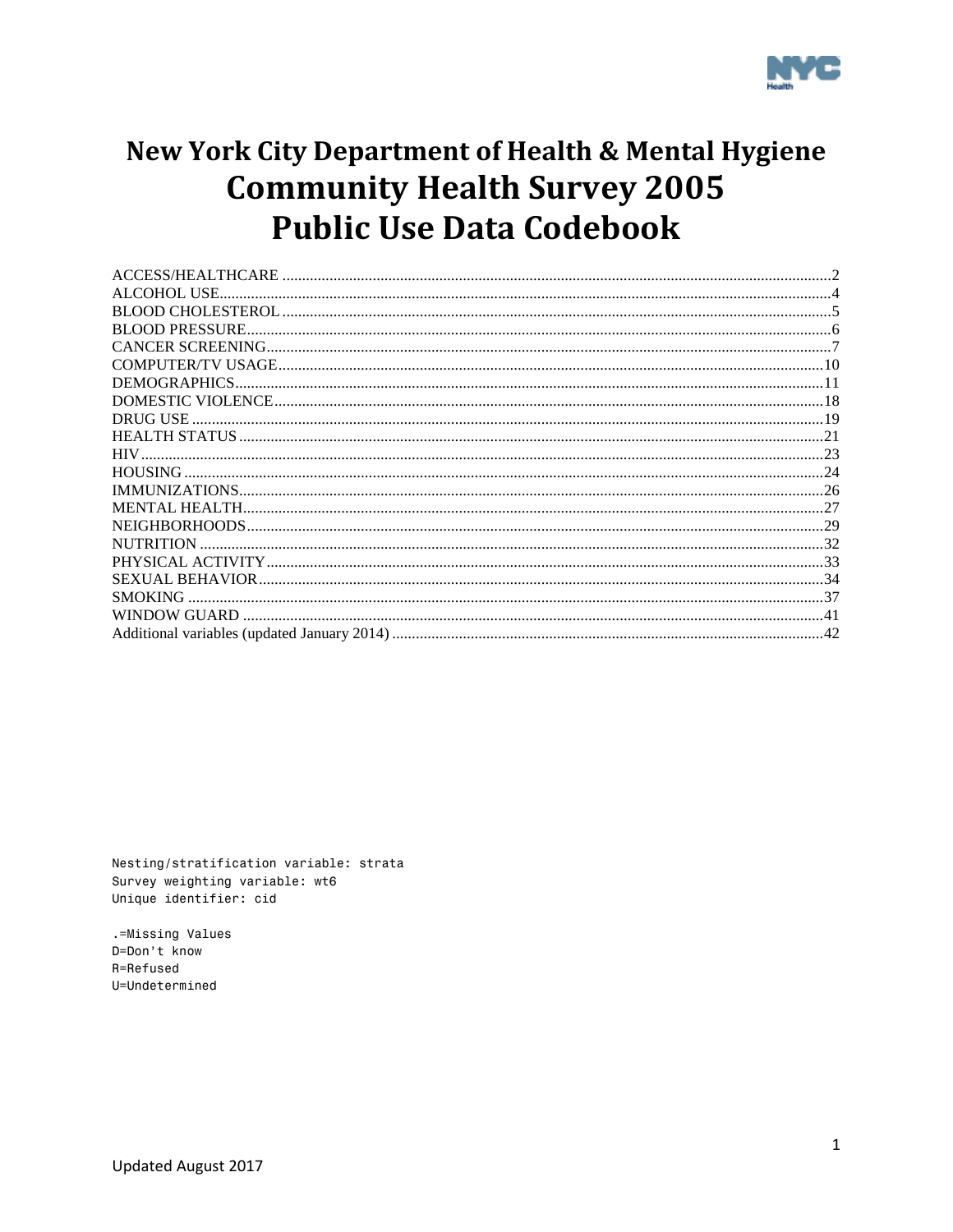

# New York City Department of Health & Mental Hygiene **Community Health Survey 2005 Public Use Data Codebook**

| <b>NUTRITION</b> |  |
|------------------|--|
|                  |  |
|                  |  |
| SMOKING          |  |
|                  |  |
|                  |  |

Nesting/stratification variable: strata Survey weighting variable: wt6 Unique identifier: cid

.=Missing Values D=Don't know R=Refused U=Undetermined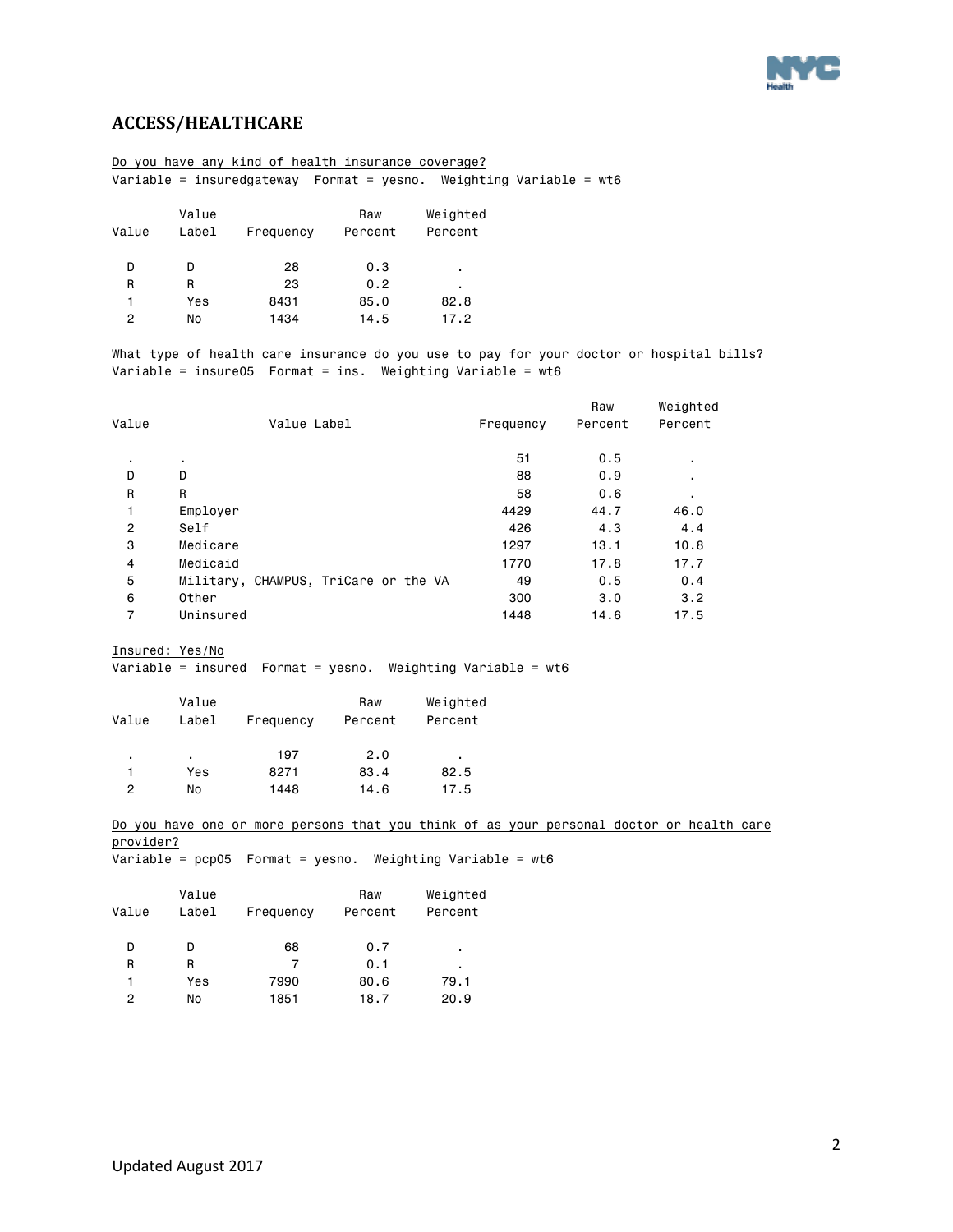

### <span id="page-1-0"></span>**ACCESS/HEALTHCARE**

|                |                                                                       |                   | Do you have any kind of health insurance coverage?              |          |           |         |                                                                                         |  |  |
|----------------|-----------------------------------------------------------------------|-------------------|-----------------------------------------------------------------|----------|-----------|---------|-----------------------------------------------------------------------------------------|--|--|
|                | Variable = insuredgateway  Format = yesno. Weighting Variable = $wt6$ |                   |                                                                 |          |           |         |                                                                                         |  |  |
|                |                                                                       |                   |                                                                 |          |           |         |                                                                                         |  |  |
|                | Value                                                                 |                   | Raw                                                             | Weighted |           |         |                                                                                         |  |  |
| Value          | Label                                                                 | Frequency Percent |                                                                 | Percent  |           |         |                                                                                         |  |  |
| D              | D                                                                     | 28                | 0.3                                                             |          |           |         |                                                                                         |  |  |
| R              | R                                                                     | 23                | 0.2                                                             |          |           |         |                                                                                         |  |  |
| 1              | Yes                                                                   | 8431              | 85.0                                                            | 82.8     |           |         |                                                                                         |  |  |
| $\overline{c}$ | No                                                                    | 1434              | 14.5                                                            | 17.2     |           |         |                                                                                         |  |  |
|                |                                                                       |                   |                                                                 |          |           |         |                                                                                         |  |  |
|                |                                                                       |                   |                                                                 |          |           |         | What type of health care insurance do you use to pay for your doctor or hospital bills? |  |  |
|                |                                                                       |                   | Variable = insure05    Format = ins. Weighting Variable = $wt6$ |          |           |         |                                                                                         |  |  |
|                |                                                                       |                   |                                                                 |          |           |         |                                                                                         |  |  |
|                |                                                                       |                   |                                                                 |          |           | Raw     | Weighted                                                                                |  |  |
| Value          |                                                                       | Value Label       |                                                                 |          | Frequency | Percent | Percent                                                                                 |  |  |
|                |                                                                       |                   |                                                                 |          |           |         |                                                                                         |  |  |
| ٠              |                                                                       |                   |                                                                 |          | 51        | 0.5     |                                                                                         |  |  |
| D              | D                                                                     |                   |                                                                 |          | 88        | 0.9     |                                                                                         |  |  |
| $\mathsf{R}$   | R                                                                     |                   |                                                                 |          | 58        | 0.6     |                                                                                         |  |  |
| 1              | Employer                                                              |                   |                                                                 |          | 4429      | 44.7    | 46.0                                                                                    |  |  |
| $\overline{c}$ | Self                                                                  |                   |                                                                 |          | 426       | 4.3     | 4.4                                                                                     |  |  |
| 3              | Medicare                                                              |                   |                                                                 |          | 1297      | 13.1    | 10.8                                                                                    |  |  |
| 4              | Medicaid                                                              |                   |                                                                 |          | 1770      | 17.8    | 17.7                                                                                    |  |  |
| 5              |                                                                       |                   | Military, CHAMPUS, TriCare or the VA                            |          | 49        | 0.5     | 0.4                                                                                     |  |  |

Insured: Yes/No

Variable = insured Format = yesno. Weighting Variable = wt6

| Value | Value<br>Label | Frequency | Raw<br>Percent | Weighted<br>Percent |
|-------|----------------|-----------|----------------|---------------------|
| ٠     | ٠              | 197       | 2.0            | ٠                   |
| 1     | Yes            | 8271      | 83.4           | 82.5                |
| 2     | No             | 1448      | 14.6           | 17.5                |

Do you have one or more persons that you think of as your personal doctor or health care provider?  $\overline{Variable}$  = pcp05 Format = yesno. Weighting Variable = wt6

 6 Other 300 3.0 3.2 7 Uninsured 1448 14.6 17.5

|  |  |  | variable – popos Tormat – yesho. Welghting variable – w |  |  |
|--|--|--|---------------------------------------------------------|--|--|
|  |  |  |                                                         |  |  |
|  |  |  |                                                         |  |  |

| Value | Value<br>Label | Frequency | Raw<br>Percent | Weighted<br>Percent |
|-------|----------------|-----------|----------------|---------------------|
| D     | D              | 68        | 0.7            | ٠.                  |
| R     | R              | 7         | 0.1            | ٠                   |
| 1     | Yes            | 7990      | 80.6           | 79.1                |
| 2     | No             | 1851      | 18.7           | 20.9                |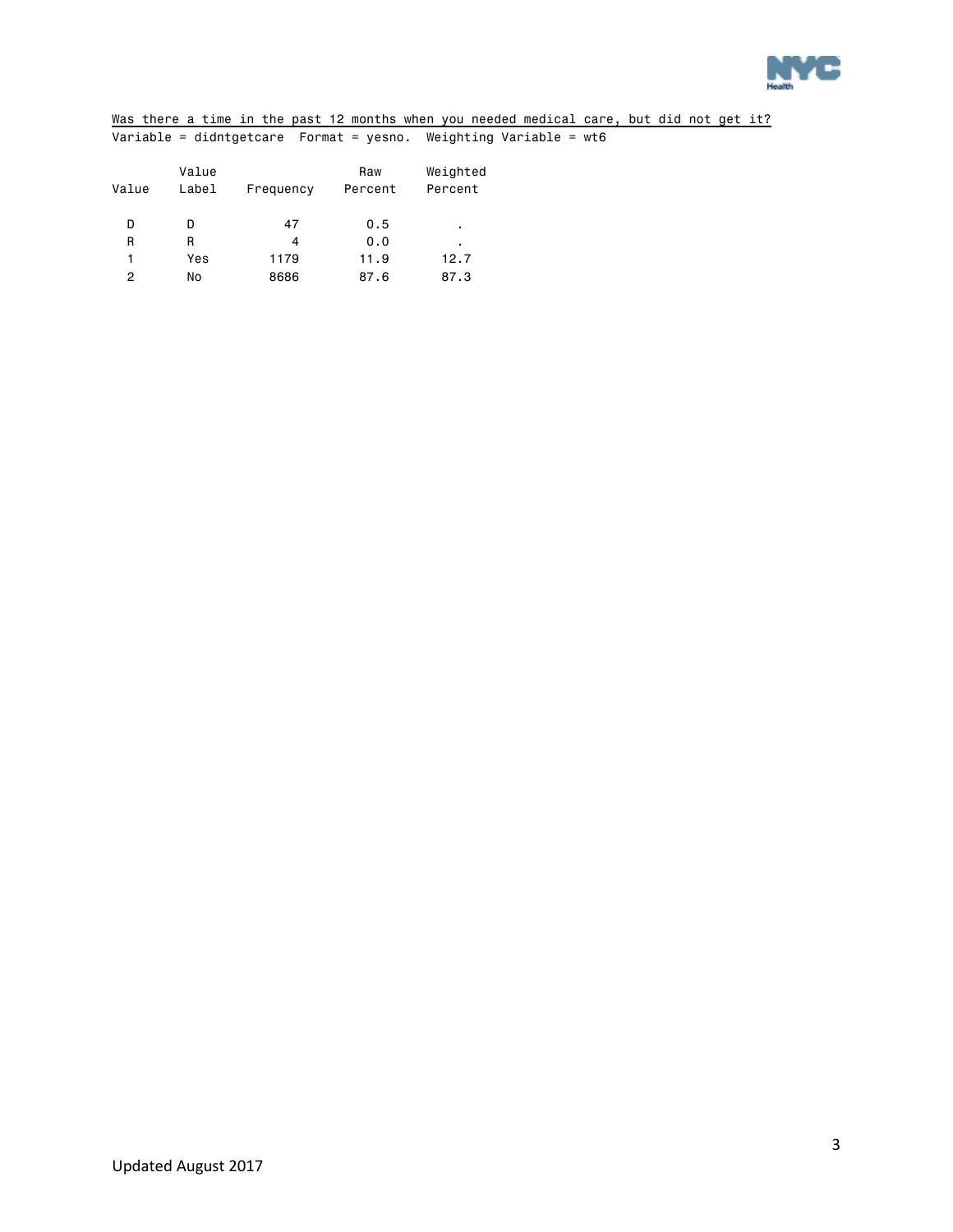

Was there a time in the past 12 months when you needed medical care, but did not get it? Variable = didntgetcare Format = yesno. Weighting Variable = wt6

| Value | Value<br>Label | Frequency | Raw<br>Percent | Weighted<br>Percent |
|-------|----------------|-----------|----------------|---------------------|
| D     | D              | 47        | 0.5            | ٠                   |
| R     | R              | 4         | 0.0            | ٠                   |
| 1     | Yes            | 1179      | 11.9           | 12.7                |
| 2     | No             | 8686      | 87.6           | 87.3                |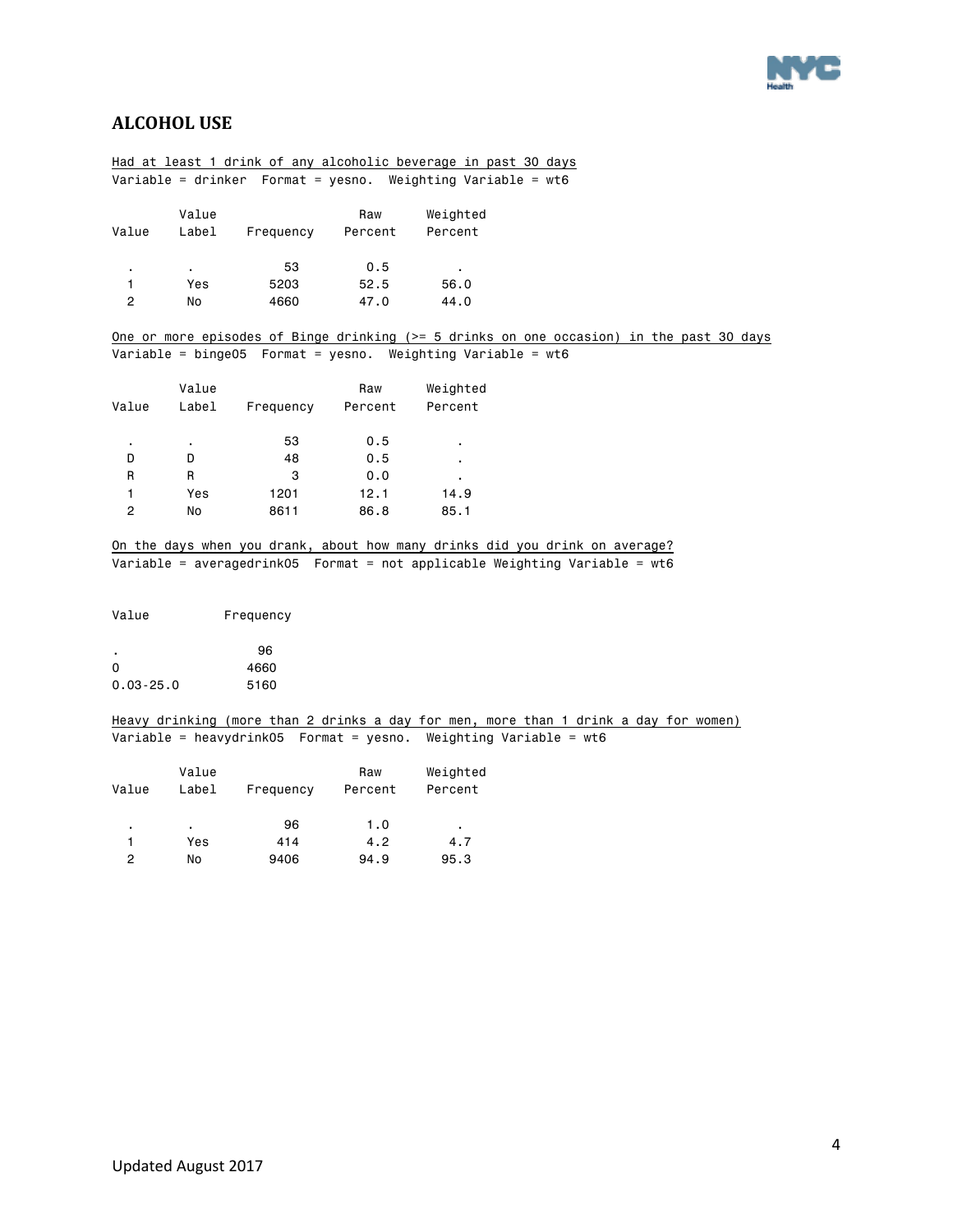

### <span id="page-3-0"></span>**ALCOHOL USE**

|                |                | Had at least 1 drink of any alcoholic beverage in past 30 days                                                                                             |         |                |  |  |  |
|----------------|----------------|------------------------------------------------------------------------------------------------------------------------------------------------------------|---------|----------------|--|--|--|
|                |                | Variable = drinker Format = yesno. Weighting Variable = $wt6$                                                                                              |         |                |  |  |  |
|                |                |                                                                                                                                                            |         |                |  |  |  |
|                | Value          |                                                                                                                                                            | Raw     | Weighted       |  |  |  |
| Value          | Label          | Frequency                                                                                                                                                  | Percent | Percent        |  |  |  |
| ٠              | $\blacksquare$ | 53                                                                                                                                                         | 0.5     | $\blacksquare$ |  |  |  |
| 1              | Yes            | 5203                                                                                                                                                       | 52.5    | 56.0           |  |  |  |
| $\overline{c}$ | No             | 4660                                                                                                                                                       | 47.0    | 44.0           |  |  |  |
|                |                | One or more episodes of Binge drinking (>= 5 drinks on one occasion) in the past 30 days                                                                   |         |                |  |  |  |
|                |                | Variable = binge05  Format = yesno. Weighting Variable = $wt6$                                                                                             |         |                |  |  |  |
|                |                |                                                                                                                                                            |         |                |  |  |  |
|                | Value          |                                                                                                                                                            | Raw     | Weighted       |  |  |  |
| Value          | Label          | Frequency                                                                                                                                                  | Percent | Percent        |  |  |  |
| $\blacksquare$ | $\blacksquare$ | 53                                                                                                                                                         | 0.5     |                |  |  |  |
| D              | D              | 48                                                                                                                                                         | 0.5     |                |  |  |  |
| R              | R              | 3                                                                                                                                                          | 0.0     |                |  |  |  |
| 1              | Yes            | 1201                                                                                                                                                       | 12.1    | 14.9           |  |  |  |
| $\overline{c}$ | No             | 8611                                                                                                                                                       | 86.8    | 85.1           |  |  |  |
|                |                |                                                                                                                                                            |         |                |  |  |  |
|                |                | On the days when you drank, about how many drinks did you drink on average?<br>Variable = averagedrink05  Format = not applicable Weighting Variable = wt6 |         |                |  |  |  |
| Value          |                | Frequency                                                                                                                                                  |         |                |  |  |  |
|                |                | 96                                                                                                                                                         |         |                |  |  |  |
| 0              |                | 4660                                                                                                                                                       |         |                |  |  |  |
| $0.03 - 25.0$  |                | 5160                                                                                                                                                       |         |                |  |  |  |
|                |                | Heavy drinking (more than 2 drinks a day for men, more than 1 drink a day for women)                                                                       |         |                |  |  |  |
|                |                | Variable = heavydrink05  Format = yesno. Weighting Variable = wt6                                                                                          |         |                |  |  |  |
|                |                |                                                                                                                                                            |         |                |  |  |  |
|                | Value          |                                                                                                                                                            | Raw     | Weighted       |  |  |  |
| Value          | Label          | Frequency                                                                                                                                                  | Percent | Percent        |  |  |  |
| $\blacksquare$ | $\mathbf{r}$   | 96                                                                                                                                                         | 1.0     | $\sim$         |  |  |  |
| 1              | Yes            | 414                                                                                                                                                        | 4.2     | 4.7            |  |  |  |
| $\overline{c}$ | No             | 9406                                                                                                                                                       | 94.9    | 95.3           |  |  |  |
|                |                |                                                                                                                                                            |         |                |  |  |  |
|                |                |                                                                                                                                                            |         |                |  |  |  |
|                |                |                                                                                                                                                            |         |                |  |  |  |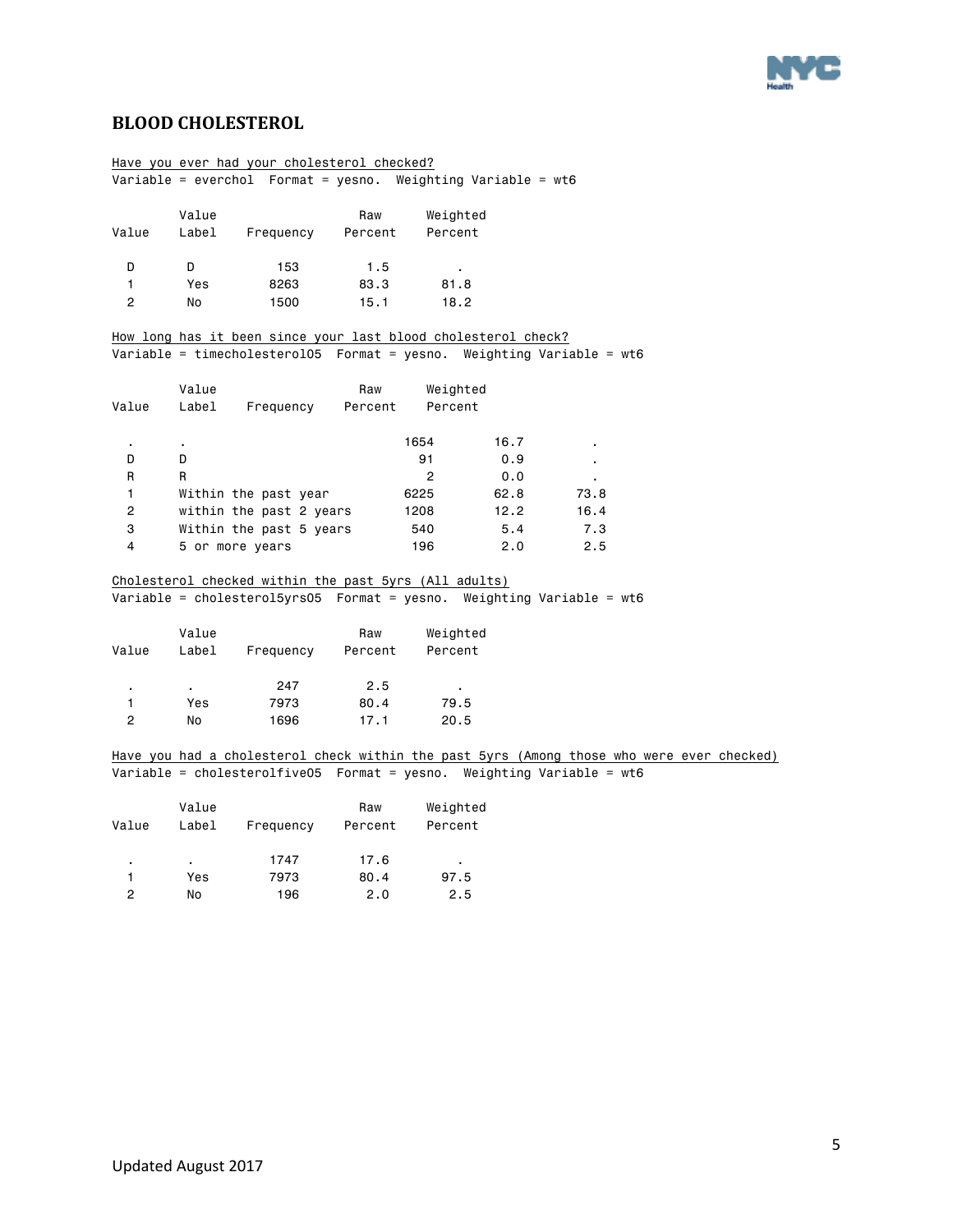

### <span id="page-4-0"></span>**BLOOD CHOLESTEROL**

|                  |                | Have you ever had your cholesterol checked?                    |         |                |      |                                                                                           |  |
|------------------|----------------|----------------------------------------------------------------|---------|----------------|------|-------------------------------------------------------------------------------------------|--|
|                  |                | Variable = everchol Format = yesno. Weighting Variable = $wt6$ |         |                |      |                                                                                           |  |
|                  |                |                                                                |         |                |      |                                                                                           |  |
|                  | Value          |                                                                | Raw     | Weighted       |      |                                                                                           |  |
| Value            | Label          | Frequency                                                      | Percent | Percent        |      |                                                                                           |  |
| D                | D              | 153                                                            | 1.5     | $\sim$         |      |                                                                                           |  |
| $\mathbf{1}$     | Yes            | 8263                                                           | 83.3    | 81.8           |      |                                                                                           |  |
| $\overline{2}$   | No             | 1500                                                           | 15.1    | 18.2           |      |                                                                                           |  |
|                  |                | How long has it been since your last blood cholesterol check?  |         |                |      |                                                                                           |  |
|                  |                |                                                                |         |                |      | Variable = timecholesterol05  Format = yesno. Weighting Variable = wt6                    |  |
|                  | Value          |                                                                | Raw     | Weighted       |      |                                                                                           |  |
| Value            |                | Label Frequency                                                | Percent | Percent        |      |                                                                                           |  |
|                  | $\blacksquare$ |                                                                |         | 1654           | 16.7 |                                                                                           |  |
| D                | D              |                                                                |         | 91             | 0.9  | $\blacksquare$                                                                            |  |
| R                | R              |                                                                |         | $\overline{2}$ | 0.0  | $\sim$                                                                                    |  |
| 1                |                | Within the past year                                           |         | 6225           | 62.8 | 73.8                                                                                      |  |
| $\overline{2}$   |                | within the past 2 years                                        |         | 1208           | 12.2 | 16.4                                                                                      |  |
| 3                |                | Within the past 5 years                                        |         | 540            | 5.4  | 7.3                                                                                       |  |
| 4                |                | 5 or more years                                                |         | 196            | 2.0  | 2.5                                                                                       |  |
|                  |                | Cholesterol checked within the past 5yrs (All adults)          |         |                |      |                                                                                           |  |
|                  |                |                                                                |         |                |      | Variable = cholesterol5yrs05  Format = yesno. Weighting Variable = wt6                    |  |
|                  | Value          |                                                                | Raw     | Weighted       |      |                                                                                           |  |
| Value            | Label          | Frequency Percent                                              |         | Percent        |      |                                                                                           |  |
| ٠                |                | 247                                                            | 2.5     |                |      |                                                                                           |  |
| 1                | Yes            | 7973                                                           | 80.4    | 79.5           |      |                                                                                           |  |
| $\overline{2}$   | No             | 1696                                                           | 17.1    | 20.5           |      |                                                                                           |  |
|                  |                |                                                                |         |                |      | Have you had a cholesterol check within the past 5yrs (Among those who were ever checked) |  |
|                  |                |                                                                |         |                |      | Variable = cholesterolfive05  Format = yesno. Weighting Variable = $wt6$                  |  |
|                  | Value          |                                                                | Raw     | Weighted       |      |                                                                                           |  |
| Value            | Label          | Frequency                                                      | Percent | Percent        |      |                                                                                           |  |
|                  | $\sim$         | 1747                                                           | 17.6    | $\sim 100$     |      |                                                                                           |  |
| 1                | Yes            | 7973                                                           | 80.4    | 97.5           |      |                                                                                           |  |
| $\boldsymbol{2}$ | No             | 196                                                            | 2.0     | 2.5            |      |                                                                                           |  |
|                  |                |                                                                |         |                |      |                                                                                           |  |
|                  |                |                                                                |         |                |      |                                                                                           |  |
|                  |                |                                                                |         |                |      |                                                                                           |  |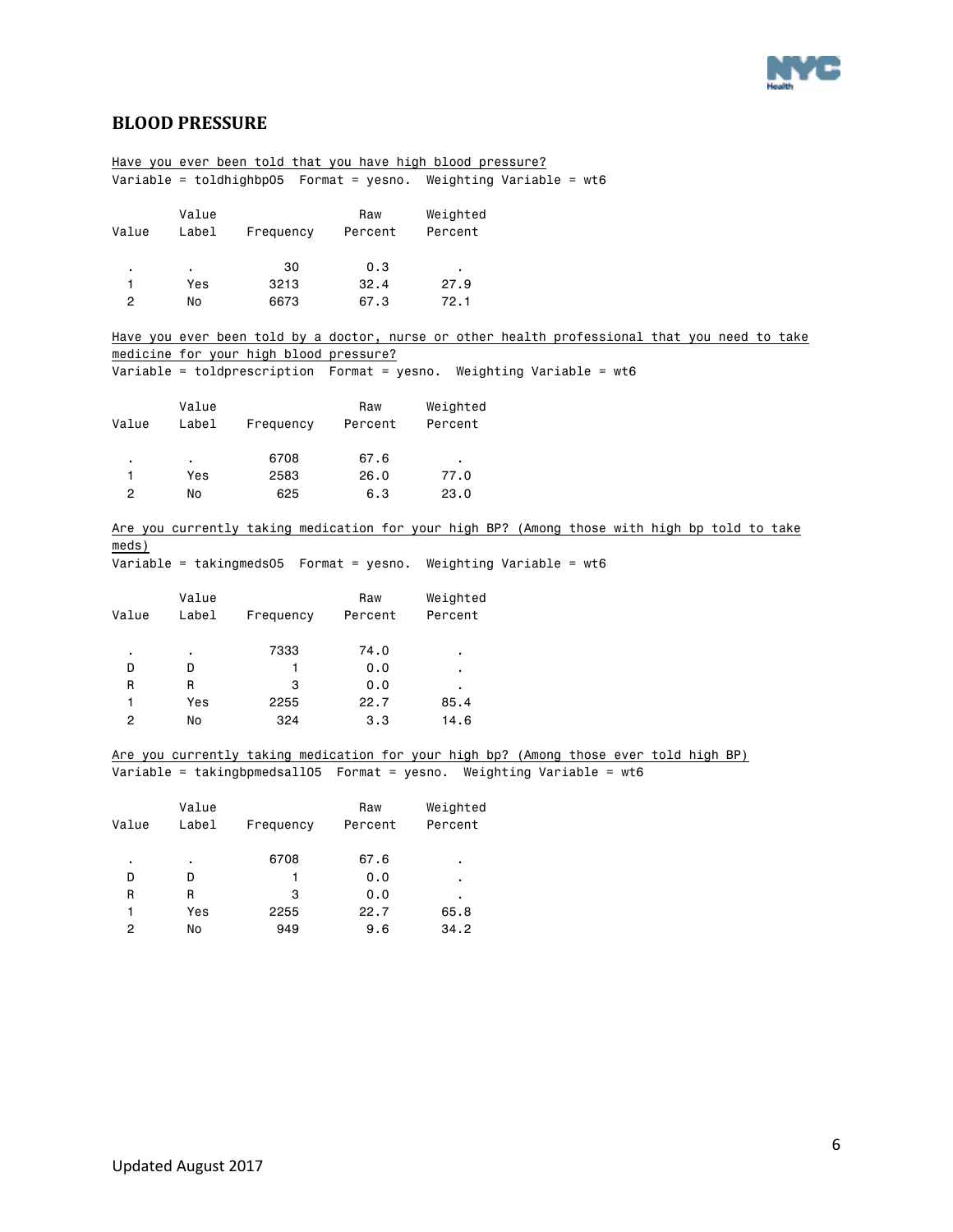

### <span id="page-5-0"></span>**BLOOD PRESSURE**

|                |           |                                        |         | Have you ever been told that you have high blood pressure?                                                                                                      |
|----------------|-----------|----------------------------------------|---------|-----------------------------------------------------------------------------------------------------------------------------------------------------------------|
|                |           |                                        |         | Variable = toldhighbp05  Format = yesno. Weighting Variable = wt6                                                                                               |
|                |           |                                        |         |                                                                                                                                                                 |
|                | Value     |                                        | Raw     | Weighted                                                                                                                                                        |
| Value          | Label     | Frequency                              | Percent | Percent                                                                                                                                                         |
|                |           |                                        |         |                                                                                                                                                                 |
| ٠              |           | 30                                     | 0.3     | $\blacksquare$                                                                                                                                                  |
| 1              | Yes       | 3213                                   | 32.4    | 27.9                                                                                                                                                            |
| $\overline{c}$ | No        | 6673                                   | 67.3    | 72.1                                                                                                                                                            |
|                |           |                                        |         | Have you ever been told by a doctor, nurse or other health professional that you need to take                                                                   |
|                |           | medicine for your high blood pressure? |         |                                                                                                                                                                 |
|                |           |                                        |         | Variable = toldprescription  Format = yesno. Weighting Variable = wt6                                                                                           |
|                |           |                                        |         |                                                                                                                                                                 |
|                | Value     |                                        | Raw     | Weighted                                                                                                                                                        |
| Value          | Label     | Frequency                              | Percent | Percent                                                                                                                                                         |
|                |           |                                        |         |                                                                                                                                                                 |
| $\cdot$        |           | 6708                                   | 67.6    |                                                                                                                                                                 |
| 1              | Yes       | 2583                                   | 26.0    | 77.0                                                                                                                                                            |
| $\mathbf{2}$   | No        | 625                                    | 6.3     | 23.0                                                                                                                                                            |
|                |           |                                        |         |                                                                                                                                                                 |
|                |           |                                        |         | Are you currently taking medication for your high BP? (Among those with high bp told to take                                                                    |
| meds)          |           |                                        |         |                                                                                                                                                                 |
|                |           |                                        |         | Weighting Variable = $wt6$                                                                                                                                      |
|                |           |                                        |         |                                                                                                                                                                 |
|                | Value     |                                        | Raw     | Weighted                                                                                                                                                        |
| Value          | Label     | Frequency                              | Percent | Percent                                                                                                                                                         |
|                |           |                                        |         |                                                                                                                                                                 |
| $\blacksquare$ | $\bullet$ | 7333                                   | 74.0    | $\cdot$                                                                                                                                                         |
| D              | D         | $\mathbf{1}$                           | 0.0     | $\blacksquare$                                                                                                                                                  |
| R              | R         | 3                                      | 0.0     |                                                                                                                                                                 |
| 1              | Yes       | 2255                                   | 22.7    | 85.4                                                                                                                                                            |
| $\overline{c}$ | No        | 324                                    | 3.3     | 14.6                                                                                                                                                            |
|                |           |                                        |         |                                                                                                                                                                 |
|                |           |                                        |         | Are you currently taking medication for your high bp? (Among those ever told high BP)<br>Variable = takingbpmedsall05  Format = yesno. Weighting Variable = wt6 |
|                |           |                                        |         |                                                                                                                                                                 |
|                | Value     |                                        | Raw     | Weighted                                                                                                                                                        |
| Value          | Label     | Frequency                              | Percent | Percent                                                                                                                                                         |
|                |           |                                        |         |                                                                                                                                                                 |
| $\bullet$      | $\bullet$ | 6708                                   | 67.6    |                                                                                                                                                                 |
| D              | D         | 1                                      | 0.0     | $\blacksquare$                                                                                                                                                  |
| R              | R         | 3                                      | 0.0     |                                                                                                                                                                 |
| 1              | Yes       | 2255                                   | 22.7    | 65.8                                                                                                                                                            |
| 2              | No        | 949                                    | 9.6     | 34.2                                                                                                                                                            |
|                |           |                                        |         |                                                                                                                                                                 |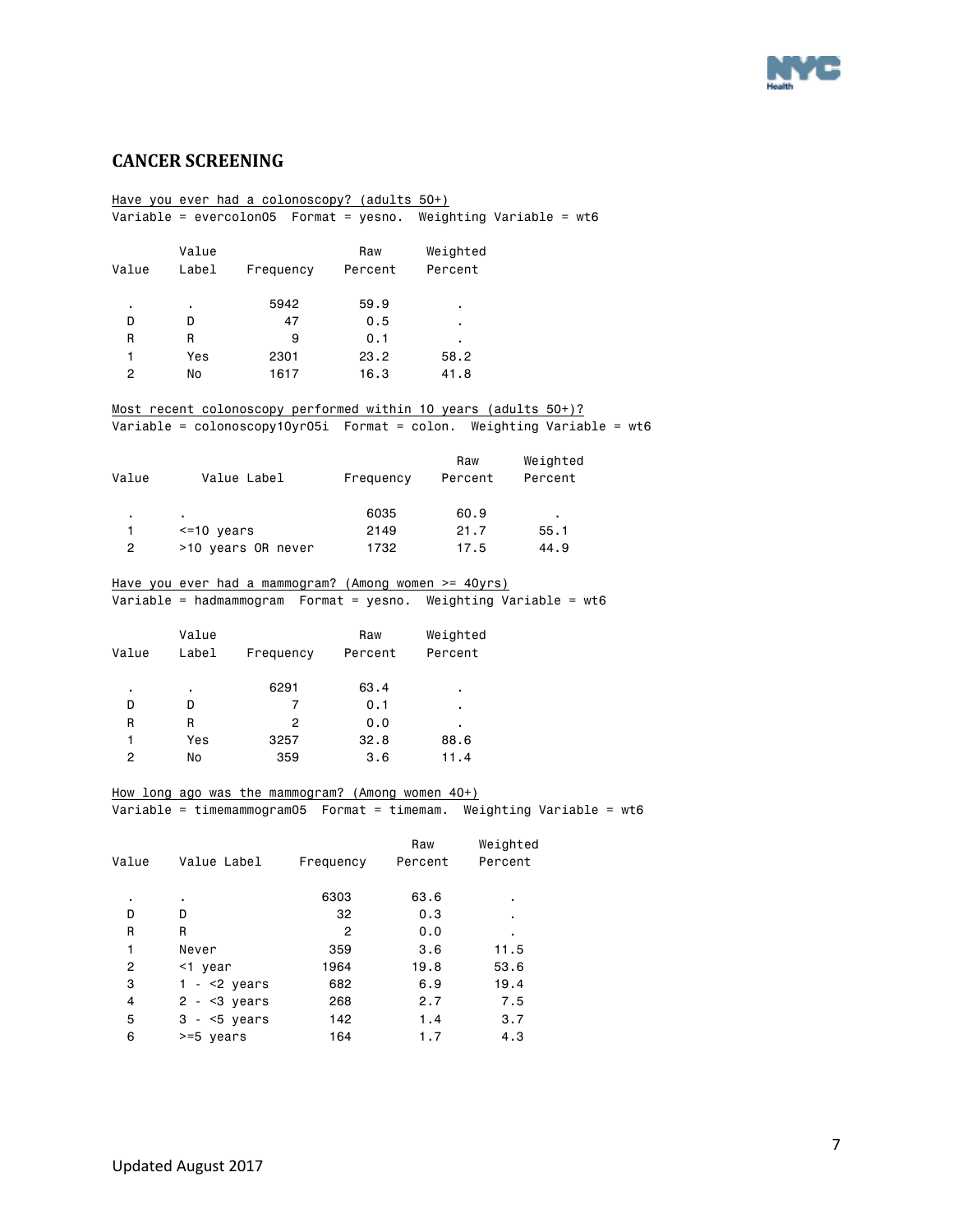

### <span id="page-6-0"></span>**CANCER SCREENING**

|                 |               | Have you ever had a colonoscopy? (adults 50+)     |                |                                                       |                                                                             |
|-----------------|---------------|---------------------------------------------------|----------------|-------------------------------------------------------|-----------------------------------------------------------------------------|
|                 |               |                                                   |                |                                                       | Variable = evercolon05    Format = yesno. Weighting Variable = wt6          |
|                 |               |                                                   |                |                                                       |                                                                             |
|                 | Value         |                                                   | Raw            | Weighted                                              |                                                                             |
| Value           | Label         | Frequency Percent                                 |                | Percent                                               |                                                                             |
|                 |               |                                                   |                |                                                       |                                                                             |
| $\blacksquare$  | $\epsilon$    | 5942                                              | 59.9           |                                                       |                                                                             |
| D               | D             | 47                                                | 0.5            |                                                       |                                                                             |
| R               | R             | 9                                                 | 0.1            |                                                       |                                                                             |
| $\mathbf{1}$    | Yes           | 2301                                              | 23.2           | 58.2                                                  |                                                                             |
| $\mathbf{2}$    | No            | 1617                                              | 16.3           | 41.8                                                  |                                                                             |
|                 |               |                                                   |                |                                                       |                                                                             |
|                 |               |                                                   |                |                                                       | Most recent colonoscopy performed within 10 years (adults 50+)?             |
|                 |               |                                                   |                |                                                       | Variable = $colonoscopy10yr05i$ Format = $colon$ . Weighting Variable = wt6 |
|                 |               |                                                   |                |                                                       |                                                                             |
|                 |               |                                                   |                | Raw                                                   | Weighted                                                                    |
| Value           |               | Value Label                                       |                | Frequency Percent                                     | Percent                                                                     |
|                 |               |                                                   | 6035           | 60.9                                                  |                                                                             |
| $\sim 100$<br>1 | $<=10$ years  |                                                   | 2149           | 21.7                                                  | 55.1                                                                        |
| $^{2}$          |               | >10 years OR never                                | 1732           | 17.5                                                  | 44.9                                                                        |
|                 |               |                                                   |                |                                                       |                                                                             |
|                 |               |                                                   |                | Have you ever had a mammogram? (Among women >= 40yrs) |                                                                             |
|                 |               |                                                   |                |                                                       | Variable = hadmammogram  Format = yesno. Weighting Variable = wt6           |
|                 |               |                                                   |                |                                                       |                                                                             |
|                 |               |                                                   |                |                                                       |                                                                             |
|                 | Value         |                                                   |                |                                                       |                                                                             |
|                 |               |                                                   | Raw            | Weighted                                              |                                                                             |
| Value           | Label         | Frequency Percent                                 |                | Percent                                               |                                                                             |
|                 |               | 6291                                              | 63.4           |                                                       |                                                                             |
| D               | D             | 7                                                 | 0.1            |                                                       |                                                                             |
| R.              | R.            | 2                                                 | 0.0            |                                                       |                                                                             |
| $\mathbf{1}$    | Yes           | 3257                                              | 32.8           | 88.6                                                  |                                                                             |
| $\overline{c}$  | No            | 359                                               | 3.6            | 11.4                                                  |                                                                             |
|                 |               |                                                   |                |                                                       |                                                                             |
|                 |               |                                                   |                |                                                       |                                                                             |
|                 |               | How long ago was the mammogram? (Among women 40+) |                |                                                       | Variable = timemammogram05  Format = timemam. Weighting Variable = $w$ t6   |
|                 |               |                                                   |                |                                                       |                                                                             |
|                 |               |                                                   |                | Raw                                                   | Weighted                                                                    |
| Value           |               | Value Label Frequency Percent                     |                |                                                       | Percent                                                                     |
|                 |               |                                                   |                |                                                       |                                                                             |
|                 |               |                                                   | 6303           | 63.6                                                  |                                                                             |
| D               | D             |                                                   | 32             | 0.3                                                   |                                                                             |
| R               | R             |                                                   | $\overline{c}$ | 0.0                                                   |                                                                             |
| 1               | Never         |                                                   | 359            | 3.6                                                   | 11.5                                                                        |
| 2               | <1 year       |                                                   | 1964           | 19.8                                                  | 53.6                                                                        |
| 3               | $1 - 2$ years |                                                   | 682            | 6.9                                                   | 19.4                                                                        |
| 4               | $2 - 3$ years |                                                   | 268            | 2.7                                                   | 7.5                                                                         |
| 5               | $3 - 5$ years |                                                   | 142            | 1.4                                                   | 3.7                                                                         |
| 6               | >=5 years     |                                                   | 164            | 1.7                                                   | 4.3                                                                         |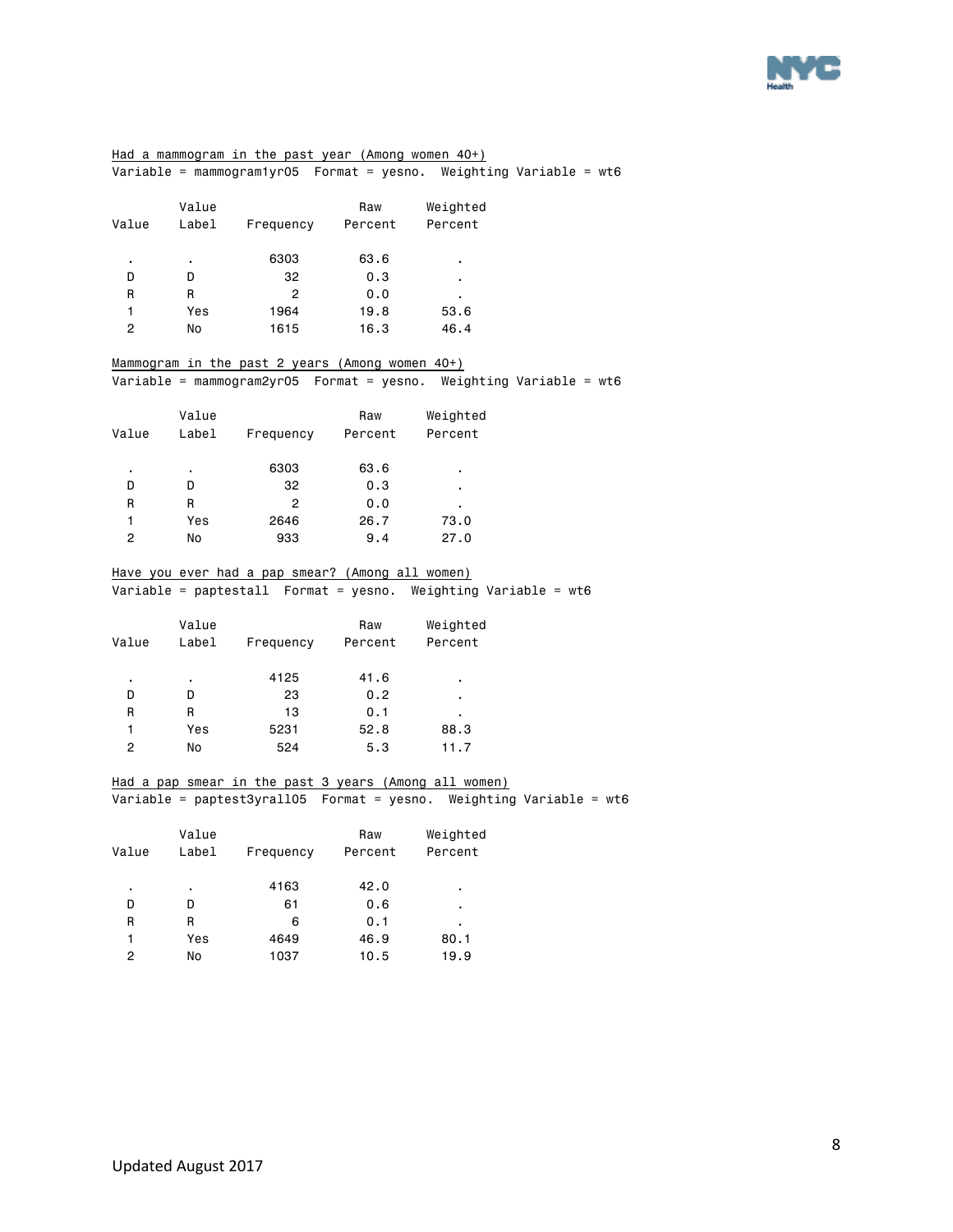

### Had a mammogram in the past year (Among women 40+) Variable = mammogram1yr05 Format = yesno. Weighting Variable = wt6 Value **Raw** Weighted Value Label Frequency Percent Percent . . 6303 63.6 . D D 32 0.3 . R R 2 0.0 1 Yes 1964 19.8 53.6 2 No 1615 16.3 46.4 Mammogram in the past 2 years (Among women 40+) Variable = mammogram2yr05 Format = yesno. Weighting Variable = wt6 Value Raw Weighted Value Label Frequency Percent Percent . . 6303 63.6 . D D 32 0.3 . R R 2 0.0 . 1 Yes 2646 26.7 73.0 2 No 933 9.4 27.0 Have you ever had a pap smear? (Among all women) Variable = paptestall Format = yesno. Weighting Variable = wt6 Value **Raw** Weighted Value Label Frequency Percent Percent . . 4125 41.6 . D D 23 0.2 . R R 13 0.1 . 1 Yes 5231 52.8 88.3 2 No 524 5.3 11.7 Had a pap smear in the past 3 years (Among all women) Variable = paptest3yrall05 Format = yesno. Weighting Variable = wt6 Value Raw Weighted Value Label Frequency Percent Percent . . 4163 42.0 . D D 61 0.6 . R R 6 0.1 .

 1 Yes 4649 46.9 80.1 2 No 1037 10.5 19.9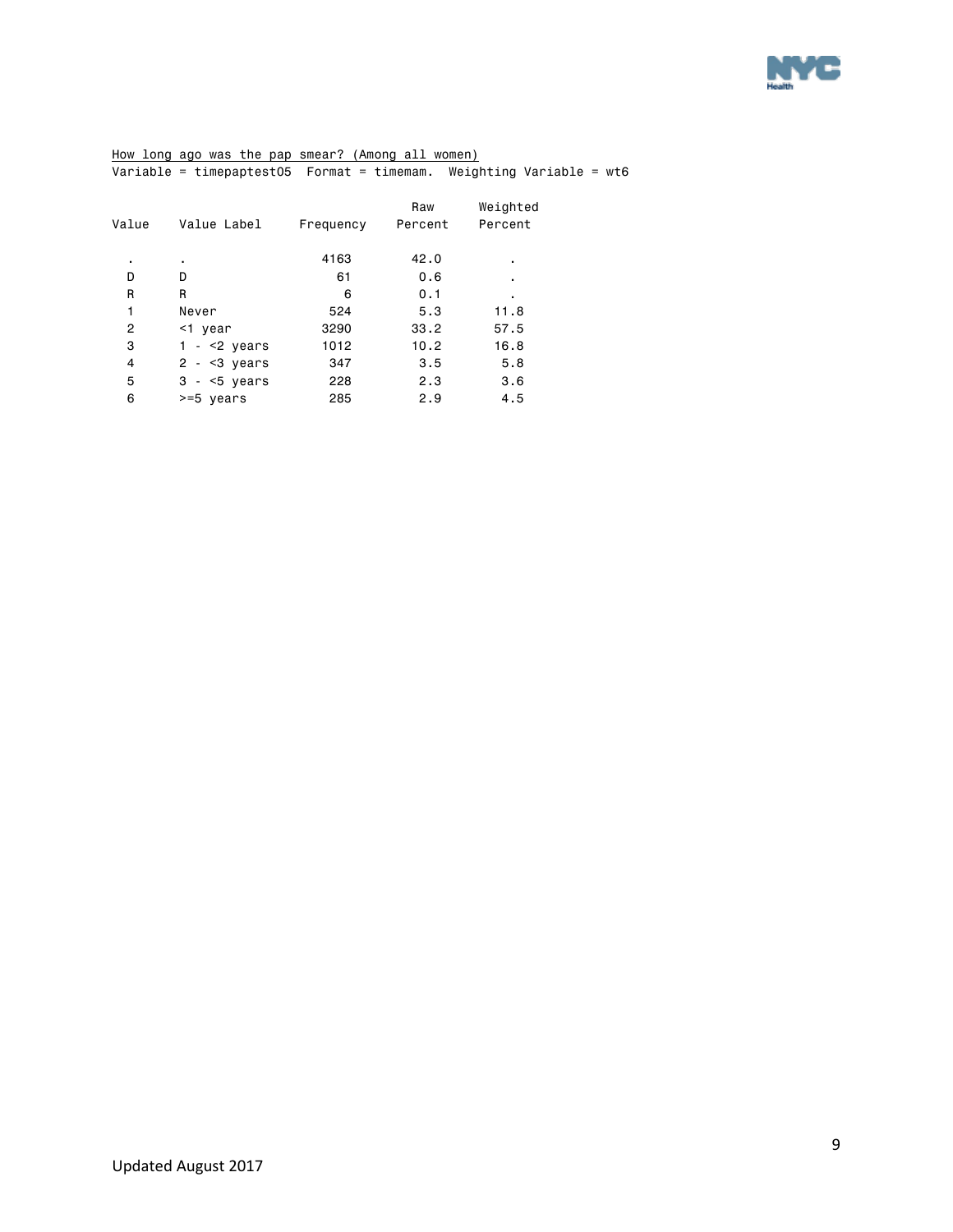

How long ago was the pap smear? (Among all women) Variable = timepaptest05 Format = timemam. Weighting Variable = wt6

|               |             | Raw       | Weighted |
|---------------|-------------|-----------|----------|
|               |             |           | Percent  |
| ٠             | 4163        | 42.0      | ٠        |
| D             | 61          | 0.6       | ٠        |
| R             | 6           | 0.1       | ٠        |
| Never         | 524         | 5.3       | 11.8     |
| <1 year       | 3290        | 33.2      | 57.5     |
| $1 - 2$ years | 1012        | 10.2      | 16.8     |
| $2 - 3 years$ | 347         | 3.5       | 5.8      |
| $3 - 5$ years | 228         | 2.3       | 3.6      |
| >=5 years     | 285         | 2.9       | 4.5      |
|               | Value Label | Frequency | Percent  |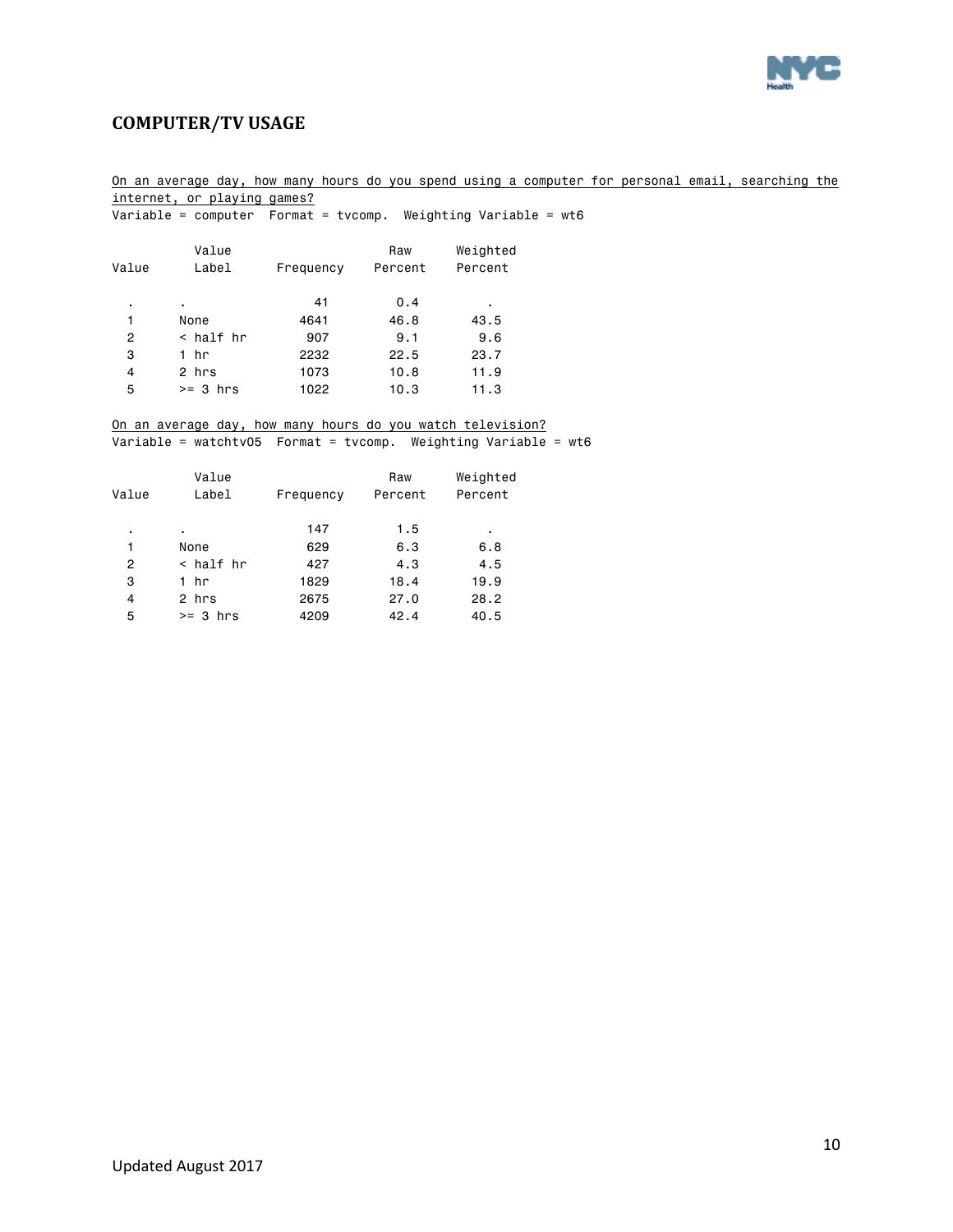

### <span id="page-9-0"></span>**COMPUTER/TV USAGE**

### On an average day, how many hours do you spend using a computer for personal email, searching the internet, or playing games?

Variable = computer Format = tvcomp. Weighting Variable = wt6

| Value | Value<br>Label | Frequency | Raw<br>Percent | Weighted<br>Percent |
|-------|----------------|-----------|----------------|---------------------|
| ٠     | ٠              | 41        | 0.4            | ٠                   |
| 1     | None           | 4641      | 46.8           | 43.5                |
| 2     | < half hr      | 907       | 9.1            | 9.6                 |
| 3     | 1 hr           | 2232      | 22.5           | 23.7                |
| 4     | 2 hrs          | 1073      | 10.8           | 11.9                |
| 5     | $>= 3 hrs$     | 1022      | 10.3           | 11.3                |
|       |                |           |                |                     |

#### On an average day, how many hours do you watch television?

Variable = watchtv05 Format = tvcomp. Weighting Variable = wt6

| Value | Value<br>Label | Frequency | Raw<br>Percent | Weighted<br>Percent |
|-------|----------------|-----------|----------------|---------------------|
| ٠     | $\blacksquare$ | 147       | 1.5            | ٠                   |
| 1     | None           | 629       | 6.3            | 6.8                 |
| 2     | < half hr      | 427       | 4.3            | 4.5                 |
| 3     | 1 hr           | 1829      | 18.4           | 19.9                |
| 4     | 2 hrs          | 2675      | 27.0           | 28.2                |
| 5     | $>= 3 hrs$     | 4209      | 42.4           | 40.5                |
|       |                |           |                |                     |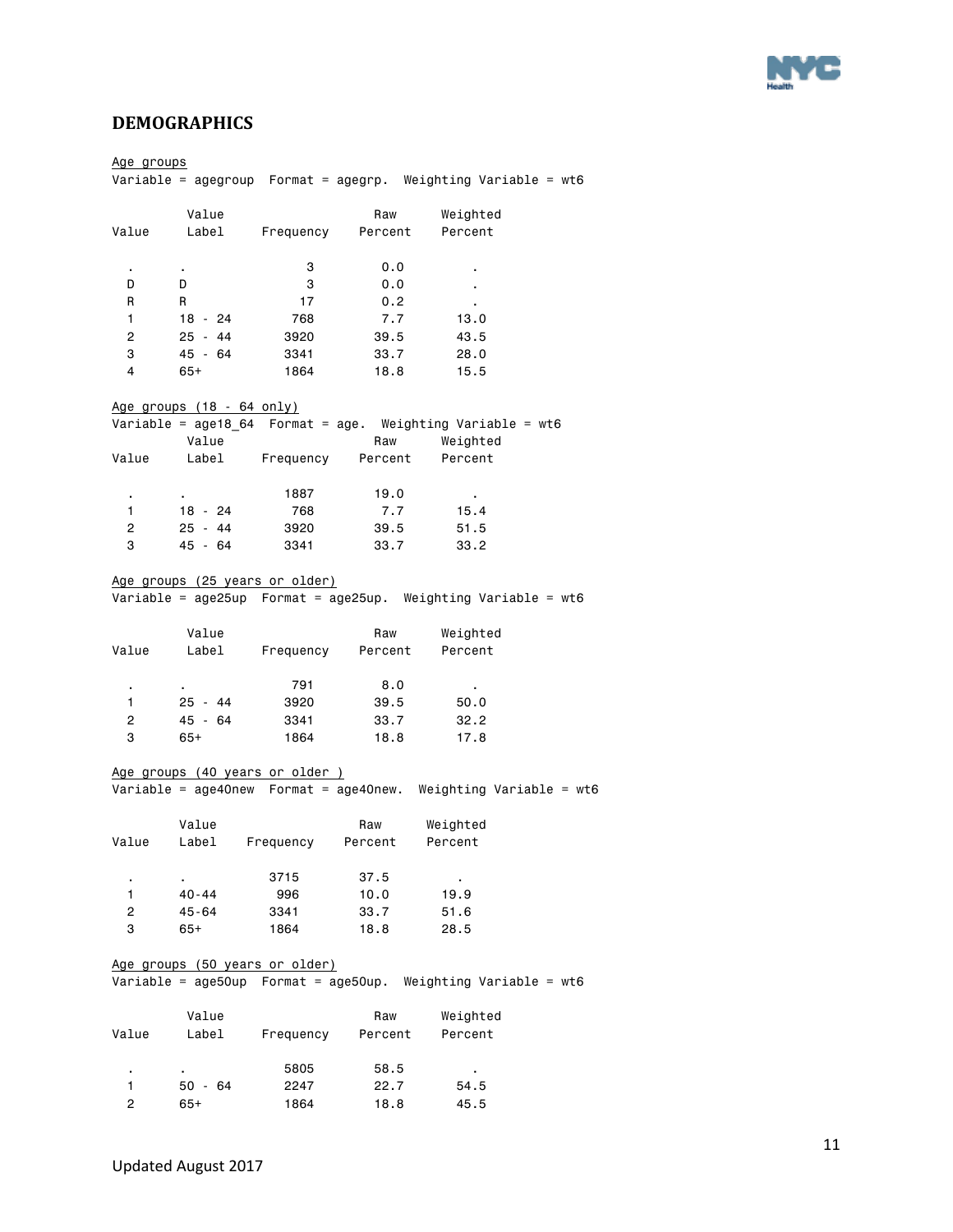

### <span id="page-10-0"></span>**DEMOGRAPHICS**

| <u>Age groups</u> |                                  |           |         | Variable = agegroup    Format = agegrp. Weighting Variable = wt6 |
|-------------------|----------------------------------|-----------|---------|------------------------------------------------------------------|
|                   |                                  |           |         |                                                                  |
|                   | Value                            |           | Raw     | Weighted                                                         |
| Value             |                                  |           |         | Label Frequency Percent Percent                                  |
| $\bullet$         | $\mathbf{r}$ .                   | 3         | 0.0     | ٠                                                                |
| D                 | D                                | -3        | 0.0     | $\blacksquare$                                                   |
| R                 | R                                | 17        | 0.2     |                                                                  |
| $\mathbf{1}$      | 18 - 24                          | 768       | 7.7     | 13.0                                                             |
| $\overline{2}$    | 25 - 44                          | 3920      | 39.5    | 43.5                                                             |
| 3                 | 45 - 64                          | 3341      | 33.7    | 28.0                                                             |
| 4                 | 65+                              | 1864      | 18.8    | 15.5                                                             |
|                   | <u>Age groups (18 - 64 only)</u> |           |         |                                                                  |
|                   |                                  |           |         | Variable = age18_64    Format = age. Weighting Variable = $wt6$  |
|                   | Value                            |           | Raw     | Weighted                                                         |
| Value             |                                  |           |         | Label Frequency Percent Percent                                  |
| $\blacksquare$    |                                  | 1887      | 19.0    |                                                                  |
| 1                 | 18 - 24                          | 768       | 7.7     | 15.4                                                             |
| $2^{\circ}$       | $25 - 44$                        | 3920      | 39.5    | 51.5                                                             |
| 3                 | 45 - 64                          | 3341      | 33.7    | 33.2                                                             |
|                   | Age groups (25 years or older)   |           |         |                                                                  |
|                   |                                  |           |         | Variable = age25up  Format = age25up. Weighting Variable = wt6   |
|                   | Value                            |           |         | Raw Weighted                                                     |
| Value             | Label Frequency Percent Percent  |           |         |                                                                  |
|                   |                                  |           |         |                                                                  |
| $\mathbf{r}$      | $\blacksquare$                   | 791       | 8.0     |                                                                  |
| 1                 | 25 - 44                          | 3920      | 39.5    | 50.0                                                             |
| $\mathbf{2}$      | 45 - 64                          | 3341      | 33.7    | 32.2                                                             |
| 3                 | 65+                              | 1864      | 18.8    | 17.8                                                             |
|                   | Age groups (40 years or older )  |           |         |                                                                  |
|                   |                                  |           |         | Variable = age40new  Format = age40new. Weighting Variable = wt6 |
|                   | Value                            |           | Raw     | Weighted                                                         |
| Value             | Label                            | Frequency | Percent | Percent                                                          |
|                   |                                  | 3715      | 37.5    |                                                                  |
| 1.                | $40 - 44$                        | 996       | 10.0    | 19.9                                                             |
| 2                 | 45-64                            | 3341      | 33.7    | 51.6                                                             |
| 3                 | $65+$                            | 1864      | 18.8    | 28.5                                                             |
|                   | Age groups (50 years or older)   |           |         |                                                                  |
|                   |                                  |           |         |                                                                  |
|                   | Value                            |           | Raw     | Weighted                                                         |
| Value             | Label                            | Frequency | Percent | Percent                                                          |
| ٠                 |                                  | 5805      | 58.5    |                                                                  |
| 1.                | $50 - 64$                        | 2247      | 22.7    | 54.5                                                             |
| $\overline{c}$    | $65+$                            | 1864      | 18.8    | 45.5                                                             |
|                   |                                  |           |         |                                                                  |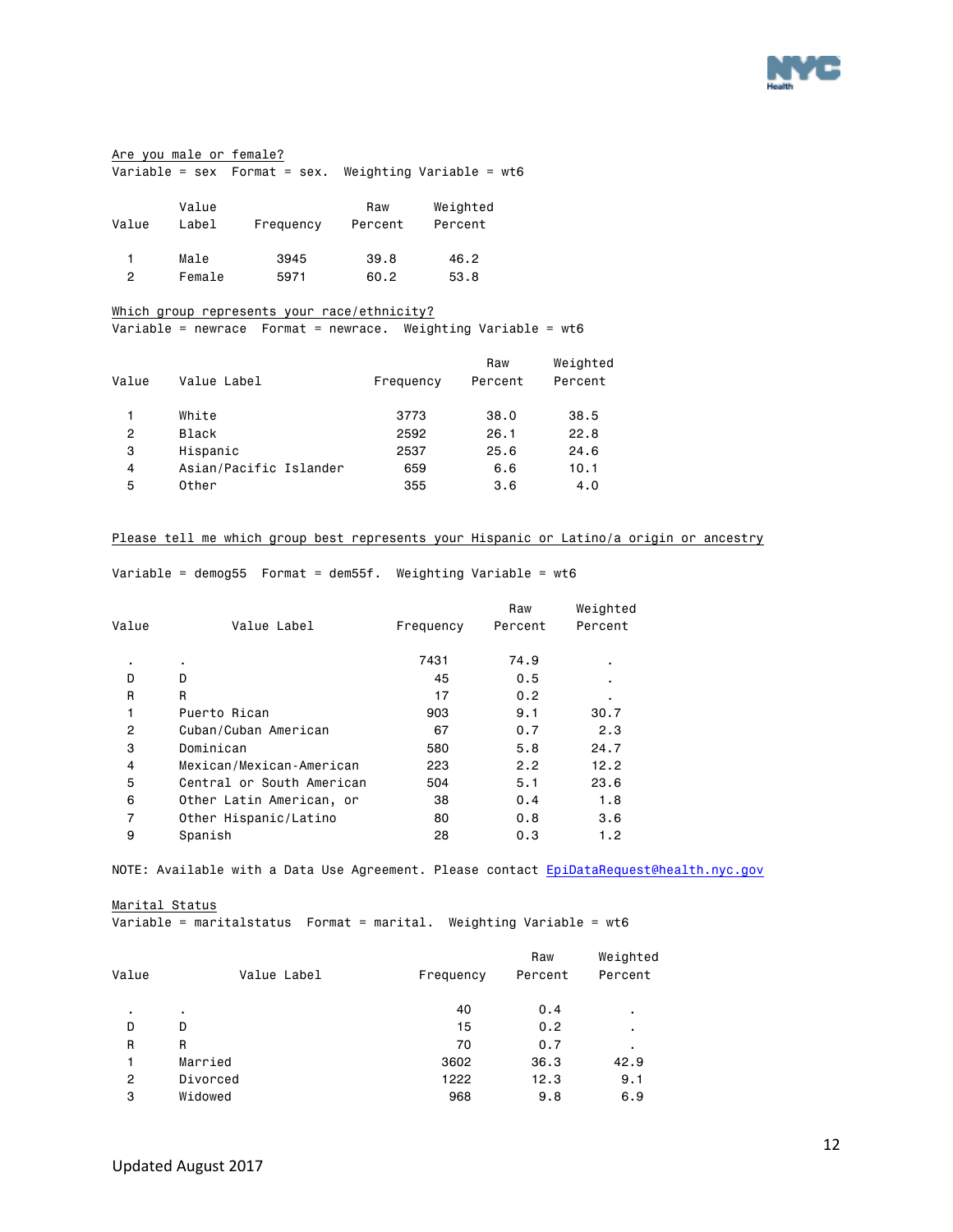

#### Are you male or female?  $\overline{\text{Variable}} = \text{sex}$  Format = sex. Weighting Variable = wt6

| Value | Value<br>Label | Frequency | Raw<br>Percent | Weighted<br>Percent |
|-------|----------------|-----------|----------------|---------------------|
|       | Male           | 3945      | 39.8           | 46.2                |
| っ     | Female         | 5971      | 60.2           | 53.8                |

#### Which group represents your race/ethnicity?

Variable = newrace Format = newrace. Weighting Variable = wt6

| Value | Value Label            | Frequency | Raw<br>Percent | Weighted<br>Percent |
|-------|------------------------|-----------|----------------|---------------------|
|       | White                  | 3773      | 38.0           | 38.5                |
| 2     | <b>Black</b>           | 2592      | 26.1           | 22.8                |
| 3     | Hispanic               | 2537      | 25.6           | 24.6                |
| 4     | Asian/Pacific Islander | 659       | 6.6            | 10.1                |
| 5     | Other                  | 355       | 3.6            | 4.0                 |

### Please tell me which group best represents your Hispanic or Latino/a origin or ancestry

Variable = demog55 Format = dem55f. Weighting Variable = wt6

| Value          | Value Label               | Frequency | Raw<br>Percent | Weighted<br>Percent |
|----------------|---------------------------|-----------|----------------|---------------------|
| ٠              | ٠                         | 7431      | 74.9           |                     |
| D              | D                         | 45        | 0.5            |                     |
| R              | R                         | 17        | 0.2            |                     |
| 1              | Puerto Rican              | 903       | 9.1            | 30.7                |
| 2              | Cuban/Cuban American      | 67        | 0.7            | 2.3                 |
| 3              | Dominican                 | 580       | 5.8            | 24.7                |
| $\overline{4}$ | Mexican/Mexican-American  | 223       | 2.2            | 12.2                |
| 5              | Central or South American | 504       | 5.1            | 23.6                |
| 6              | Other Latin American, or  | 38        | 0.4            | 1.8                 |
| 7              | Other Hispanic/Latino     | 80        | 0.8            | 3.6                 |
| 9              | Spanish                   | 28        | 0.3            | 1.2                 |

NOTE: Available with a Data Use Agreement. Please contact EpiDataRequest@health.nyc.gov

#### Marital Status

Variable = maritalstatus Format = marital. Weighting Variable = wt6

| Value          | Value Label | Frequency | Raw<br>Percent | Weighted<br>Percent |
|----------------|-------------|-----------|----------------|---------------------|
| ٠              | ٠           | 40        | 0.4            | ٠.                  |
| D              | D           | 15        | 0.2            | ٠                   |
| R              | R           | 70        | 0.7            |                     |
|                | Married     | 3602      | 36.3           | 42.9                |
| $\overline{2}$ | Divorced    | 1222      | 12.3           | 9.1                 |
| 3              | Widowed     | 968       | 9.8            | 6.9                 |
|                |             |           |                |                     |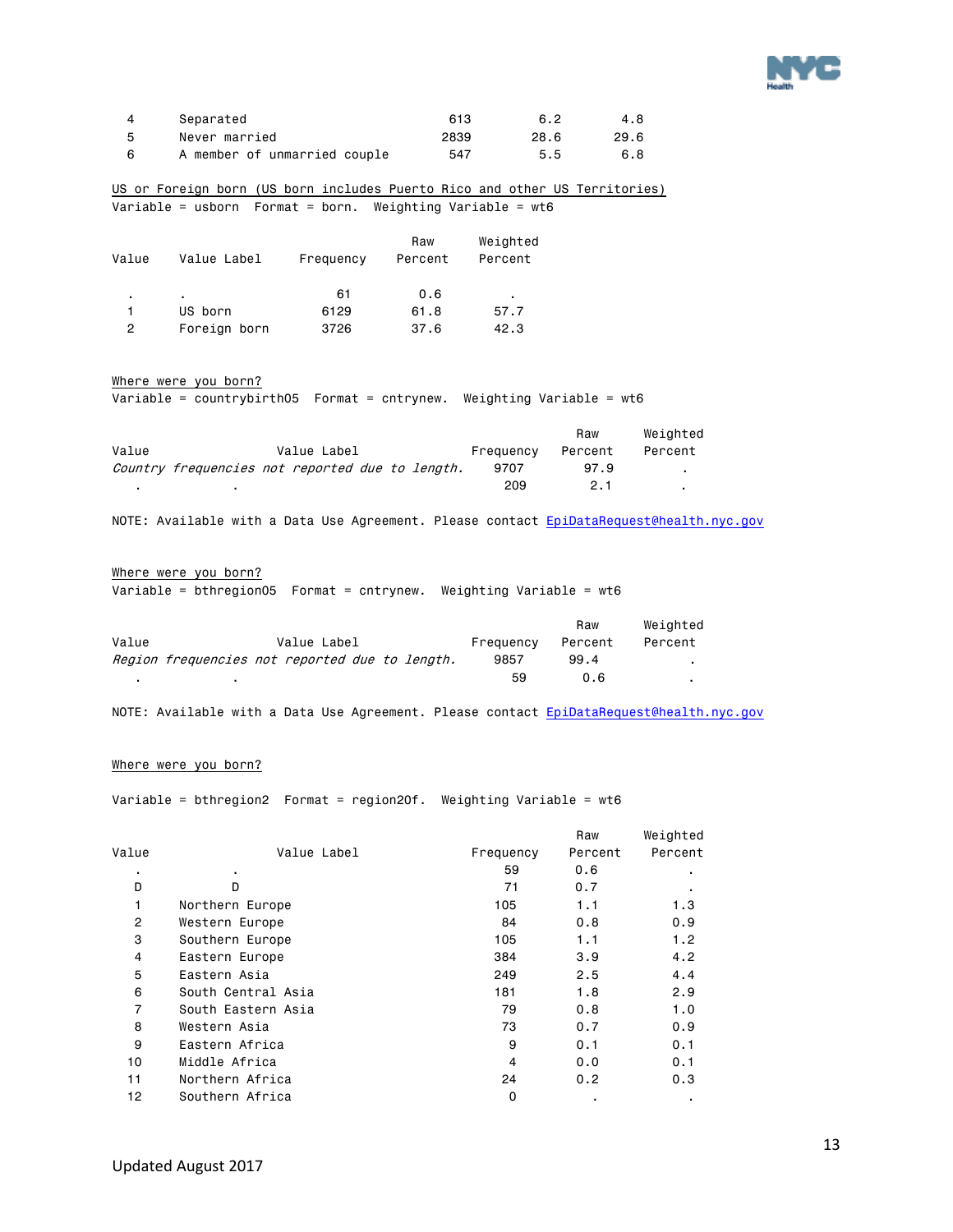

|    | Separated                    | 613  | 6.2  | 4.8  |
|----|------------------------------|------|------|------|
| -5 | Never married                | 2839 | 28.6 | 29.6 |
|    | A member of unmarried couple | 547  | 5.5  | 6.8  |

US or Foreign born (US born includes Puerto Rico and other US Territories) Variable = usborn Format = born. Weighting Variable = wt6

| Value | Value Label  | Frequency | Raw<br>Percent | Weighted<br>Percent |
|-------|--------------|-----------|----------------|---------------------|
| ٠     | ٠            | 61        | 0.6            | ٠                   |
|       | US born      | 6129      | 61.8           | 57.7                |
| 2     | Foreign born | 3726      | 37.6           | 42.3                |

#### Where were you born?

Variable = countrybirth05 Format = cntrynew. Weighting Variable = wt6

|       |                                                 |           | Raw     | Weiahted |
|-------|-------------------------------------------------|-----------|---------|----------|
| Value | Value Label                                     | Frequency | Percent | Percent  |
|       | Country frequencies not reported due to length. | 9707      | 97.9    |          |
|       |                                                 | 209       | 2.1     |          |

NOTE: Available with a Data Use Agreement. Please contact EpiDataRequest@health.nyc.gov

### Where were you born?

Variable = bthregion05 Format = cntrynew. Weighting Variable = wt6

|       |                                                |           | Raw     | Weighted |
|-------|------------------------------------------------|-----------|---------|----------|
| Value | Value Label                                    | Frequency | Percent | Percent  |
|       | Region frequencies not reported due to length. | 9857      | 99.4    |          |
|       |                                                | 59        | 0.6     |          |

NOTE: Available with a Data Use Agreement. Please contact EpiDataRequest@health.nyc.gov

#### Where were you born?

Variable = bthregion2 Format = region20f. Weighting Variable = wt6

|                |                    |           | Raw     | Weighted |
|----------------|--------------------|-----------|---------|----------|
| Value          | Value Label        | Frequency | Percent | Percent  |
| ٠              | ٠.                 | 59        | 0.6     |          |
| D              | D                  | 71        | 0.7     |          |
| 1              | Northern Europe    | 105       | 1.1     | 1.3      |
| $\overline{2}$ | Western Europe     | 84        | 0.8     | 0.9      |
| 3              | Southern Europe    | 105       | 1.1     | 1.2      |
| 4              | Eastern Europe     | 384       | 3.9     | 4.2      |
| 5              | Eastern Asia       | 249       | 2.5     | 4.4      |
| 6              | South Central Asia | 181       | 1.8     | 2.9      |
| 7              | South Eastern Asia | 79        | 0.8     | 1.0      |
| 8              | Western Asia       | 73        | 0.7     | 0.9      |
| 9              | Eastern Africa     | 9         | 0.1     | 0.1      |
| 10             | Middle Africa      | 4         | 0.0     | 0.1      |
| 11             | Northern Africa    | 24        | 0.2     | 0.3      |
| 12             | Southern Africa    | 0         | ٠.      | ٠        |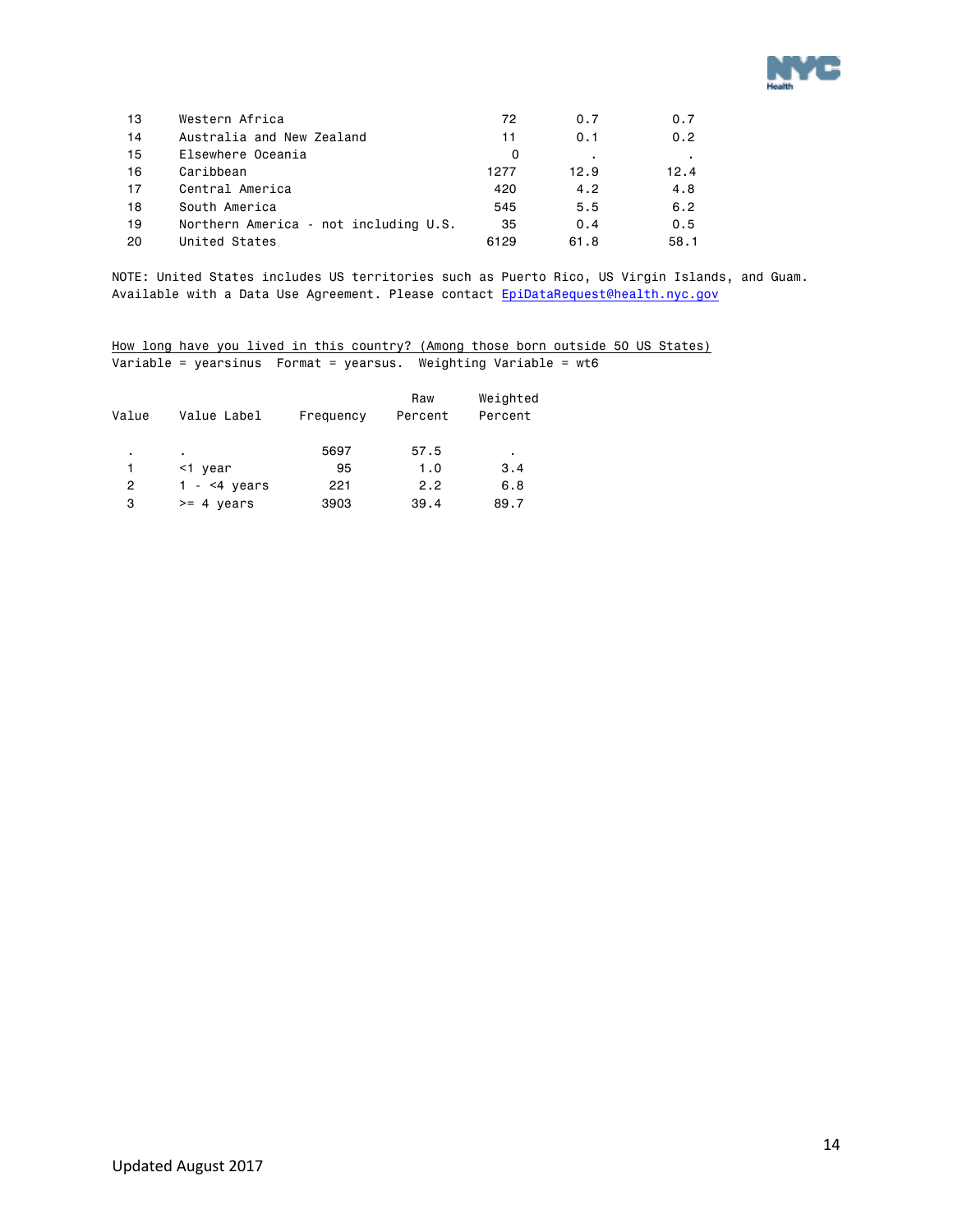

| 13 | Western Africa                        | 72   | 0.7  | 0.7  |
|----|---------------------------------------|------|------|------|
| 14 | Australia and New Zealand             | 11   | 0.1  | 0.2  |
| 15 | Elsewhere Oceania                     | 0    |      |      |
| 16 | Caribbean                             | 1277 | 12.9 | 12.4 |
| 17 | Central America                       | 420  | 4.2  | 4.8  |
| 18 | South America                         | 545  | 5.5  | 6.2  |
| 19 | Northern America - not including U.S. | 35   | 0.4  | 0.5  |
| 20 | United States                         | 6129 | 61.8 | 58.1 |

NOTE: United States includes US territories such as Puerto Rico, US Virgin Islands, and Guam. Available with a Data Use Agreement. Please contact EpiDataRequest@health.nyc.gov

How long have you lived in this country? (Among those born outside 50 US States) Variable = yearsinus Format = yearsus. Weighting Variable = wt6

|       |                      |           | Raw     | Weighted |
|-------|----------------------|-----------|---------|----------|
| Value | Value Label          | Frequency | Percent | Percent  |
|       |                      |           |         |          |
| ٠.    |                      | 5697      | 57.5    | ٠        |
|       | <1 year              | 95        | 1.0     | 3.4      |
| 2     | 1 - $<$ 4 years      | 221       | 2.2     | 6.8      |
| з     | $>= 4 \text{ years}$ | 3903      | 39.4    | 89.7     |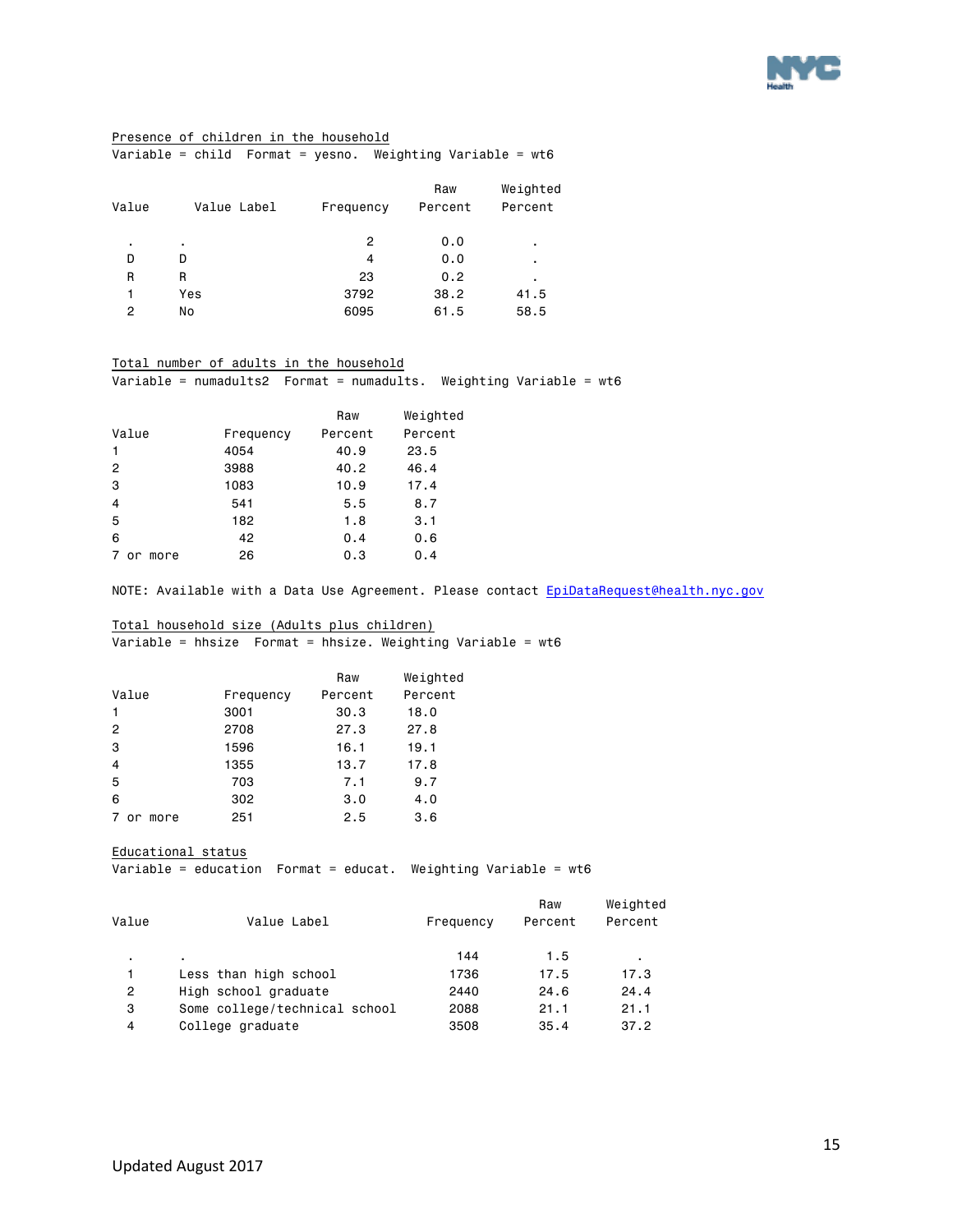

### Presence of children in the household

Variable = child Format = yesno. Weighting Variable = wt6

| Value | Value Label | Frequency | Raw<br>Percent | Weighted<br>Percent |
|-------|-------------|-----------|----------------|---------------------|
| ٠     | ٠           | 2         | 0.0            | ٠                   |
| D     | D           | 4         | 0.0            | ٠                   |
| R     | R           | 23        | 0.2            | ٠                   |
| 1     | Yes         | 3792      | 38.2           | 41.5                |
| 2     | No          | 6095      | 61.5           | 58.5                |
|       |             |           |                |                     |

#### Total number of adults in the household Variable = numadults2 Format = numadults. Weighting Variable = wt6

|                         |           | Raw     | Weighted |
|-------------------------|-----------|---------|----------|
| Value                   | Frequency | Percent | Percent  |
| 1                       | 4054      | 40.9    | 23.5     |
| $\overline{c}$          | 3988      | 40.2    | 46.4     |
| 3                       | 1083      | 10.9    | 17.4     |
| $\overline{\mathbf{4}}$ | 541       | 5.5     | 8.7      |
| 5                       | 182       | 1.8     | 3.1      |
| 6                       | 42        | 0.4     | 0.6      |
| 7<br>more<br>or         | 26        | 0.3     | 0.4      |

NOTE: Available with a Data Use Agreement. Please contact EpiDataRequest@health.nyc.gov

### Total household size (Adults plus children)

Variable = hhsize Format = hhsize. Weighting Variable = wt6

|                |           | Raw     | Weighted |
|----------------|-----------|---------|----------|
| Value          | Frequency | Percent | Percent  |
| $\mathbf{1}$   | 3001      | 30.3    | 18.0     |
| $\overline{2}$ | 2708      | 27.3    | 27.8     |
| 3              | 1596      | 16.1    | 19.1     |
| $\overline{4}$ | 1355      | 13.7    | 17.8     |
| 5              | 703       | 7.1     | 9.7      |
| 6              | 302       | 3.0     | 4.0      |
| or more<br>7   | 251       | 2.5     | 3.6      |

Educational status

Variable = education Format = educat. Weighting Variable = wt6

|       |                               |           | Raw     | Weighted |
|-------|-------------------------------|-----------|---------|----------|
| Value | Value Label                   | Frequency | Percent | Percent  |
| ٠     |                               | 144       | 1.5     |          |
| 1     | Less than high school         | 1736      | 17.5    | 17.3     |
| 2     | High school graduate          | 2440      | 24.6    | 24.4     |
| з     | Some college/technical school | 2088      | 21.1    | 21.1     |
| 4     | College graduate              | 3508      | 35.4    | 37.2     |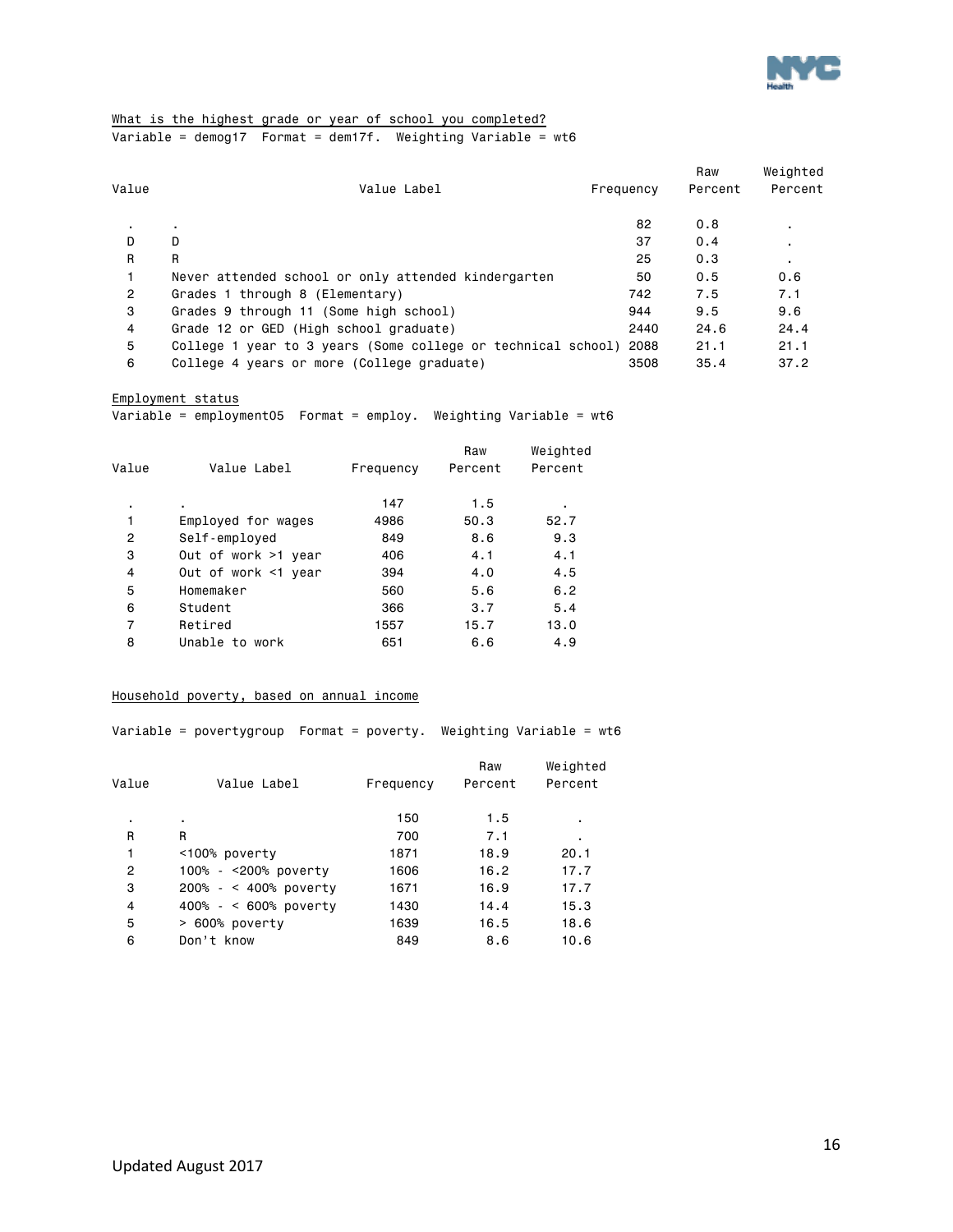

#### What is the highest grade or year of school you completed? Variable = demog17 Format = dem17f. Weighting Variable = wt6

| Value          | Value Label                                                       | Frequency | Raw<br>Percent | Weighted<br>Percent |
|----------------|-------------------------------------------------------------------|-----------|----------------|---------------------|
|                |                                                                   | 82        | 0.8            |                     |
| D.             | $\blacksquare$<br>D                                               | 37        | 0.4            | ٠                   |
| R              | R                                                                 | 25        | 0.3            | ٠.                  |
|                | Never attended school or only attended kindergarten               | 50        | 0.5            | 0.6                 |
| $\overline{2}$ | Grades 1 through 8 (Elementary)                                   | 742       | 7.5            | 7.1                 |
| 3              | Grades 9 through 11 (Some high school)                            | 944       | 9.5            | 9.6                 |
| 4              | Grade 12 or GED (High school graduate)                            | 2440      | 24.6           | 24.4                |
| 5              | College 1 year to 3 years (Some college or technical school) 2088 |           | 21.1           | 21.1                |
| 6              | College 4 years or more (College graduate)                        | 3508      | 35.4           | 37.2                |

Employment status

Variable = employment05 Format = employ. Weighting Variable = wt6

| Value          | Value Label         | Frequency | Raw<br>Percent | Weighted<br>Percent |
|----------------|---------------------|-----------|----------------|---------------------|
| ٠              | ٠.                  | 147       | 1.5            | ٠                   |
| 1              | Employed for wages  | 4986      | 50.3           | 52.7                |
| $\overline{2}$ | Self-employed       | 849       | 8.6            | 9.3                 |
| 3              | Out of work >1 year | 406       | 4.1            | 4.1                 |
| 4              | Out of work <1 year | 394       | 4.0            | 4.5                 |
| 5              | Homemaker           | 560       | 5.6            | 6.2                 |
| 6              | Student             | 366       | 3.7            | 5.4                 |
| 7              | Retired             | 1557      | 15.7           | 13.0                |
| 8              | Unable to work      | 651       | 6.6            | 4.9                 |
|                |                     |           |                |                     |

#### Household poverty, based on annual income

Variable = povertygroup Format = poverty. Weighting Variable = wt6

 Raw Weighted Value Value Label Frequency Percent Percent . . 150 1.5 . R R 700 7.1 . 1 <100% poverty 1871 18.9 20.1 2 100% - <200% poverty 1606 16.2 17.7 3 200% - < 400% poverty 1671 16.9 17.7 4 400% - < 600% poverty 1430 14.4 15.3 5 > 600% poverty 1639 16.5 18.6

6 Don't know 849 8.6 10.6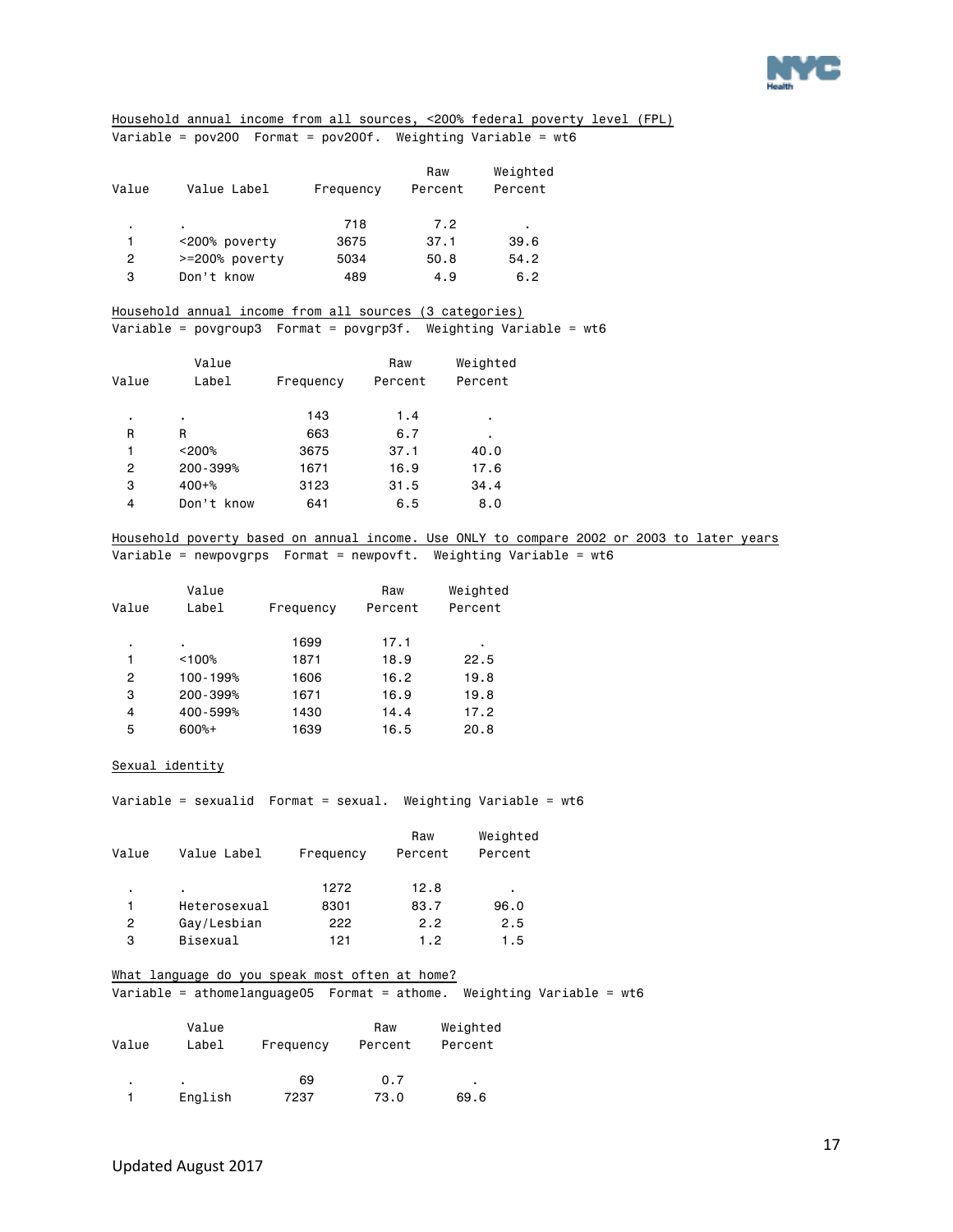

Household annual income from all sources, <200% federal poverty level (FPL) Variable = pov200 Format = pov200f. Weighting Variable = wt6

| Value | Value Label    | Frequency | Raw<br>Percent | Weighted<br>Percent |
|-------|----------------|-----------|----------------|---------------------|
| ٠     | ٠              | 718       | 7.2            | ٠                   |
|       | <200% poverty  | 3675      | 37.1           | 39.6                |
| 2     | >=200% poverty | 5034      | 50.8           | 54.2                |
| 3     | Don't know     | 489       | 4.9            | 6.2                 |

Household annual income from all sources (3 categories) Variable = povgroup3 Format = povgrp3f. Weighting Variable = wt6

|       | Value      |           | Raw     | Weighted |
|-------|------------|-----------|---------|----------|
| Value | Label      | Frequency | Percent | Percent  |
| ٠     | ٠          | 143       | 1.4     | ٠        |
| R     | R          | 663       | 6.7     | ٠        |
| 1     | < 200%     | 3675      | 37.1    | 40.0     |
| 2     | 200-399%   | 1671      | 16.9    | 17.6     |
| 3     | $400 + %$  | 3123      | 31.5    | 34.4     |
| 4     | Don't know | 641       | 6.5     | 8.0      |

Household poverty based on annual income. Use ONLY to compare 2002 or 2003 to later years Variable = newpovgrps Format = newpovft. Weighting Variable = wt6

|       | Value    |           | Raw     | Weighted |
|-------|----------|-----------|---------|----------|
| Value | Label    | Frequency | Percent | Percent  |
| ٠     | ٠        | 1699      | 17.1    | ٠        |
| 1     | < 100%   | 1871      | 18.9    | 22.5     |
| 2     | 100-199% | 1606      | 16.2    | 19.8     |
| 3     | 200-399% | 1671      | 16.9    | 19.8     |
| 4     | 400-599% | 1430      | 14.4    | 17.2     |
| 5     | $600%+$  | 1639      | 16.5    | 20.8     |

#### Sexual identity

Variable = sexualid Format = sexual. Weighting Variable = wt6

| Value | Value Label  | Frequency | Raw<br>Percent | Weighted<br>Percent |
|-------|--------------|-----------|----------------|---------------------|
| ٠     | ٠            | 1272      | 12.8           | ٠                   |
|       | Heterosexual | 8301      | 83.7           | 96.0                |
| 2     | Gay/Lesbian  | 222       | 2.2            | 2.5                 |
| 3     | Bisexual     | 121       | 1.2            | 1.5                 |

What language do you speak most often at home? Variable = athomelanguage05 Format = athome. Weighting Variable = wt6

|       | Value   |           | Raw     | Weighted |
|-------|---------|-----------|---------|----------|
| Value | Label   | Frequency | Percent | Percent  |
|       |         |           |         |          |
| ٠     | ٠       | 69        | 0.7     | ٠        |
|       | English | 7237      | 73.0    | 69.6     |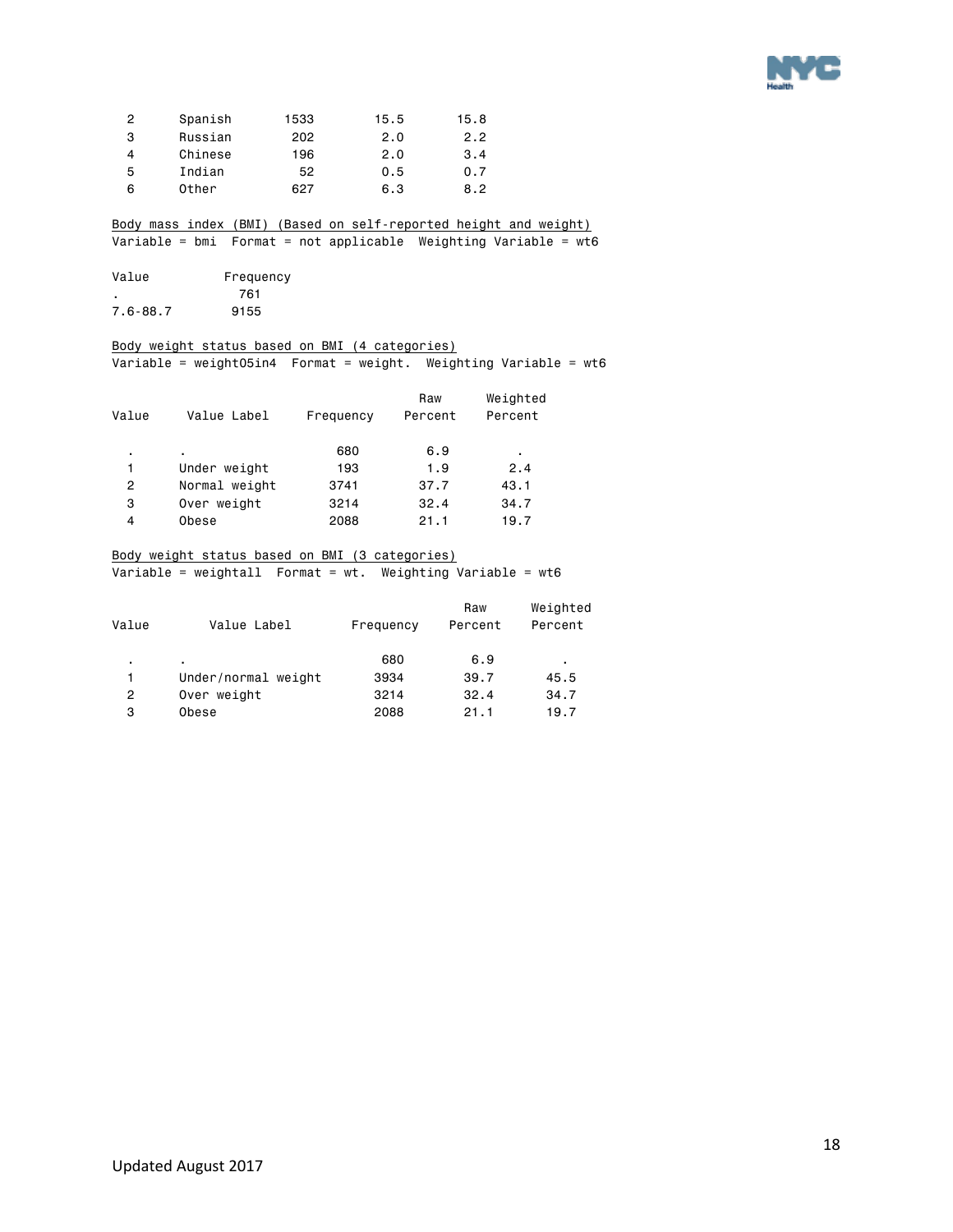

| 2 | Spanish | 1533 | 15.5 | 15.8 |
|---|---------|------|------|------|
| 3 | Russian | 202  | 2.0  | 2.2  |
| 4 | Chinese | 196  | 2.0  | 3.4  |
| 5 | Indian  | 52   | 0.5  | 0.7  |
| 6 | Other   | 627  | 6.3  | 8.2  |

Body mass index (BMI) (Based on self-reported height and weight) Variable = bmi Format = not applicable Weighting Variable =  $wt6$ 

| Value    | Frequency |
|----------|-----------|
|          | 761       |
| 7.6-88.7 | 9155      |

### Body weight status based on BMI (4 categories)

Variable = weight05in4 Format = weight. Weighting Variable = wt6

| Value | Value Label   | Frequency | Raw<br>Percent | Weighted<br>Percent |  |
|-------|---------------|-----------|----------------|---------------------|--|
| ٠.    | ٠             | 680       | 6.9            | ٠                   |  |
| 1     | Under weight  | 193       | 1.9            | 2.4                 |  |
| 2     | Normal weight | 3741      | 37.7           | 43.1                |  |
| 3     | Over weight   | 3214      | 32.4           | 34.7                |  |
| 4     | Obese         | 2088      | 21.1           | 19.7                |  |

### Body weight status based on BMI (3 categories)

Variable = weightall Format = wt. Weighting Variable = wt6

| Value | Value Label         |           | Raw<br>Percent | Weighted<br>Percent |
|-------|---------------------|-----------|----------------|---------------------|
|       |                     | Frequency |                |                     |
| ٠     |                     | 680       | 6.9            | ٠                   |
| 1     | Under/normal weight | 3934      | 39.7           | 45.5                |
| 2     | Over weight         | 3214      | 32.4           | 34.7                |
| 3     | Obese               | 2088      | 21.1           | 19.7                |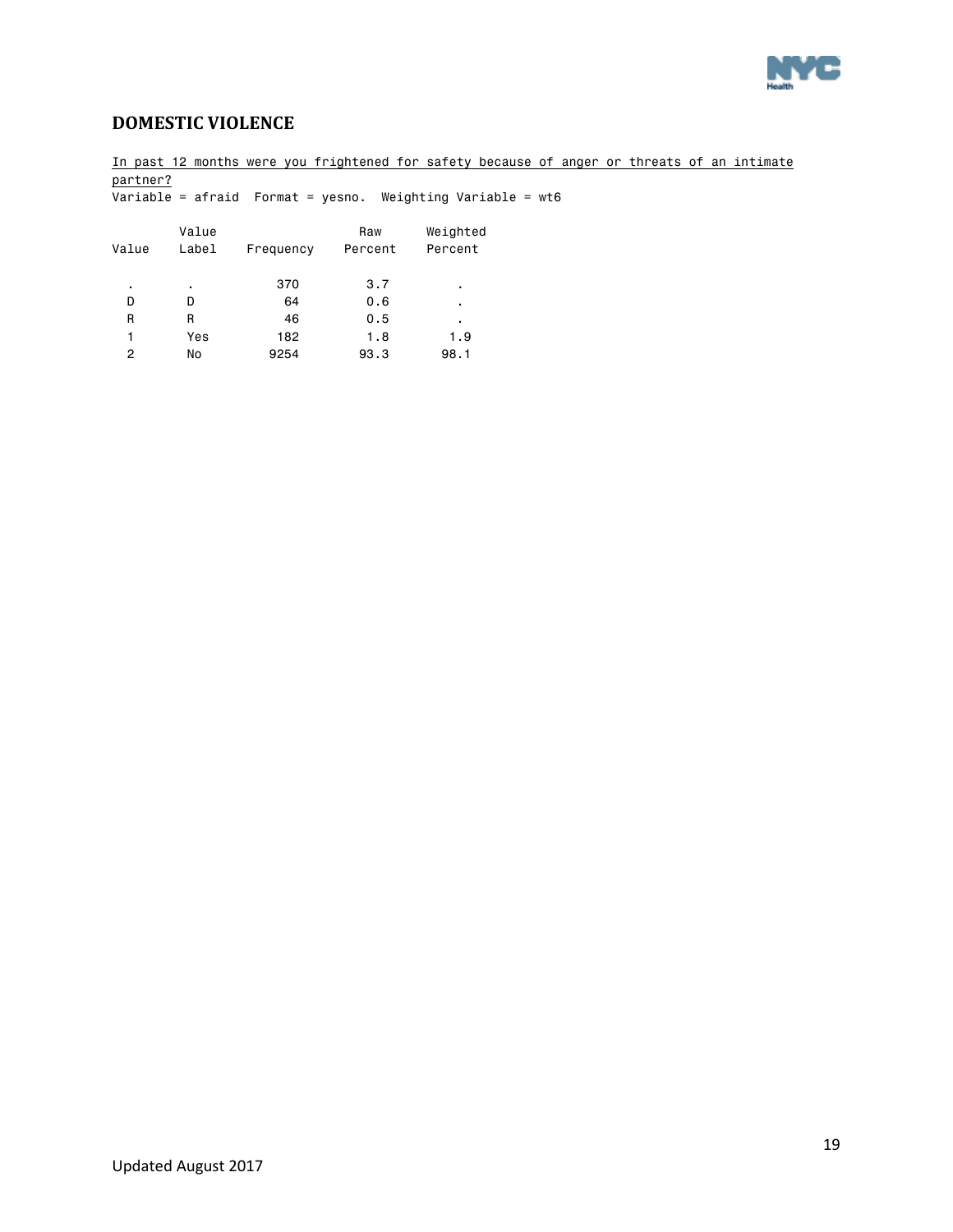

### <span id="page-18-0"></span>**DOMESTIC VIOLENCE**

2 No 9254 93.3 98.1

In past 12 months were you frightened for safety because of anger or threats of an intimate partner?  $\overline{\text{Variable}} = \text{a}$   $\text{�} = \text{a}$   $\text{�} = \text{b}$   $\text{B}$   $\text{B} = \text{b}$   $\text{b}$   $\text{b}$   $\text{b}$   $\text{b}$   $\text{b}$   $\text{b}$   $\text{b}$   $\text{b}$   $\text{c}$   $\text{b}$   $\text{d}$   $\text{d}$   $\text{d}$   $\text{d}$   $\text{b}$   $\text{d}$   $\text{d}$   $\text{d}$   $\text{d}$   $\$ Value **Raw** Weighted Value Label Frequency Percent Percent . . 370 3.7 . D D 64 0.6 . R R 46 0.5 . 1 Yes 182 1.8 1.9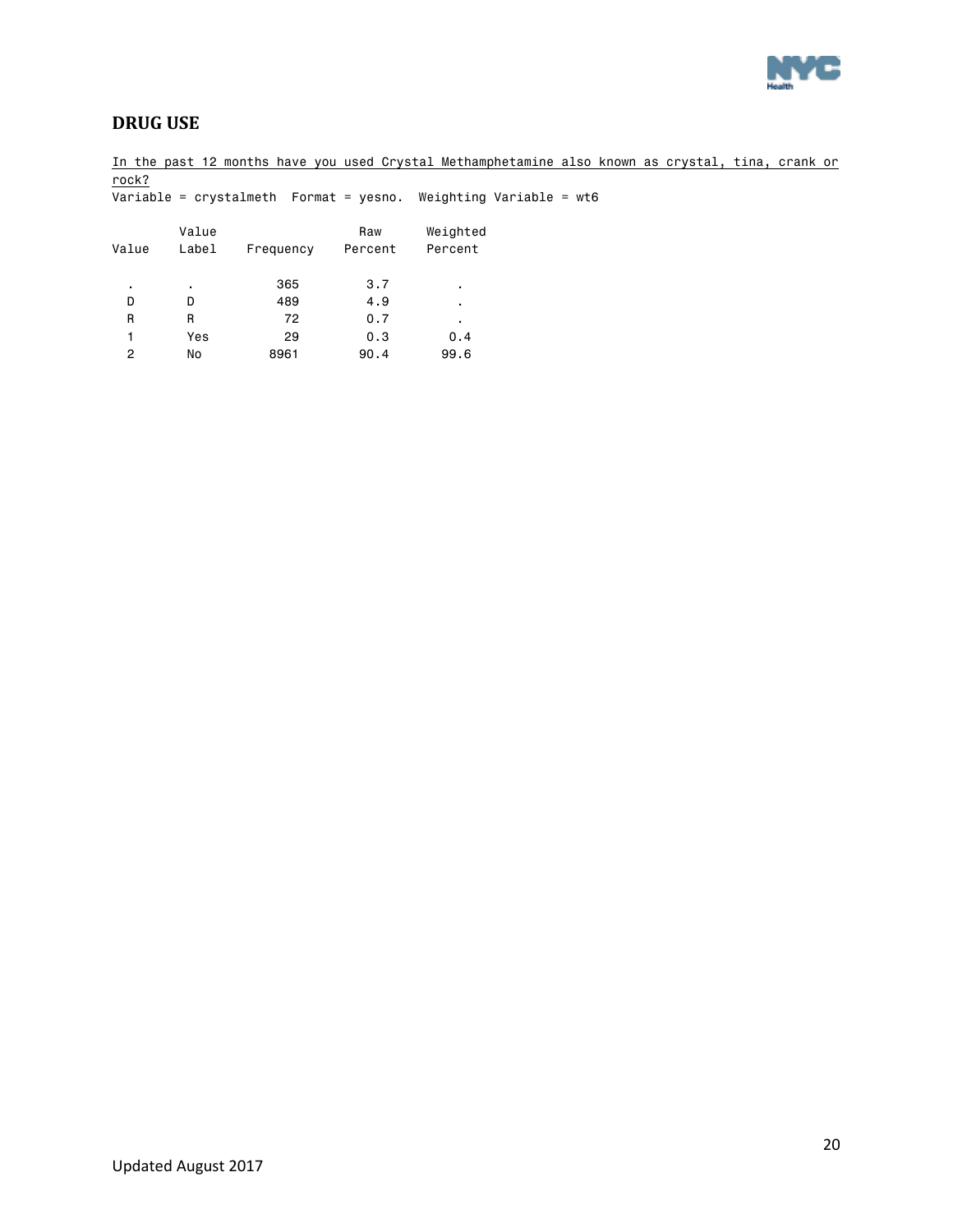

### <span id="page-19-0"></span>**DRUG USE**

1 Yes 29 0.3 0.4 2 No 8961 90.4 99.6

In the past 12 months have you used Crystal Methamphetamine also known as crystal, tina, crank or rock? Variable = crystalmeth Format = yesno. Weighting Variable = wt6 Value Raw Weighted Value Label Frequency Percent Percent . . 365 3.7 . D D 489 4.9 . R R 72 0.7 .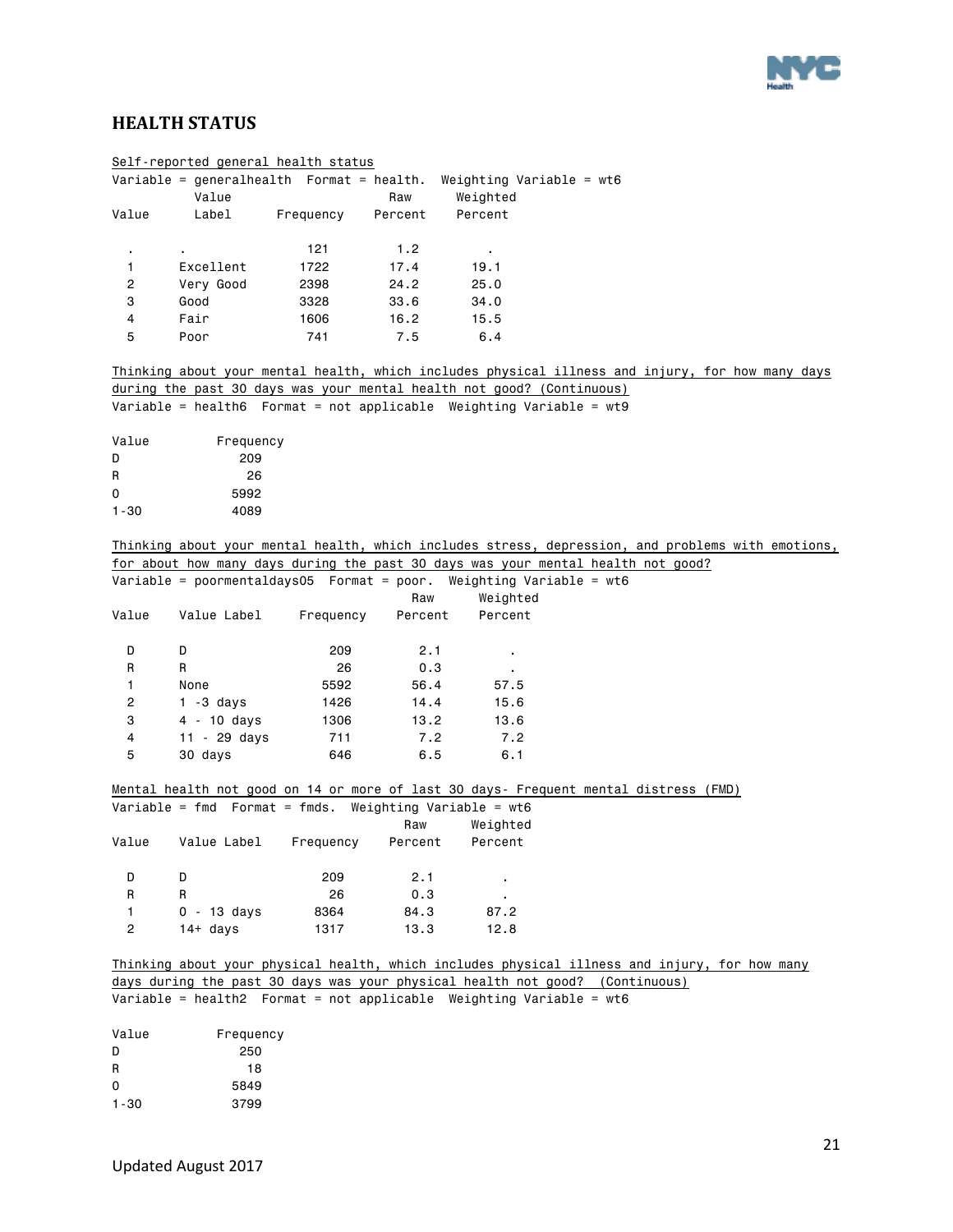

### <span id="page-20-0"></span>**HEALTH STATUS**

|                         | Self-reported general health status                           |           |         |                                                                                 |                                                                                                   |
|-------------------------|---------------------------------------------------------------|-----------|---------|---------------------------------------------------------------------------------|---------------------------------------------------------------------------------------------------|
|                         | Value                                                         |           | Raw     | Variable = generalhealth  Format = health. Weighting Variable = wt6<br>Weighted |                                                                                                   |
| Value                   | Label                                                         | Frequency | Percent | Percent                                                                         |                                                                                                   |
| $\blacksquare$          | $\blacksquare$                                                | 121       | 1.2     | $\bullet$ .                                                                     |                                                                                                   |
| 1                       | Excellent                                                     | 1722      | 17.4    | 19.1                                                                            |                                                                                                   |
| $\overline{c}$          | Very Good                                                     | 2398      | 24.2    | 25.0                                                                            |                                                                                                   |
| 3                       | Good                                                          | 3328      | 33.6    | 34.0                                                                            |                                                                                                   |
| 4                       | Fair                                                          | 1606      | 16.2    | 15.5                                                                            |                                                                                                   |
| 5                       | Poor                                                          | 741       | 7.5     | 6.4                                                                             |                                                                                                   |
|                         |                                                               |           |         |                                                                                 | Thinking about your mental health, which includes physical illness and injury, for how many days  |
|                         |                                                               |           |         | during the past 30 days was your mental health not good? (Continuous)           |                                                                                                   |
|                         |                                                               |           |         | Variable = health6    Format = not applicable    Weighting Variable = wt9       |                                                                                                   |
| Value                   | Frequency                                                     |           |         |                                                                                 |                                                                                                   |
| D                       | 209                                                           |           |         |                                                                                 |                                                                                                   |
| R                       | 26                                                            |           |         |                                                                                 |                                                                                                   |
| 0                       | 5992                                                          |           |         |                                                                                 |                                                                                                   |
| 1-30                    | 4089                                                          |           |         |                                                                                 |                                                                                                   |
|                         |                                                               |           |         |                                                                                 | Thinking about your mental health, which includes stress, depression, and problems with emotions, |
|                         |                                                               |           |         |                                                                                 | for about how many days during the past 30 days was your mental health not good?                  |
|                         |                                                               |           |         | Variable = poormentaldays05  Format = poor. Weighting Variable = wt6            |                                                                                                   |
|                         |                                                               |           | Raw     | Weighted                                                                        |                                                                                                   |
| Value                   | Value Label                                                   | Frequency | Percent | Percent                                                                         |                                                                                                   |
| D                       | D                                                             | 209       | 2.1     | ٠                                                                               |                                                                                                   |
| R                       | R                                                             | 26        | 0.3     |                                                                                 |                                                                                                   |
| 1                       | None                                                          | 5592      | 56.4    | 57.5                                                                            |                                                                                                   |
| $\overline{\mathbf{c}}$ | $1 - 3$ days                                                  | 1426      | 14.4    | 15.6                                                                            |                                                                                                   |
| 3                       | $4 - 10$ days                                                 | 1306      | 13.2    | 13.6                                                                            |                                                                                                   |
| 4                       | $11 - 29$ days                                                | 711       | 7.2     | 7.2                                                                             |                                                                                                   |
| 5                       | 30 days                                                       | 646       | 6.5     | 6.1                                                                             |                                                                                                   |
|                         |                                                               |           |         |                                                                                 | Mental health not good on 14 or more of last 30 days- Frequent mental distress (FMD)              |
|                         | Variable = $fmd$ Format = $fmds$ . Weighting Variable = $wt6$ |           |         |                                                                                 |                                                                                                   |
|                         |                                                               |           | Raw     | Weighted                                                                        |                                                                                                   |
| Value                   | Value Label                                                   | Frequency | Percent | Percent                                                                         |                                                                                                   |
| D                       | D                                                             | 209       | 2.1     |                                                                                 |                                                                                                   |
| R                       | R                                                             | 26        | 0.3     |                                                                                 |                                                                                                   |
| 1                       | $0 - 13$ days                                                 | 8364      | 84.3    | 87.2                                                                            |                                                                                                   |
| $\overline{c}$          | $14+$ days                                                    | 1317      | 13.3    | 12.8                                                                            |                                                                                                   |
|                         |                                                               |           |         |                                                                                 | Thinking about your physical health, which includes physical illness and injury, for how many     |
|                         |                                                               |           |         |                                                                                 | days during the past 30 days was your physical health not good? (Continuous)                      |
|                         |                                                               |           |         | Variable = health2  Format = not applicable Weighting Variable = $wt6$          |                                                                                                   |
| Value                   | Frequency                                                     |           |         |                                                                                 |                                                                                                   |
| D                       | 250                                                           |           |         |                                                                                 |                                                                                                   |
| R                       | 18                                                            |           |         |                                                                                 |                                                                                                   |
| 0                       | 5849                                                          |           |         |                                                                                 |                                                                                                   |
| $1 - 30$                | 3799                                                          |           |         |                                                                                 |                                                                                                   |
|                         |                                                               |           |         |                                                                                 |                                                                                                   |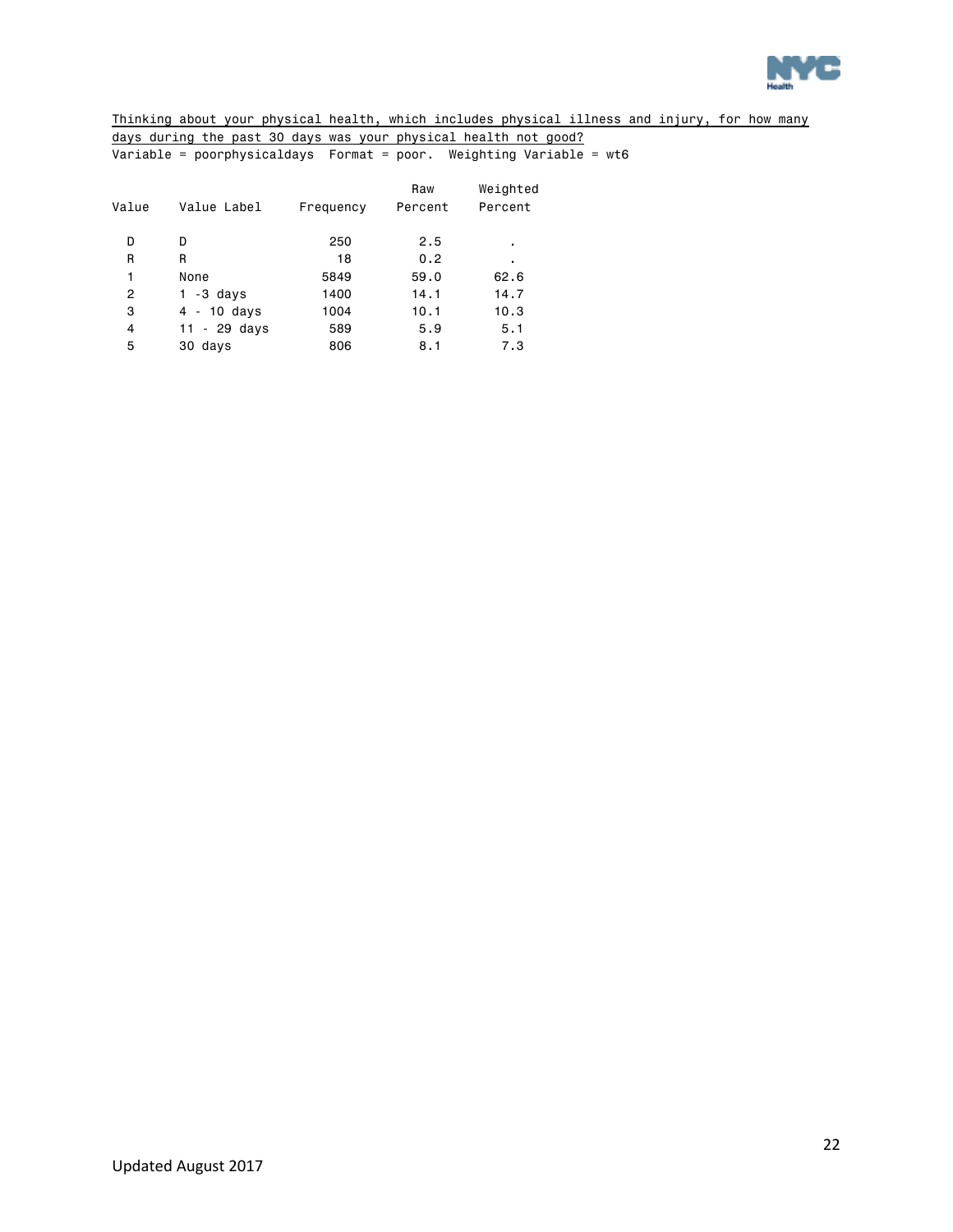

Thinking about your physical health, which includes physical illness and injury, for how many days during the past 30 days was your physical health not good? Variable = poorphysicaldays Format = poor. Weighting Variable = wt6

| Value | Value Label   | Frequency | Raw<br>Percent | Weighted<br>Percent |
|-------|---------------|-----------|----------------|---------------------|
| D     | D             | 250       | 2.5            | ٠                   |
| R     | R             | 18        | 0.2            | ٠                   |
| 1     | None          | 5849      | 59.0           | 62.6                |
| 2     | $1 - 3$ days  | 1400      | 14.1           | 14.7                |
| 3     | $4 - 10$ days | 1004      | 10.1           | 10.3                |
| 4     | 11 - 29 days  | 589       | 5.9            | 5.1                 |
| 5     | 30 days       | 806       | 8.1            | 7.3                 |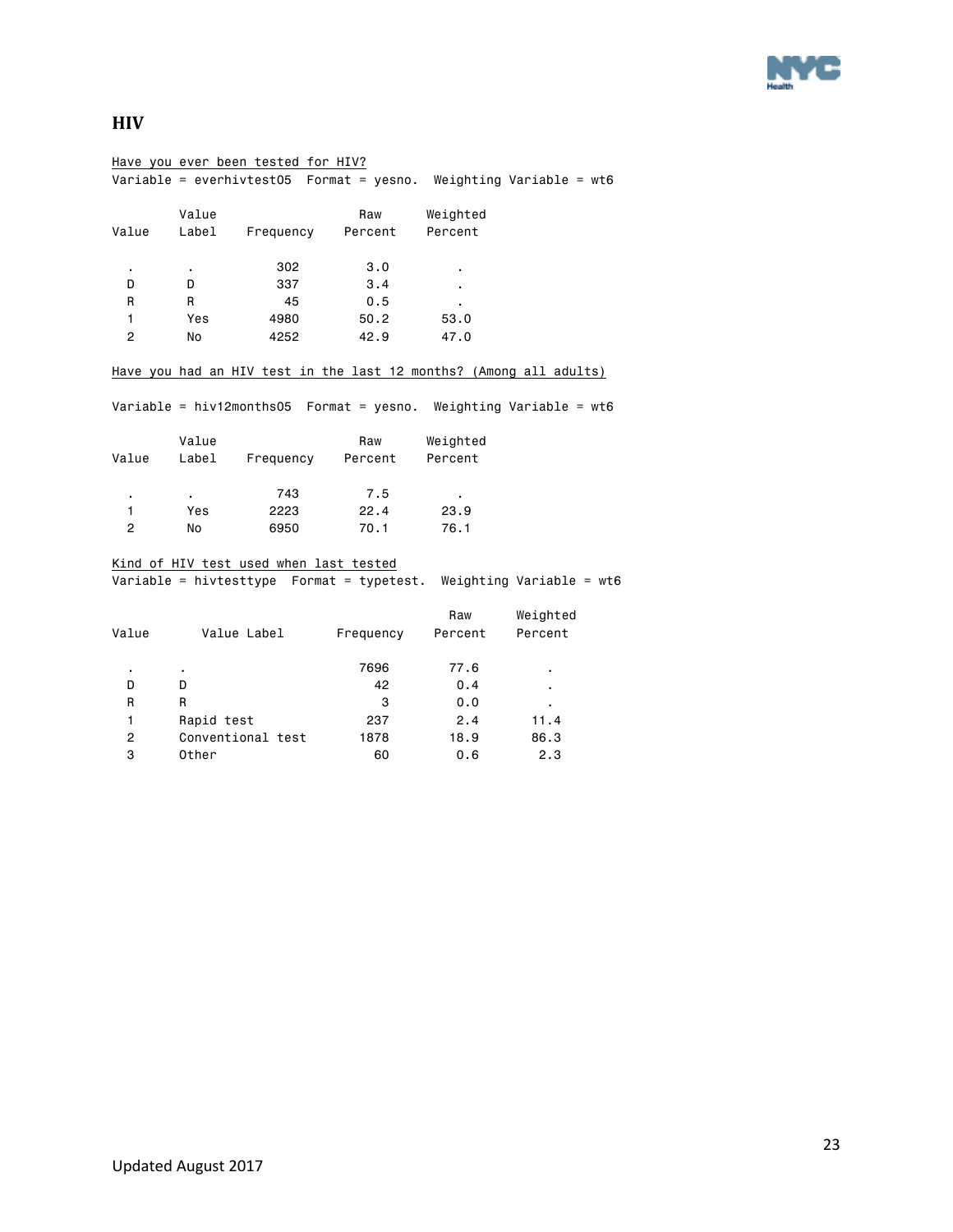

### <span id="page-22-0"></span>**HIV**

|                |                | Have you ever been tested for HIV?     |           |          |                                                                        |
|----------------|----------------|----------------------------------------|-----------|----------|------------------------------------------------------------------------|
|                |                |                                        |           |          | Variable = everhivtest05    Format = yesno. Weighting Variable = $wt6$ |
|                | Value          |                                        | Raw       | Weighted |                                                                        |
| Value          | Label          | Frequency                              | Percent   | Percent  |                                                                        |
| ٠              | $\blacksquare$ | 302                                    | 3.0       |          |                                                                        |
| D              | D              | 337                                    | 3.4       |          |                                                                        |
| R              | R.             | 45                                     | 0.5       |          |                                                                        |
| 1              | Yes            | 4980                                   | 50.2      | 53.0     |                                                                        |
| $\overline{c}$ | No             | 4252                                   | 42.9      | 47.0     |                                                                        |
|                |                |                                        |           |          | Have you had an HIV test in the last 12 months? (Among all adults)     |
|                |                |                                        |           |          | Variable = hiv12months05  Format = yesno. Weighting Variable = $w$ t6  |
|                | Value          |                                        | Raw       | Weighted |                                                                        |
| Value          | Label          | Frequency Percent                      |           | Percent  |                                                                        |
|                |                | 743                                    | 7.5       |          |                                                                        |
| $\mathbf{1}$   | Yes            | 2223                                   | 22.4      | 23.9     |                                                                        |
| $\overline{c}$ | No             | 6950                                   | 70.1      | 76.1     |                                                                        |
|                |                | Kind of HIV test used when last tested |           |          |                                                                        |
|                |                |                                        |           |          | Variable = hivtesttype  Format = typetest. Weighting Variable = wt6    |
|                |                |                                        |           | Raw      | Weighted                                                               |
| Value          |                | Value Label                            | Frequency | Percent  | Percent                                                                |
|                |                |                                        | 7696      | 77.6     |                                                                        |
| D              | D              |                                        | 42        | 0.4      |                                                                        |
| R              | R              |                                        | 3         | 0.0      |                                                                        |
| 1              | Rapid test     |                                        | 237       | 2.4      | 11.4                                                                   |
| 2              |                | Conventional test                      | 1878      | 18.9     | 86.3                                                                   |
| 3              | Other          |                                        | 60        | 0.6      | 2.3                                                                    |
|                |                |                                        |           |          |                                                                        |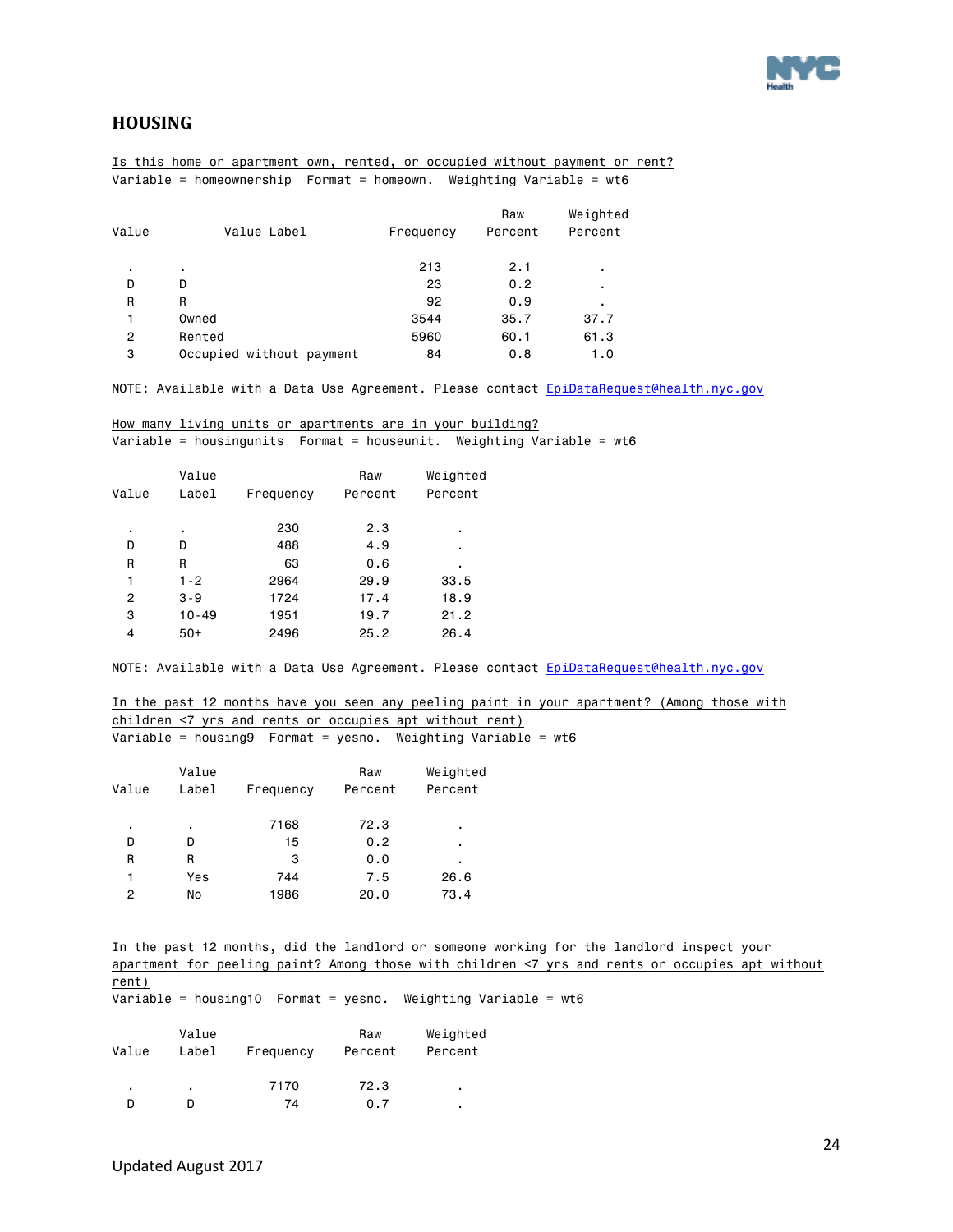

### <span id="page-23-0"></span>**HOUSING**

Is this home or apartment own, rented, or occupied without payment or rent? Variable = homeownership Format = homeown. Weighting Variable = wt6

| Value Label              | Frequency | Raw<br>Percent | Weighted<br>Percent |
|--------------------------|-----------|----------------|---------------------|
| ٠.                       | 213       | 2.1            | ٠                   |
| D                        | 23        | 0.2            | ٠                   |
| R                        | 92        | 0.9            | ٠                   |
| Owned                    | 3544      | 35.7           | 37.7                |
| Rented                   | 5960      | 60.1           | 61.3                |
| Occupied without payment | 84        | 0.8            | 1.0                 |
|                          |           |                |                     |

NOTE: Available with a Data Use Agreement. Please contact EpiDataRequest@health.nyc.gov

How many living units or apartments are in your building? Variable = housingunits Format = houseunit. Weighting Variable = wt6

|       | Value     |           | Raw     | Weighted |
|-------|-----------|-----------|---------|----------|
| Value | Label     | Frequency | Percent | Percent  |
|       |           |           |         |          |
| ٠     | ٠         | 230       | 2.3     | ٠        |
| D     | D         | 488       | 4.9     | ٠        |
| R     | R         | 63        | 0.6     | ٠        |
| 1     | $1 - 2$   | 2964      | 29.9    | 33.5     |
| 2     | $3 - 9$   | 1724      | 17.4    | 18.9     |
| 3     | $10 - 49$ | 1951      | 19.7    | 21.2     |
| 4     | $50+$     | 2496      | 25.2    | 26.4     |

NOTE: Available with a Data Use Agreement. Please contact [EpiDataRequest@health.nyc.gov](mailto:EpiDataRequest@health.nyc.gov) 

In the past 12 months have you seen any peeling paint in your apartment? (Among those with children <7 yrs and rents or occupies apt without rent) Variable = housing9 Format = yesno. Weighting  $Variable = wt6$ 

|       | Value |           | Raw     | Weighted |
|-------|-------|-----------|---------|----------|
| Value | Label | Frequency | Percent | Percent  |
| ٠     | ٠     | 7168      | 72.3    | ٠        |
| D     | D     | 15        | 0.2     | ٠        |
| R     | R     | 3         | 0.0     | ٠        |
| 1     | Yes   | 744       | 7.5     | 26.6     |
| 2     | No    | 1986      | 20.0    | 73.4     |

In the past 12 months, did the landlord or someone working for the landlord inspect your apartment for peeling paint? Among those with children <7 yrs and rents or occupies apt without rent)

Variable = housing10 Format = yesno. Weighting Variable = wt6

| Value | Value<br>Label | Frequency | Raw<br>Percent | Weighted<br>Percent |
|-------|----------------|-----------|----------------|---------------------|
| ٠     | ٠              | 7170      | 72.3           | ٠                   |
|       |                | 74        | 0.7            | ٠                   |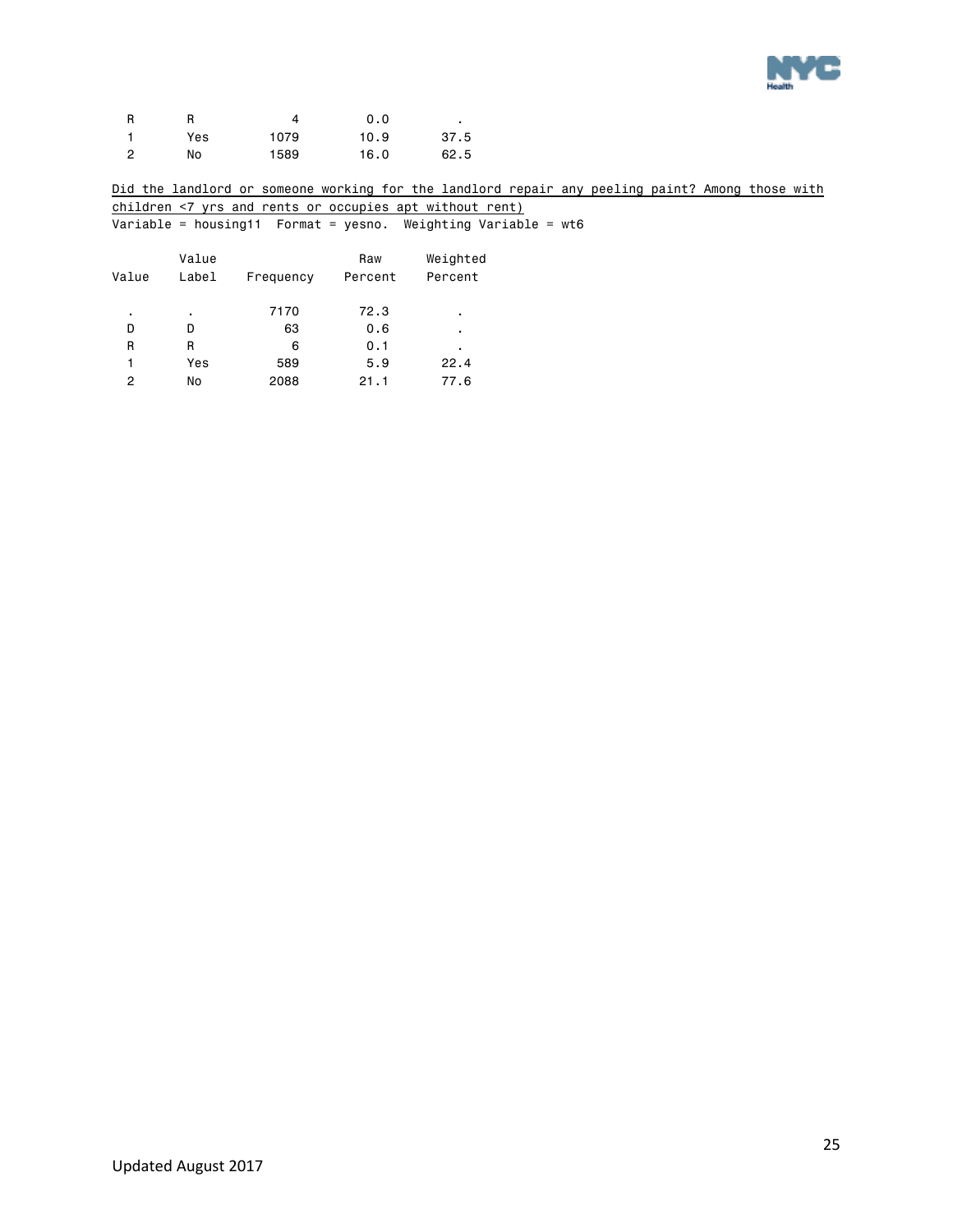

| R |     |      | 0.0  |      |
|---|-----|------|------|------|
|   | Yes | 1079 | 10.9 | 37.5 |
| 0 | No  | 1589 | 16.0 | 62.5 |

Did the landlord or someone working for the landlord repair any peeling paint? Among those with children <7 yrs and rents or occupies apt without rent)

 $\overline{\text{Variable}} = \text{housing11}$  Format = yesno. Weighting Variable = wt6

| Value | Value<br>Label | Frequency | Raw<br>Percent | Weighted<br>Percent |
|-------|----------------|-----------|----------------|---------------------|
| ٠     | ٠              | 7170      | 72.3           | ٠                   |
| D     | D              | 63        | 0.6            | ٠                   |
| R     | R              | 6         | 0.1            | ٠                   |
| 1     | Yes            | 589       | 5.9            | 22.4                |
| 2     | No             | 2088      | 21.1           | 77.6                |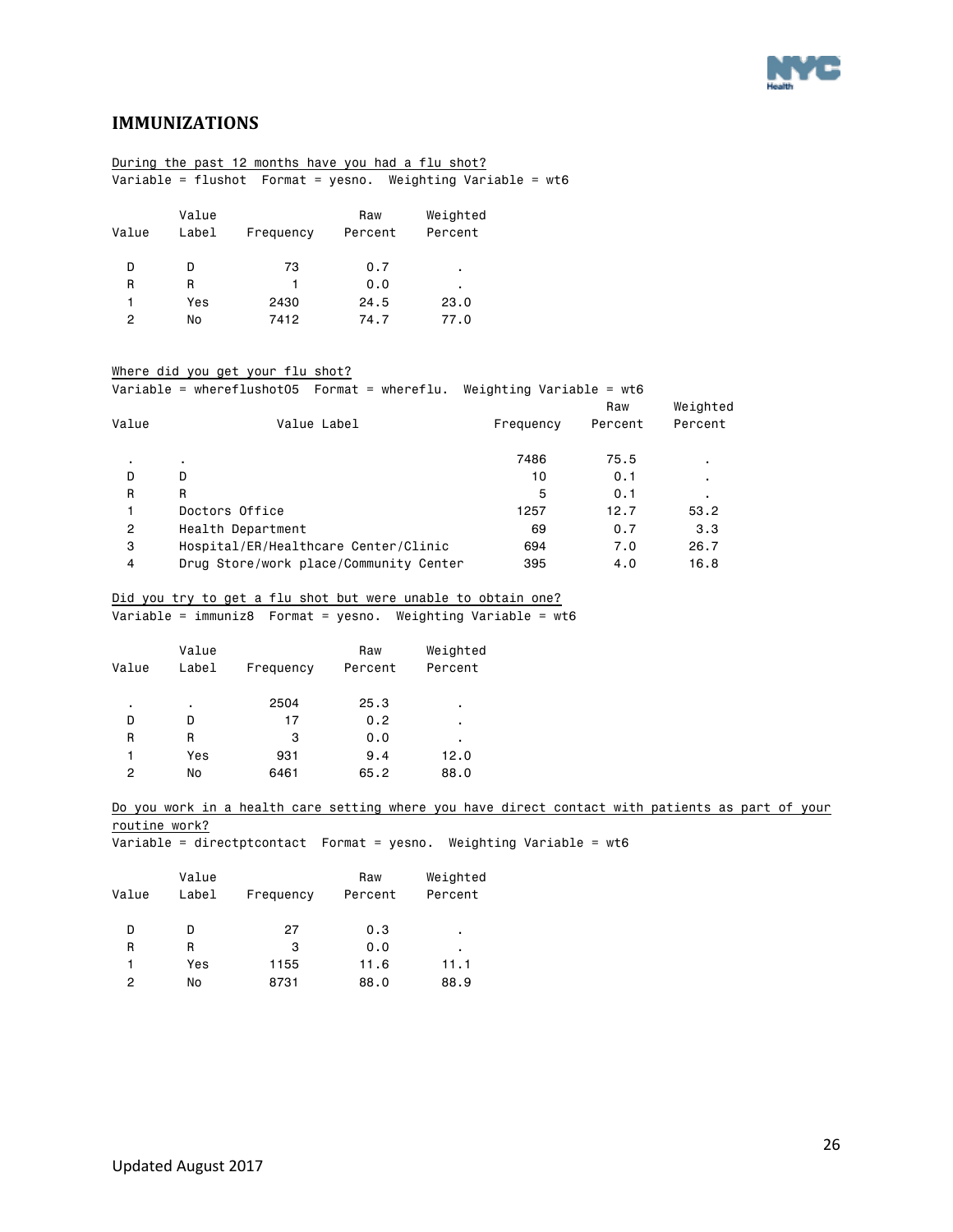

### <span id="page-25-0"></span>**IMMUNIZATIONS**

|       |       | During the past 12 months have you had a flu shot? |         |          |  |
|-------|-------|----------------------------------------------------|---------|----------|--|
|       |       |                                                    |         |          |  |
|       | Value |                                                    | Raw     | Weighted |  |
| Value | Label | Frequency                                          | Percent | Percent  |  |
| D     | D     | 73                                                 | 0.7     |          |  |
|       |       |                                                    |         | ٠        |  |
| R     | R     |                                                    | 0.0     | ٠        |  |
| 1     | Yes   | 2430                                               | 24.5    | 23.0     |  |
| 2     | No    | 7412                                               | 74.7    | 77.0     |  |
|       |       |                                                    |         |          |  |

#### Where did you get your flu shot?

|                | Variable = whereflushot05    Format = whereflu. | Weighting Variable = $wt6$ |         |          |
|----------------|-------------------------------------------------|----------------------------|---------|----------|
|                |                                                 |                            | Raw     | Weighted |
| Value          | Value Label                                     | Frequency                  | Percent | Percent  |
| $\blacksquare$ | ٠                                               | 7486                       | 75.5    |          |
| D              | D                                               | 10                         | 0.1     |          |
| R              | R                                               | 5                          | 0.1     |          |
|                | Doctors Office                                  | 1257                       | 12.7    | 53.2     |
| 2              | Health Department                               | 69                         | 0.7     | 3.3      |
| 3              | Hospital/ER/Healthcare Center/Clinic            | 694                        | 7.0     | 26.7     |
| 4              | Drug Store/work place/Community Center          | 395                        | 4.0     | 16.8     |
|                |                                                 |                            |         |          |

### Did you try to get a flu shot but were unable to obtain one?

 $\overline{\text{Variable}} = \text{immuniz8}$  Format = yesno. Weighting Variable = wt6

| Value | Value<br>Label | Frequency | Raw<br>Percent | Weighted<br>Percent |
|-------|----------------|-----------|----------------|---------------------|
| ٠     | ٠              | 2504      | 25.3           | ٠                   |
| D     | D              | 17        | 0.2            | ٠                   |
| R     | R              | 3         | 0.0            | ٠                   |
| 1     | Yes            | 931       | 9.4            | 12.0                |
| 2     | No             | 6461      | 65.2           | 88.0                |
|       |                |           |                |                     |

#### Do you work in a health care setting where you have direct contact with patients as part of your routine work?

Variable = directptcontact Format = yesno. Weighting Variable = wt6

| Value | Value<br>Label | Frequency | Raw<br>Percent | Weighted<br>Percent |
|-------|----------------|-----------|----------------|---------------------|
| D     |                | 27        | 0.3            | ٠                   |
| R     | R              | 3         | 0.0            | ٠                   |
| 1     | Yes            | 1155      | 11.6           | 11.1                |
| 2     | No             | 8731      | 88.0           | 88.9                |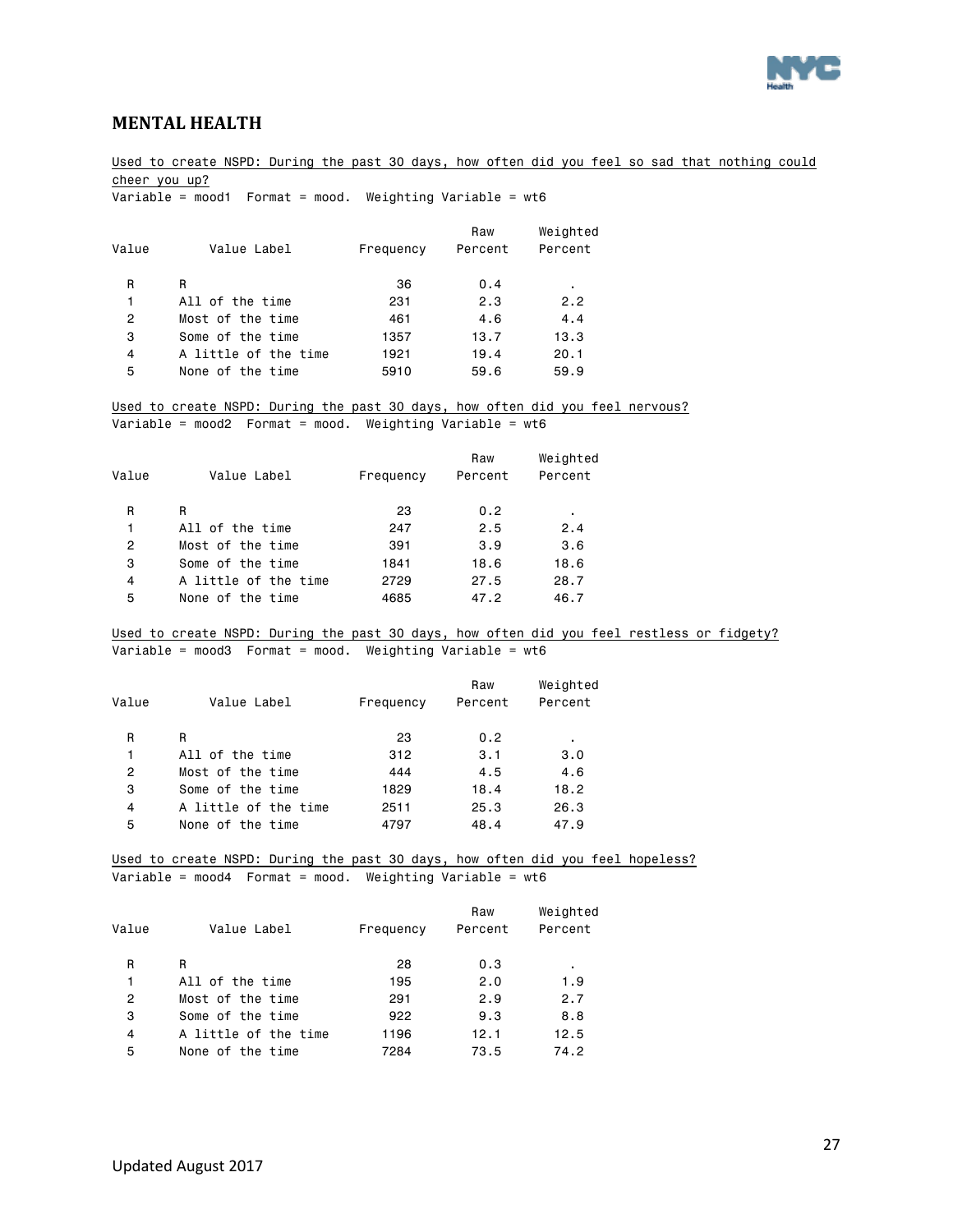

### <span id="page-26-0"></span>**MENTAL HEALTH**

Used to create NSPD: During the past 30 days, how often did you feel so sad that nothing could cheer you up?

Variable = mood1 Format = mood. Weighting Variable = wt6

| Value Label          | Frequency | Raw<br>Percent | Weighted<br>Percent |
|----------------------|-----------|----------------|---------------------|
| R                    | 36        | 0.4            | ٠                   |
| All of the time      | 231       | 2.3            | 2.2                 |
| Most of the time     | 461       | 4.6            | 4.4                 |
| Some of the time     | 1357      | 13.7           | 13.3                |
| A little of the time | 1921      | 19.4           | 20.1                |
| None of the time     | 5910      | 59.6           | 59.9                |
|                      |           |                |                     |

Used to create NSPD: During the past 30 days, how often did you feel nervous? Variable = mood2 Format = mood. Weighting Variable = wt6

| Weighted<br>Percent |
|---------------------|
|                     |
| 2.4                 |
| 3.6                 |
| 18.6                |
| 28.7                |
| 46.7                |
| ٠                   |

Used to create NSPD: During the past 30 days, how often did you feel restless or fidgety? Variable = mood3 Format = mood. Weighting Variable = wt6

|       |                      |           | Raw     | Weighted |
|-------|----------------------|-----------|---------|----------|
| Value | Value Label          | Frequency | Percent | Percent  |
| R     | R                    | 23        | 0.2     | ٠        |
| 1     | All of the time      | 312       | 3.1     | 3.0      |
| 2     | Most of the time     | 444       | 4.5     | 4.6      |
| 3     | Some of the time     | 1829      | 18.4    | 18.2     |
| 4     | A little of the time | 2511      | 25.3    | 26.3     |
| 5     | None of the time     | 4797      | 48.4    | 47.9     |

Used to create NSPD: During the past 30 days, how often did you feel hopeless? Variable = mood4 Format = mood. Weighting Variable = wt6

| Value          | Value Label          | Frequency | Raw<br>Percent | Weighted<br>Percent |
|----------------|----------------------|-----------|----------------|---------------------|
| R              | R                    | 28        | 0.3            | $\blacksquare$      |
| 1              | All of the time      | 195       | 2.0            | 1.9                 |
| $\overline{2}$ | Most of the time     | 291       | 2.9            | 2.7                 |
| 3              | Some of the time     | 922       | 9.3            | 8.8                 |
| 4              | A little of the time | 1196      | 12.1           | 12.5                |
| 5              | None of the time     | 7284      | 73.5           | 74.2                |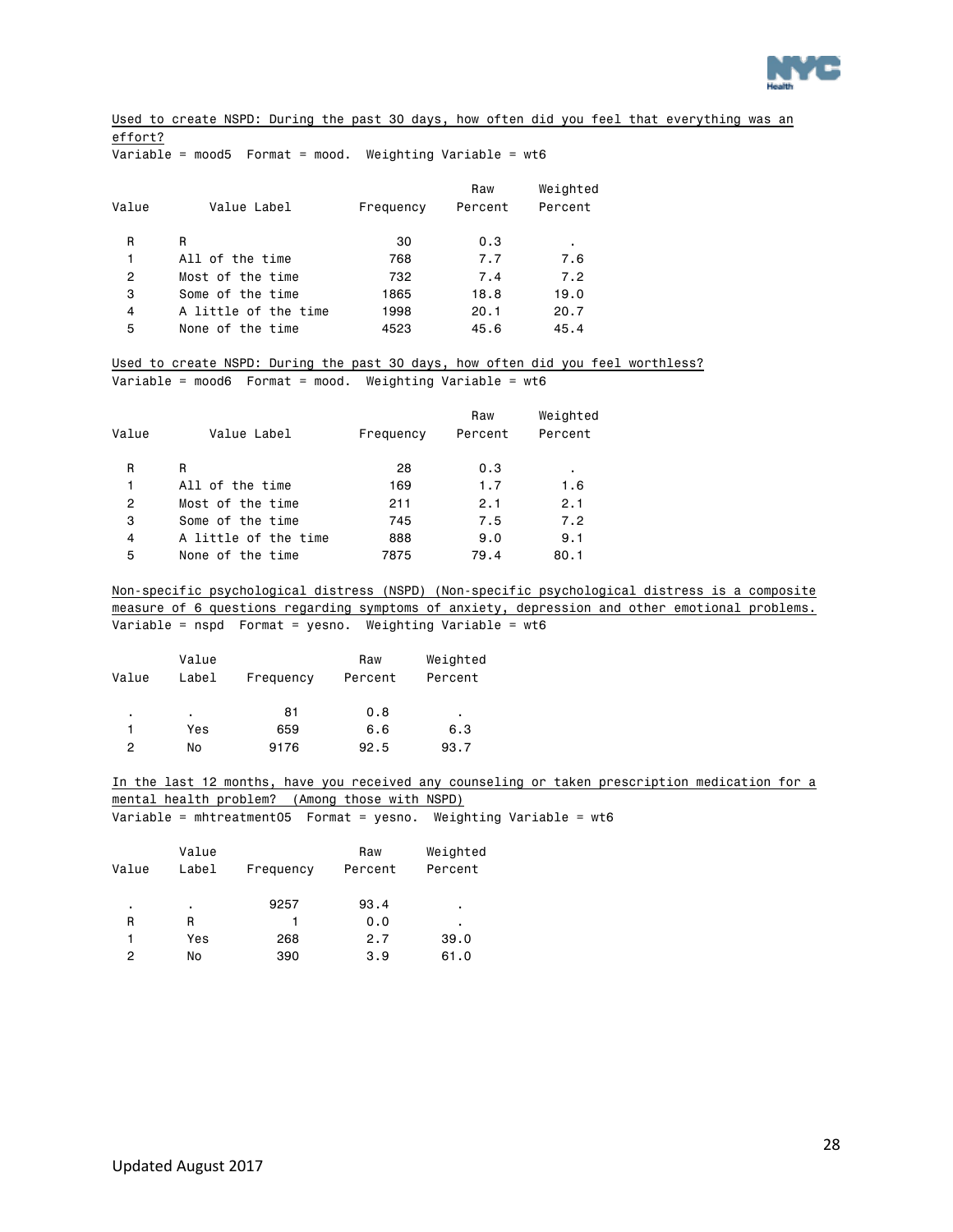

Used to create NSPD: During the past 30 days, how often did you feel that everything was an effort?

 $\overline{\text{Variable}}$  = mood5 Format = mood. Weighting Variable = wt6

| Value Label          | Frequency | Raw<br>Percent | Weighted<br>Percent |
|----------------------|-----------|----------------|---------------------|
| R                    | 30        | 0.3            | ٠                   |
| All of the time      | 768       | 7.7            | 7.6                 |
| Most of the time     | 732       | 7.4            | 7.2                 |
| Some of the time     | 1865      | 18.8           | 19.0                |
| A little of the time | 1998      | 20.1           | 20.7                |
| None of the time     | 4523      | 45.6           | 45.4                |
|                      |           |                |                     |

Used to create NSPD: During the past 30 days, how often did you feel worthless? Variable = mood6 Format = mood. Weighting Variable =  $wt6$ 

| Value | Value Label          | Frequency | Raw<br>Percent | Weighted<br>Percent |
|-------|----------------------|-----------|----------------|---------------------|
| R     | R                    | 28        | 0.3            | $\blacksquare$      |
| 1     | All of the time      | 169       | 1.7            | 1.6                 |
| 2     | Most of the time     | 211       | 2.1            | 2.1                 |
| 3     | Some of the time     | 745       | 7.5            | 7.2                 |
| 4     | A little of the time | 888       | 9.0            | 9.1                 |
| 5     | None of the time     | 7875      | 79.4           | 80.1                |

Non-specific psychological distress (NSPD) (Non-specific psychological distress is a composite measure of 6 questions regarding symptoms of anxiety, depression and other emotional problems. Variable = nspd Format = yesno. Weighting Variable = wt6

| Value | Value<br>Label | Frequency | Raw<br>Percent | Weighted<br>Percent |
|-------|----------------|-----------|----------------|---------------------|
| ٠     | ٠.             | 81        | 0.8            | ٠                   |
|       | Yes            | 659       | 6.6            | 6.3                 |
| 2     | No             | 9176      | 92.5           | 93.7                |

In the last 12 months, have you received any counseling or taken prescription medication for a mental health problem? (Among those with NSPD) Variable = mhtreatment05 Format = yesno. Weighting Variable = wt6

| Value | Value<br>Label | Frequency | Raw<br>Percent | Weighted<br>Percent |
|-------|----------------|-----------|----------------|---------------------|
| ٠     | ٠              | 9257      | 93.4           | ٠                   |
| R     | R              | 1         | 0.0            | ٠                   |
| 1     | Yes            | 268       | 2.7            | 39.0                |
| 2     | No             | 390       | 3.9            | 61.0                |
|       |                |           |                |                     |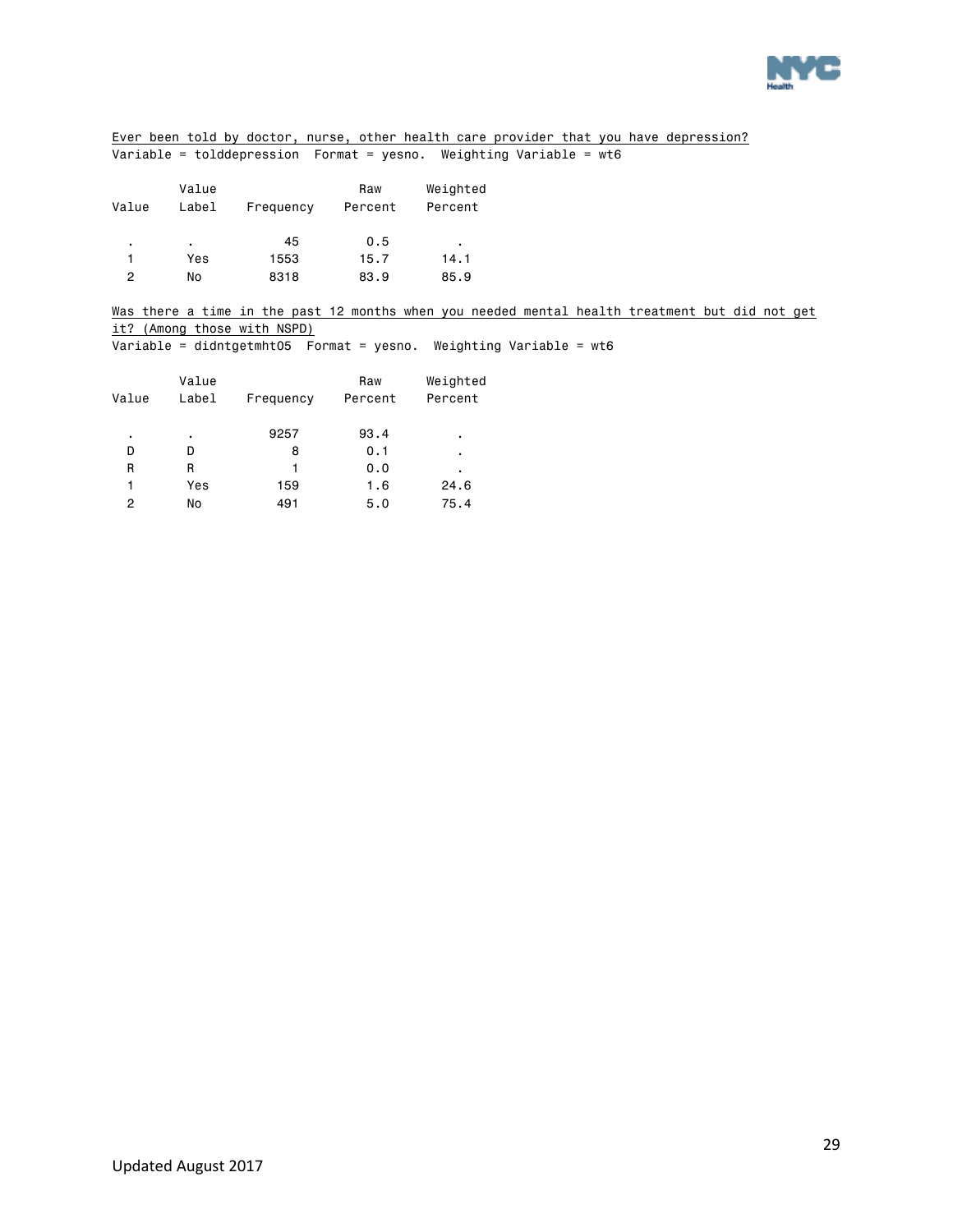

Ever been told by doctor, nurse, other health care provider that you have depression? Variable = tolddepression Format = yesno. Weighting Variable = wt6

| Value | Value<br>Label | Frequency | Raw<br>Percent | Weighted<br>Percent |
|-------|----------------|-----------|----------------|---------------------|
| ٠     | ٠              | 45        | 0.5            | ٠                   |
|       | Yes            | 1553      | 15.7           | 14.1                |
| 2     | No             | 8318      | 83.9           | 85.9                |

Was there a time in the past 12 months when you needed mental health treatment but did not get it? (Among those with NSPD)

Variable = didntgetmht05 Format = yesno. Weighting Variable = wt6

|       | Value |           | Raw     | Weighted |
|-------|-------|-----------|---------|----------|
| Value | Label | Frequency | Percent | Percent  |
|       |       |           |         |          |
| ٠     | ٠     | 9257      | 93.4    | ٠        |
| D     | D     | 8         | 0.1     | ٠        |
| R     | R     | 1         | 0.0     | ٠        |
|       | Yes   | 159       | 1.6     | 24.6     |
| 2     | No    | 491       | 5.0     | 75.4     |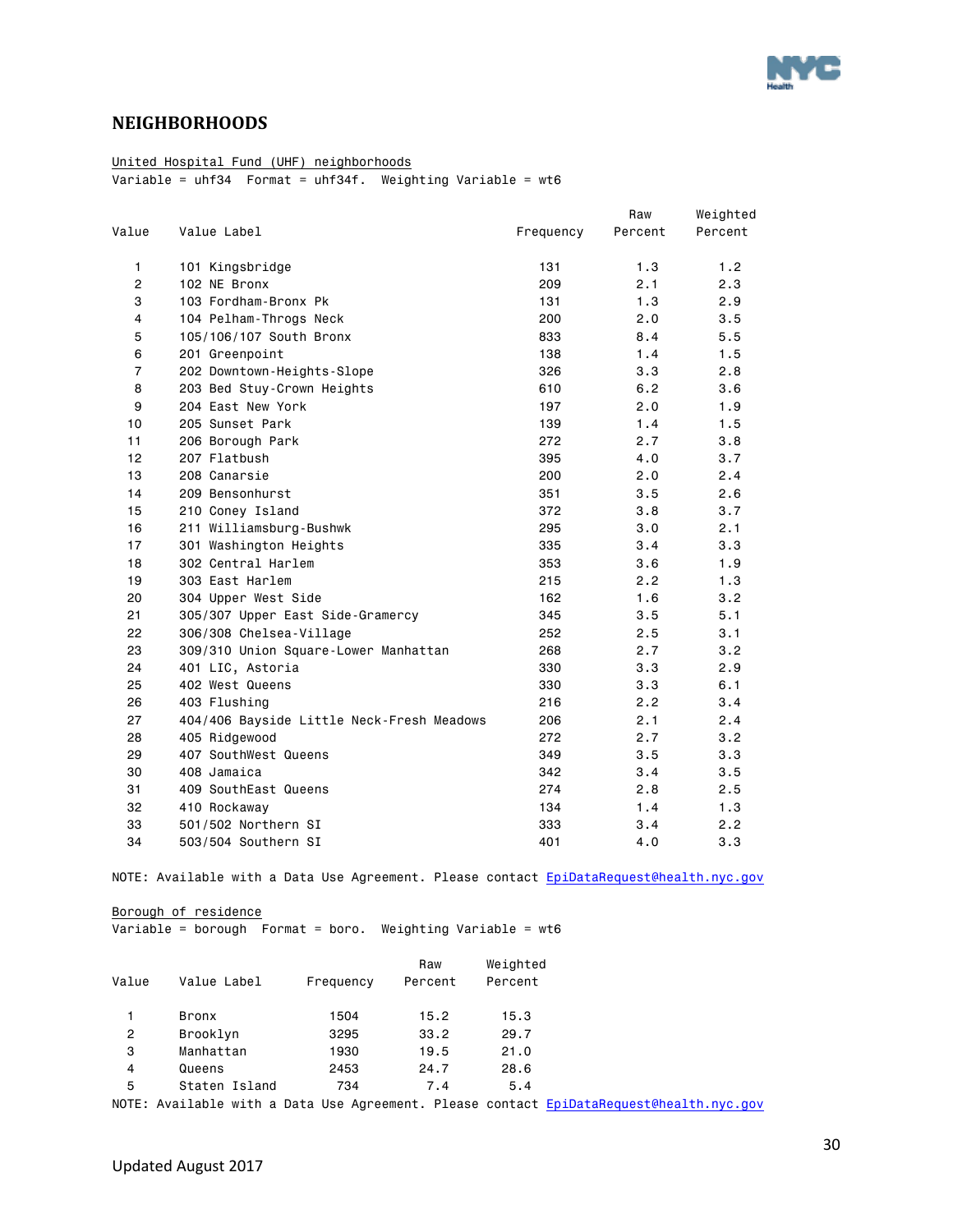

### <span id="page-29-0"></span>**NEIGHBORHOODS**

### United Hospital Fund (UHF) neighborhoods

Variable = uhf34 Format = uhf34f. Weighting Variable = wt6

|                |                                           |           | Raw     | Weighted |
|----------------|-------------------------------------------|-----------|---------|----------|
| Value          | Value Label                               | Frequency | Percent | Percent  |
| $\mathbf{1}$   | 101 Kingsbridge                           | 131       | 1.3     | 1.2      |
| $\mathbf{2}$   | 102 NE Bronx                              | 209       | 2.1     | 2.3      |
| 3              | 103 Fordham-Bronx Pk                      | 131       | 1.3     | 2.9      |
| 4              | 104 Pelham-Throgs Neck                    | 200       | 2.0     | 3.5      |
| 5              | 105/106/107 South Bronx                   | 833       | 8.4     | 5.5      |
| 6              | 201 Greenpoint                            | 138       | 1.4     | 1.5      |
| $\overline{7}$ | 202 Downtown-Heights-Slope                | 326       | 3.3     | 2.8      |
| 8              | 203 Bed Stuy-Crown Heights                | 610       | 6.2     | 3.6      |
| 9              | 204 East New York                         | 197       | 2.0     | 1.9      |
| 10             | 205 Sunset Park                           | 139       | 1.4     | 1.5      |
| 11             | 206 Borough Park                          | 272       | 2.7     | 3.8      |
| 12             | 207 Flatbush                              | 395       | 4.0     | 3.7      |
| 13             | 208 Canarsie                              | 200       | 2.0     | 2.4      |
| 14             | 209 Bensonhurst                           | 351       | 3.5     | 2.6      |
| 15             | 210 Coney Island                          | 372       | 3.8     | 3.7      |
| 16             | 211 Williamsburg-Bushwk                   | 295       | 3.0     | 2.1      |
| 17             | 301 Washington Heights                    | 335       | 3.4     | 3.3      |
| 18             | 302 Central Harlem                        | 353       | 3.6     | 1.9      |
| 19             | 303 East Harlem                           | 215       | 2.2     | 1.3      |
| 20             | 304 Upper West Side                       | 162       | 1.6     | 3.2      |
| 21             | 305/307 Upper East Side-Gramercy          | 345       | 3.5     | 5.1      |
| 22             | 306/308 Chelsea-Village                   | 252       | 2.5     | 3.1      |
| 23             | 309/310 Union Square-Lower Manhattan      | 268       | 2.7     | 3.2      |
| 24             | 401 LIC, Astoria                          | 330       | 3.3     | 2.9      |
| 25             | 402 West Queens                           | 330       | 3.3     | 6.1      |
| 26             | 403 Flushing                              | 216       | 2.2     | 3.4      |
| 27             | 404/406 Bayside Little Neck-Fresh Meadows | 206       | 2.1     | 2.4      |
| 28             | 405 Ridgewood                             | 272       | 2.7     | 3.2      |
| 29             | 407 SouthWest Queens                      | 349       | 3.5     | 3.3      |
| 30             | 408 Jamaica                               | 342       | 3.4     | 3.5      |
| 31             | 409 SouthEast Queens                      | 274       | 2.8     | 2.5      |
| 32             | 410 Rockaway                              | 134       | 1.4     | 1.3      |
| 33             | 501/502 Northern SI                       | 333       | 3.4     | 2.2      |
| 34             | 503/504 Southern SI                       | 401       | 4.0     | 3.3      |

NOTE: Available with a Data Use Agreement. Please contact EpiDataRequest@health.nyc.gov

Borough of residence

Variable = borough Format = boro. Weighting Variable = wt6

|       |               |           | Raw     | Weighted |  |
|-------|---------------|-----------|---------|----------|--|
| Value | Value Label   | Frequency | Percent | Percent  |  |
|       |               |           |         |          |  |
| 1     | <b>Bronx</b>  | 1504      | 15.2    | 15.3     |  |
| 2     | Brooklyn      | 3295      | 33.2    | 29.7     |  |
| 3     | Manhattan     | 1930      | 19.5    | 21.0     |  |
| 4     | Queens        | 2453      | 24.7    | 28.6     |  |
| 5     | Staten Island | 734       | 7.4     | 5.4      |  |
|       |               |           |         |          |  |

NOTE: Available with a Data Use Agreement. Please contact EpiDataRequest@health.nyc.gov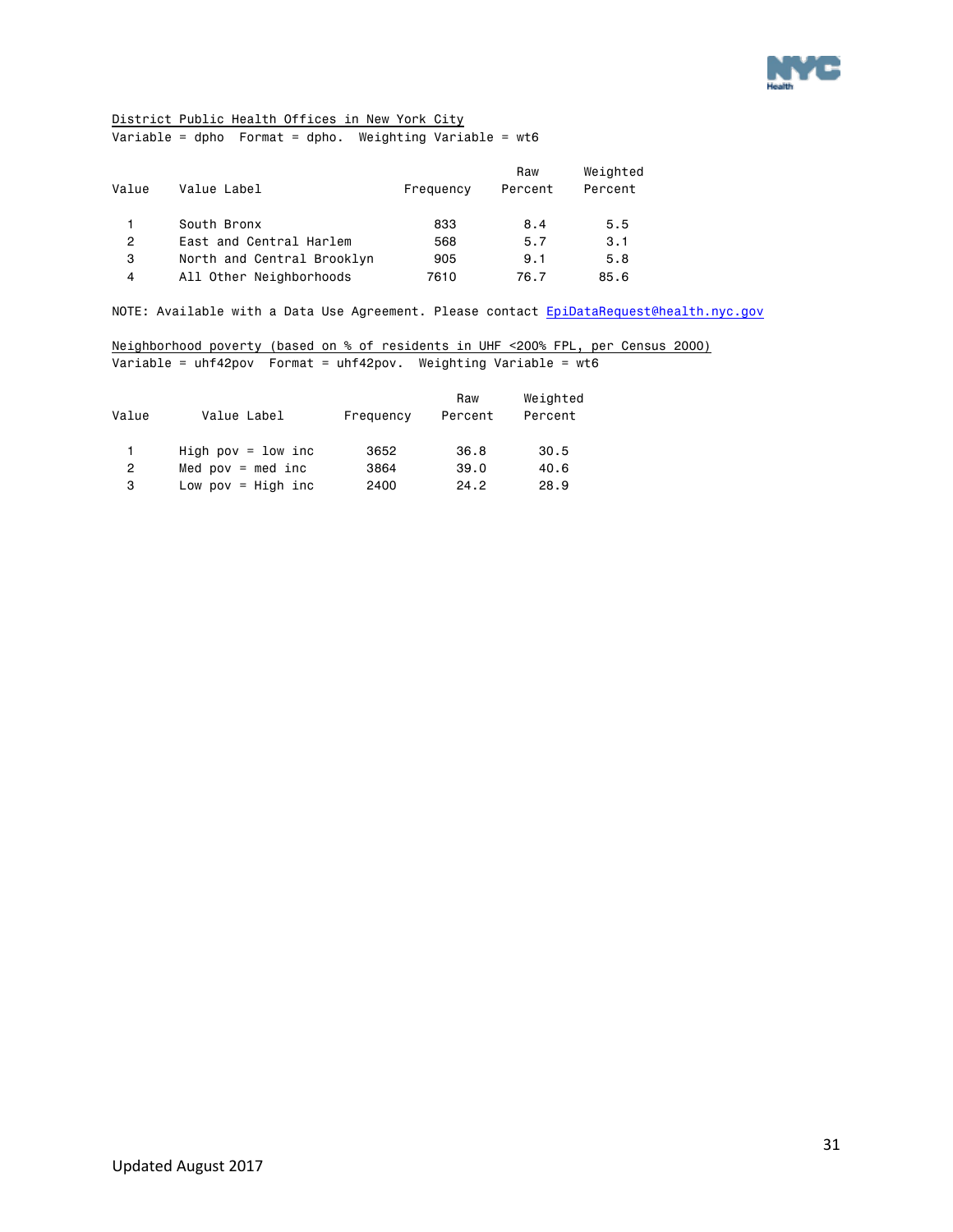

### District Public Health Offices in New York City

Variable = dpho Format = dpho. Weighting Variable = wt6

| Value | Value Label                | Frequency | Raw<br>Percent | Weighted<br>Percent |
|-------|----------------------------|-----------|----------------|---------------------|
|       | South Bronx                | 833       | 8.4            | 5.5                 |
| 2     | East and Central Harlem    | 568       | 5.7            | 3.1                 |
| 3     | North and Central Brooklyn | 905       | 9.1            | 5.8                 |
| 4     | All Other Neighborhoods    | 7610      | 76.7           | 85.6                |

NOTE: Available with a Data Use Agreement. Please contact EpiDataRequest@health.nyc.gov

Neighborhood poverty (based on % of residents in UHF <200% FPL, per Census 2000) Variable = uhf42pov Format = uhf42pov. Weighting Variable = wt6

| Value          | Value Label           | Frequency | Raw<br>Percent | Weighted<br>Percent |
|----------------|-----------------------|-----------|----------------|---------------------|
| 1.             | High pov = $1$ ow inc | 3652      | 36.8           | 30.5                |
| $\overline{2}$ | Med $pow = med inc$   | 3864      | 39.0           | 40.6                |
| 3              | Low pov = $High$ inc  | 2400      | 24.2           | 28.9                |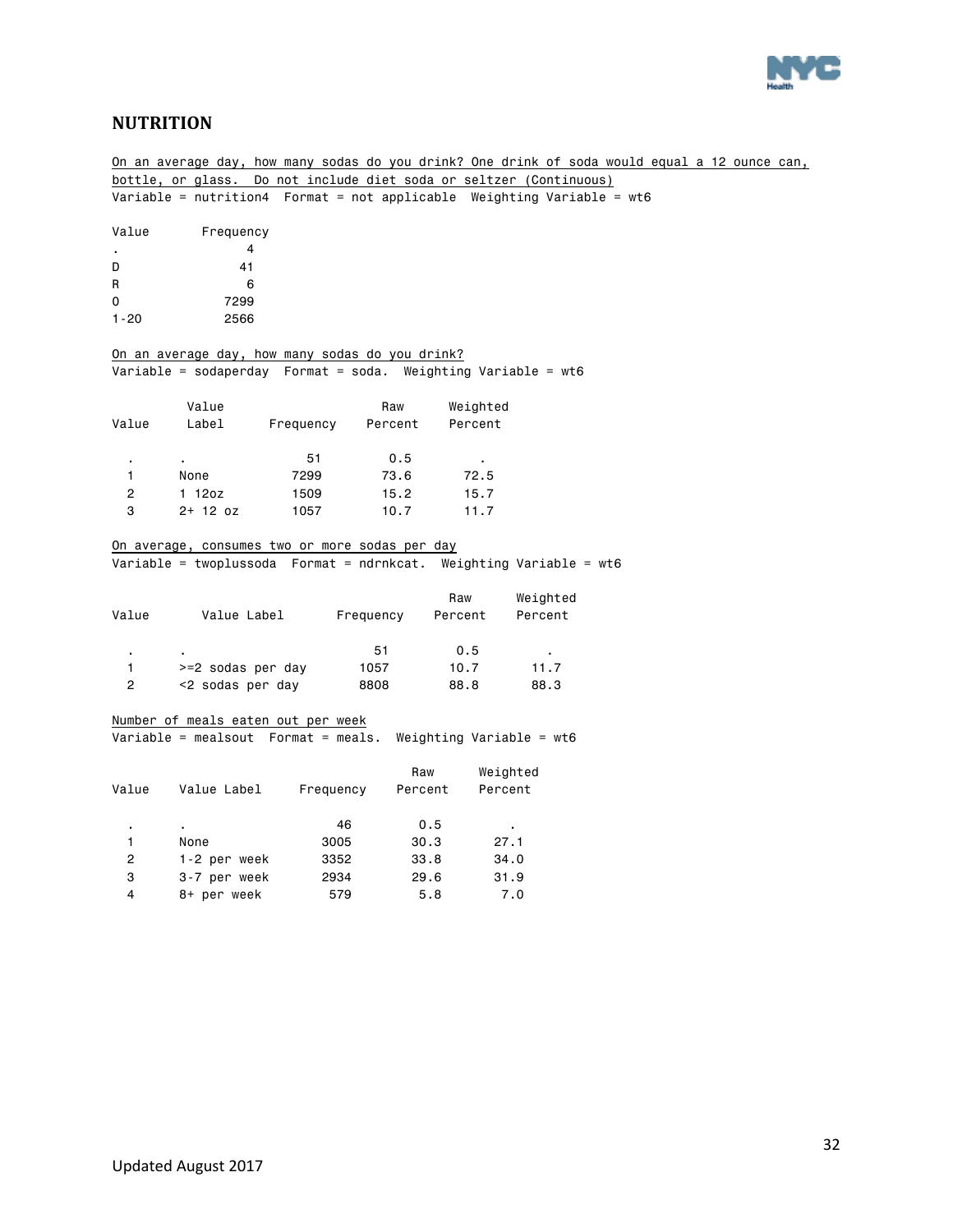

### <span id="page-31-0"></span>**NUTRITION**

On an average day, how many sodas do you drink? One drink of soda would equal a 12 ounce can, bottle, or glass. Do not include diet soda or seltzer (Continuous) Variable = nutrition4 Format = not applicable Weighting Variable = wt6 Value Frequency . 4 D 41 R 6 0 7299 1-20 2566 On an average day, how many sodas do you drink? Variable = sodaperday Format = soda. Weighting Variable = wt6 Value Raw Weighted Value Label Frequency Percent Percent . . 51 0.5 . 1 None 7299 73.6 72.5 2 1 12oz 1509 15.2 15.7 3 2+ 12 oz 1057 10.7 11.7 On average, consumes two or more sodas per day Variable = twoplussoda Format = ndrnkcat. Weighting Variable = wt6 Raw Weighted Value Value Label Frequency Percent Percent . . 51 0.5 . 1 >=2 sodas per day 1057 10.7 11.7 2 <2 sodas per day 8808 88.8 88.3 Number of meals eaten out per week Variable = mealsout Format = meals. Weighting Variable = wt6 Raw Weighted Value Value Label Frequency Percent Percent . . 46 0.5 . 1 None 3005 30.3 27.1 2 1-2 per week 3352 33.8 34.0 3 3-7 per week 2934 29.6 31.9 4 8+ per week 579 5.8 7.0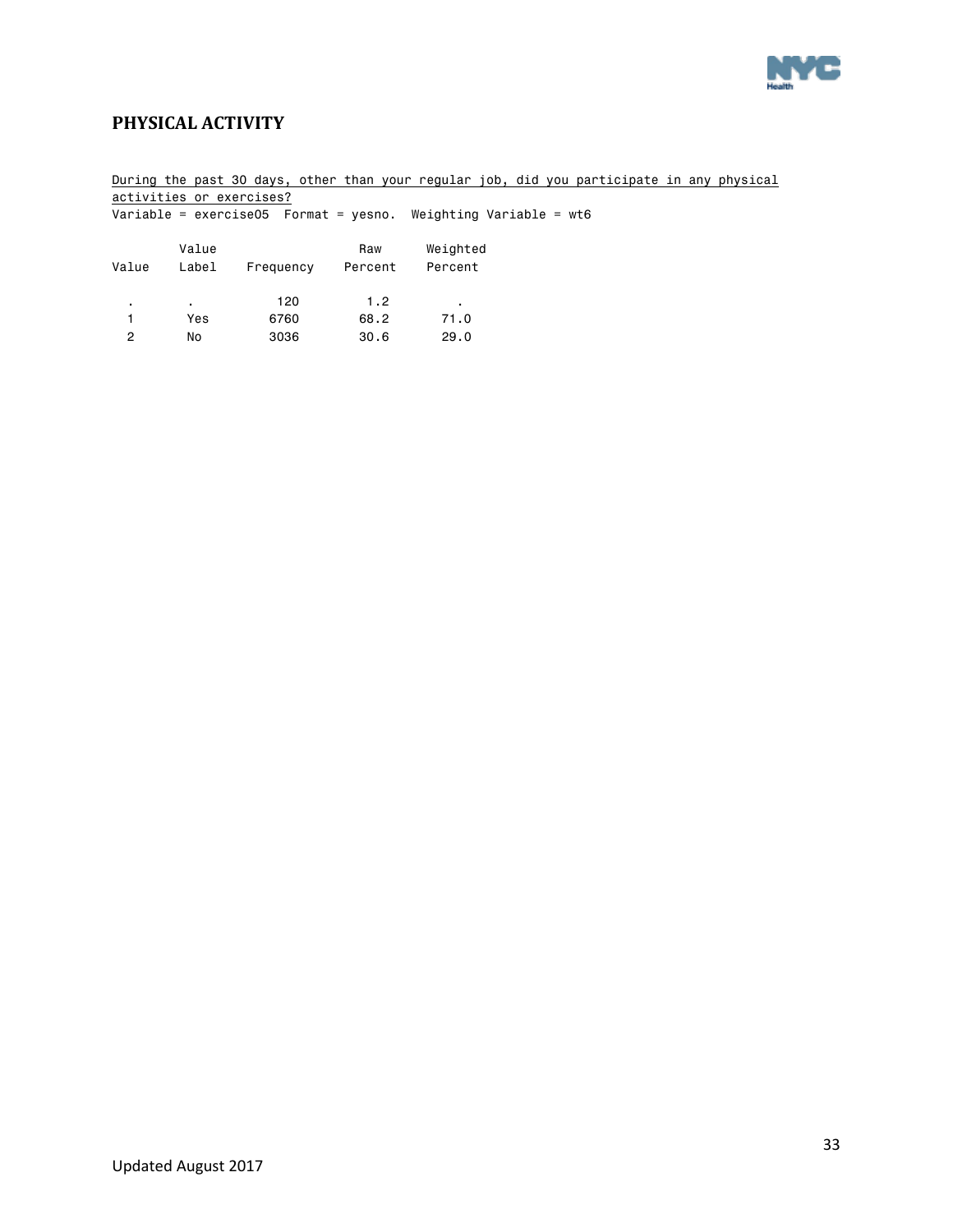

### <span id="page-32-0"></span>**PHYSICAL ACTIVITY**

|       | activities or exercises? |           |                | During the past 30 days, other than your reqular job, did you participate in any physical |  |
|-------|--------------------------|-----------|----------------|-------------------------------------------------------------------------------------------|--|
|       |                          |           |                | Variable = exercise05  Format = yesno. Weighting Variable = $wt6$                         |  |
| Value | Value<br>Label           | Frequency | Raw<br>Percent | Weighted<br>Percent                                                                       |  |
| ٠     | ٠.                       | 120       | 1.2            | $\blacksquare$                                                                            |  |
|       | Yes                      | 6760      | 68.2           | 71.0                                                                                      |  |
| 2     | No                       | 3036      | 30.6           | 29.0                                                                                      |  |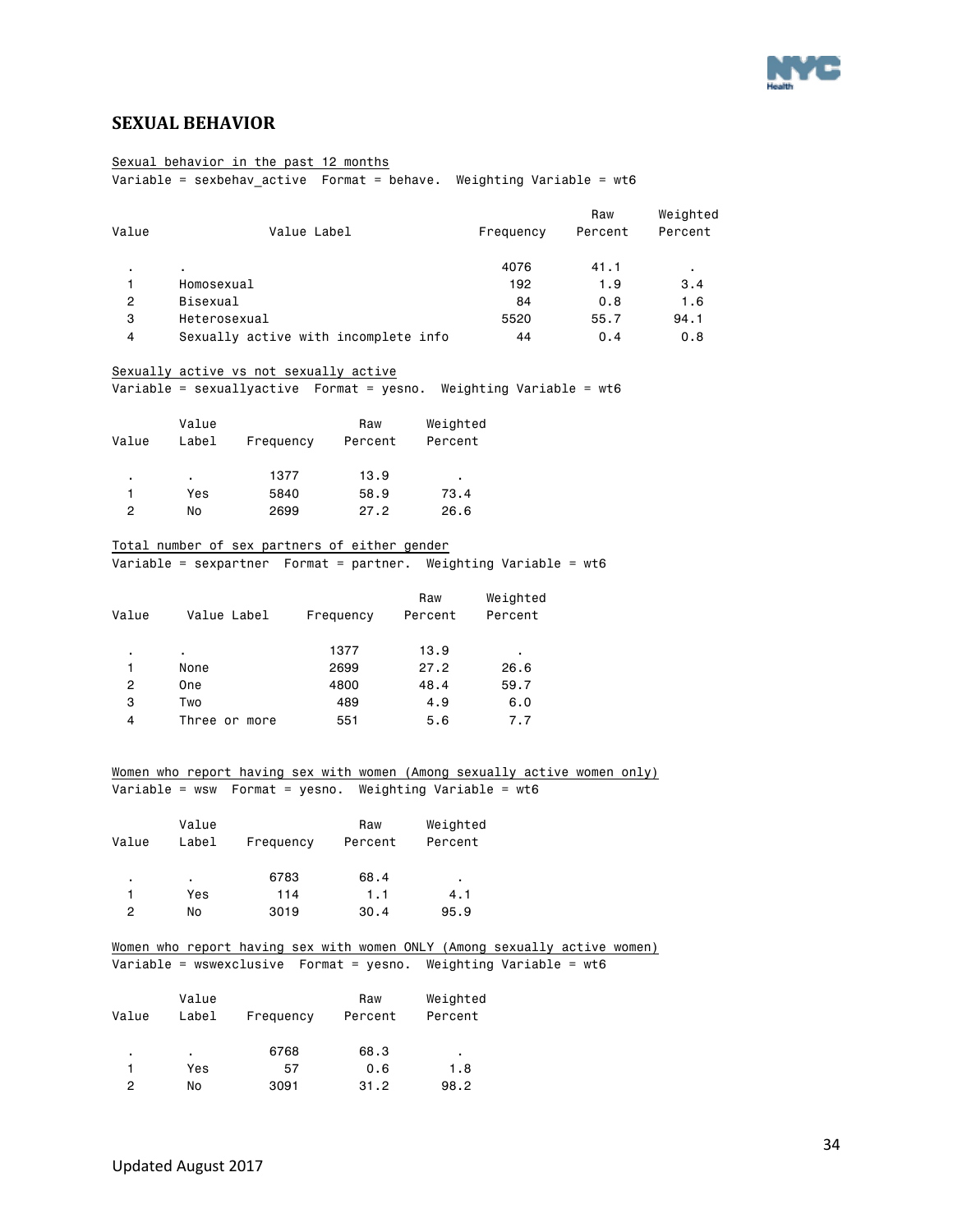

### <span id="page-33-0"></span>**SEXUAL BEHAVIOR**

### Sexual behavior in the past 12 months

 $\overline{\text{Variable}} = \text{sexbehav}_\text{active} + \overline{\text{Format}} = \text{behave}}.$  Weighting Variable = wt6

|       |                                      |           | Raw     | Weighted       |
|-------|--------------------------------------|-----------|---------|----------------|
| Value | Value Label                          | Frequency | Percent | Percent        |
|       | ٠                                    | 4076      | 41.1    | $\blacksquare$ |
|       | Homosexual                           | 192       | 1.9     | 3.4            |
| 2     | Bisexual                             | 84        | 0.8     | 1.6            |
| 3     | Heterosexual                         | 5520      | 55.7    | 94.1           |
| 4     | Sexually active with incomplete info | 44        | 0.4     | 0.8            |

#### Sexually active vs not sexually active

Variable = sexuallyactive Format = yesno. Weighting Variable = wt6

|       | Value |           | Raw     | Weighted |
|-------|-------|-----------|---------|----------|
| Value | Label | Frequency | Percent | Percent  |
|       |       |           |         |          |
| ٠     | ٠     | 1377      | 13.9    | ٠        |
|       | Yes   | 5840      | 58.9    | 73.4     |
| 2     | No    | 2699      | 27.2    | 26.6     |

#### Total number of sex partners of either gender

Variable = sexpartner Format = partner. Weighting Variable = wt6

| Value | Value Label   | Frequency | Raw<br>Percent | Weighted<br>Percent |
|-------|---------------|-----------|----------------|---------------------|
| ٠     | ٠             | 1377      | 13.9           | ٠                   |
| 1     | None          | 2699      | 27.2           | 26.6                |
| 2     | One           | 4800      | 48.4           | 59.7                |
| 3     | Two           | 489       | 4.9            | 6.0                 |
| 4     | Three or more | 551       | 5.6            | 7.7                 |
|       |               |           |                |                     |

Women who report having sex with women (Among sexually active women only) Variable = wsw Format = yesno. Weighting Variable = wt6

| Value | Value<br>Label | Frequency | Raw<br>Percent | Weighted<br>Percent |
|-------|----------------|-----------|----------------|---------------------|
| ٠     | ٠              | 6783      | 68.4           | ٠                   |
|       | Yes            | 114       | 1.1            | 4.1                 |
| 2     | No             | 3019      | 30.4           | 95.9                |

#### Women who report having sex with women ONLY (Among sexually active women) Variable = wswexclusive Format = yesno. Weighting Variable = wt6

| Value | Value<br>Label | Frequency | Raw<br>Percent | Weighted<br>Percent |
|-------|----------------|-----------|----------------|---------------------|
| ٠     | ٠              | 6768      | 68.3           | ٠                   |
|       | Yes            | 57        | 0.6            | 1.8                 |
| 2     | No             | 3091      | 31.2           | 98.2                |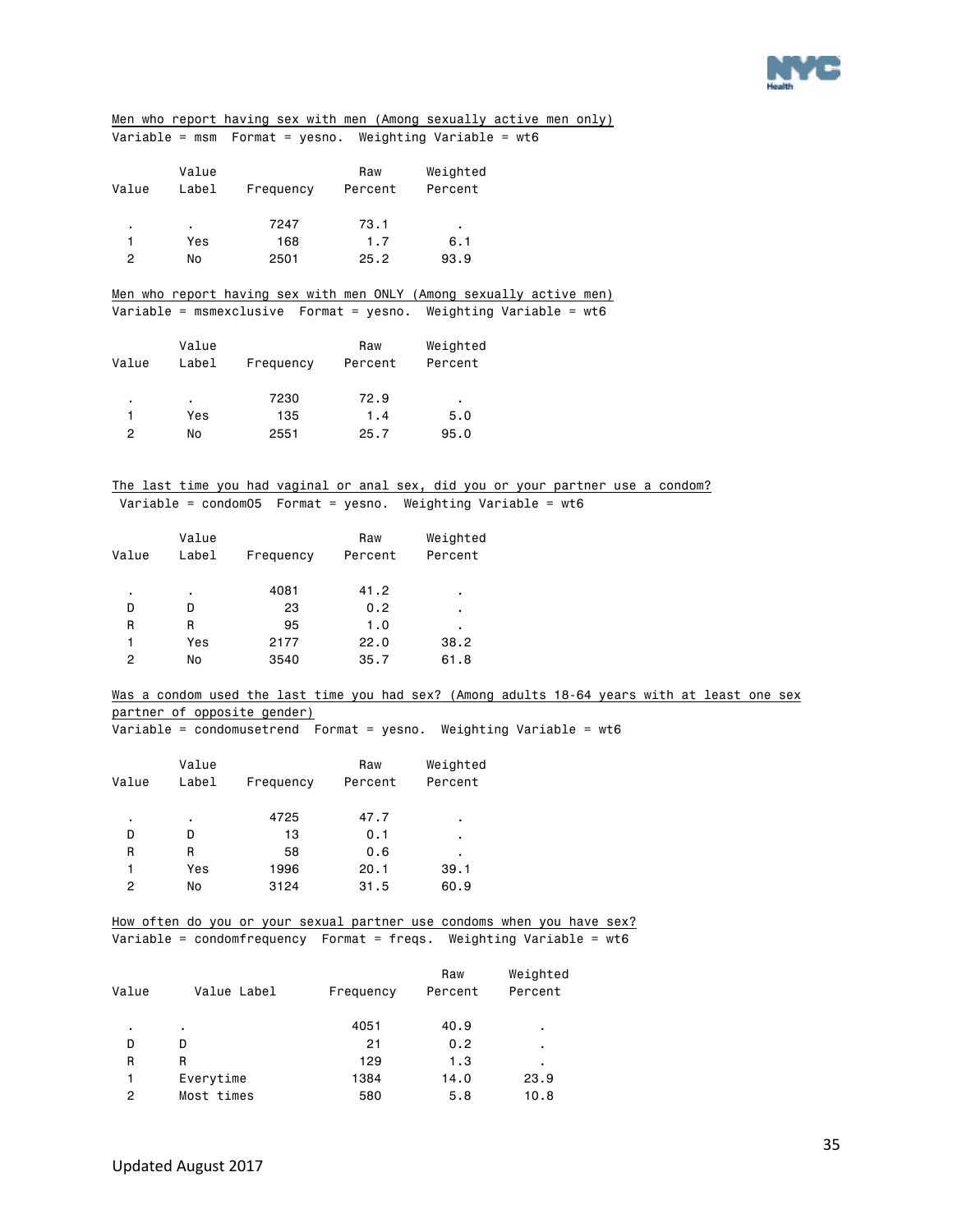

Men who report having sex with men (Among sexually active men only) Variable = msm Format = yesno. Weighting Variable = wt6

| Value | Value<br>Label | Frequency | Raw<br>Percent | Weighted<br>Percent |
|-------|----------------|-----------|----------------|---------------------|
| ٠     |                | 7247      | 73.1           | ٠.                  |
|       | Yes            | 168       | 1.7            | 6.1                 |
| 2     | No             | 2501      | 25.2           | 93.9                |

Men who report having sex with men ONLY (Among sexually active men) Variable = msmexclusive Format = yesno. Weighting Variable = wt6

| Value | Value<br>Label | Frequency | Raw<br>Percent | Weighted<br>Percent |
|-------|----------------|-----------|----------------|---------------------|
| ٠     | ٠.             | 7230      | 72.9           | ٠                   |
|       | Yes            | 135       | 1.4            | 5.0                 |
| 2     | No             | 2551      | 25.7           | 95.0                |

#### The last time you had vaginal or anal sex, did you or your partner use a condom? Variable = condom05 Format = yesno. Weighting Variable = wt6

| Value | Value<br>Label | Frequency | Raw<br>Percent | Weighted<br>Percent |
|-------|----------------|-----------|----------------|---------------------|
| ٠     | ٠              | 4081      | 41.2           | ٠                   |
| D     | D              | 23        | 0.2            | ٠                   |
| R     | R              | 95        | 1.0            | ٠                   |
| 1     | Yes            | 2177      | 22.0           | 38.2                |
| 2     | No             | 3540      | 35.7           | 61.8                |

Was a condom used the last time you had sex? (Among adults 18-64 years with at least one sex partner of opposite gender)

Variable = condomusetrend Format = yesno. Weighting Variable = wt6

| Value | Value<br>Label | Frequency | Raw<br>Percent | Weighted<br>Percent |
|-------|----------------|-----------|----------------|---------------------|
| ٠     | ٠              | 4725      | 47.7           | ٠                   |
| D     | D              | 13        | 0.1            | ٠                   |
| R     | R              | 58        | 0.6            | ٠                   |
| 1     | Yes            | 1996      | 20.1           | 39.1                |
| 2     | No             | 3124      | 31.5           | 60.9                |
|       |                |           |                |                     |

How often do you or your sexual partner use condoms when you have sex? Variable = condomfrequency Format = freqs. Weighting Variable = wt6

| Value | Value Label    | Frequency | Raw<br>Percent | Weighted<br>Percent |
|-------|----------------|-----------|----------------|---------------------|
| ٠     | $\blacksquare$ | 4051      | 40.9           | ٠                   |
| D     | D              | 21        | 0.2            | ٠                   |
| R     | R              | 129       | 1.3            | ٠                   |
| 1     | Everytime      | 1384      | 14.0           | 23.9                |
| 2     | Most times     | 580       | 5.8            | 10.8                |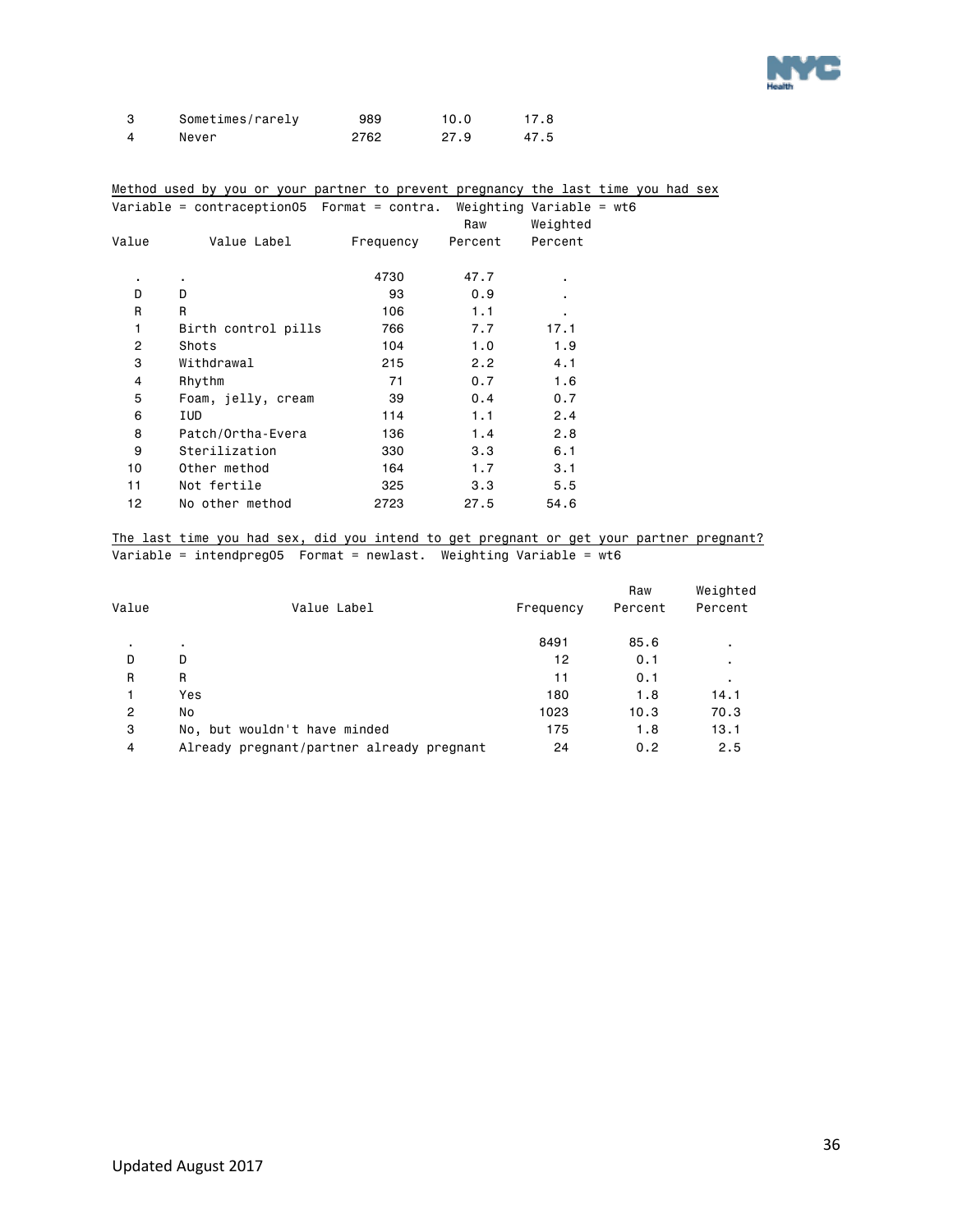

| Sometimes/rarely | 989  | 10.0 | 17.8 |
|------------------|------|------|------|
| Never            | 2762 | 27.9 | 47.5 |

#### Method used by you or your partner to prevent pregnancy the last time you had sex Variable = contraception05 Format = contra. Weighting Variable = wt6

|       | variable - contraceptioned fromate - contrat melghtling variable - wed |           |         |          |  |
|-------|------------------------------------------------------------------------|-----------|---------|----------|--|
|       |                                                                        |           | Raw     | Weighted |  |
| Value | Value Label                                                            | Frequency | Percent | Percent  |  |
|       |                                                                        |           |         |          |  |
| ٠.    | ٠                                                                      | 4730      | 47.7    | ٠        |  |
| D     | D                                                                      | 93        | 0.9     |          |  |
| R     | R                                                                      | 106       | 1.1     | ٠        |  |
| 1     | Birth control pills                                                    | 766       | 7.7     | 17.1     |  |
| 2     | Shots                                                                  | 104       | 1.0     | 1.9      |  |
| 3     | Withdrawal                                                             | 215       | 2.2     | 4.1      |  |
| 4     | Rhythm                                                                 | 71        | 0.7     | 1.6      |  |
| 5     | Foam, jelly, cream                                                     | 39        | 0.4     | 0.7      |  |
| 6     | IUD                                                                    | 114       | 1.1     | 2.4      |  |
| 8     | Patch/Ortha-Evera                                                      | 136       | 1.4     | 2.8      |  |
| 9     | Sterilization                                                          | 330       | 3.3     | 6.1      |  |
| 10    | Other method                                                           | 164       | 1.7     | 3.1      |  |
| 11    | Not fertile                                                            | 325       | 3.3     | 5.5      |  |
| 12    | No other method                                                        | 2723      | 27.5    | 54.6     |  |
|       |                                                                        |           |         |          |  |

The last time you had sex, did you intend to get pregnant or get your partner pregnant? Variable = intendpreg05 Format = newlast. Weighting Variable = wt6

| Value | Value Label                               | Frequency | Raw<br>Percent | Weighted<br>Percent |
|-------|-------------------------------------------|-----------|----------------|---------------------|
|       |                                           | 8491      | 85.6           | $\blacksquare$      |
| D     | D                                         | 12        | 0.1            |                     |
| R     | R                                         | 11        | 0.1            | ٠                   |
|       | Yes                                       | 180       | 1.8            | 14.1                |
| 2     | No                                        | 1023      | 10.3           | 70.3                |
| 3     | No, but wouldn't have minded              | 175       | 1.8            | 13.1                |
| 4     | Already pregnant/partner already pregnant | 24        | 0.2            | 2.5                 |
|       |                                           |           |                |                     |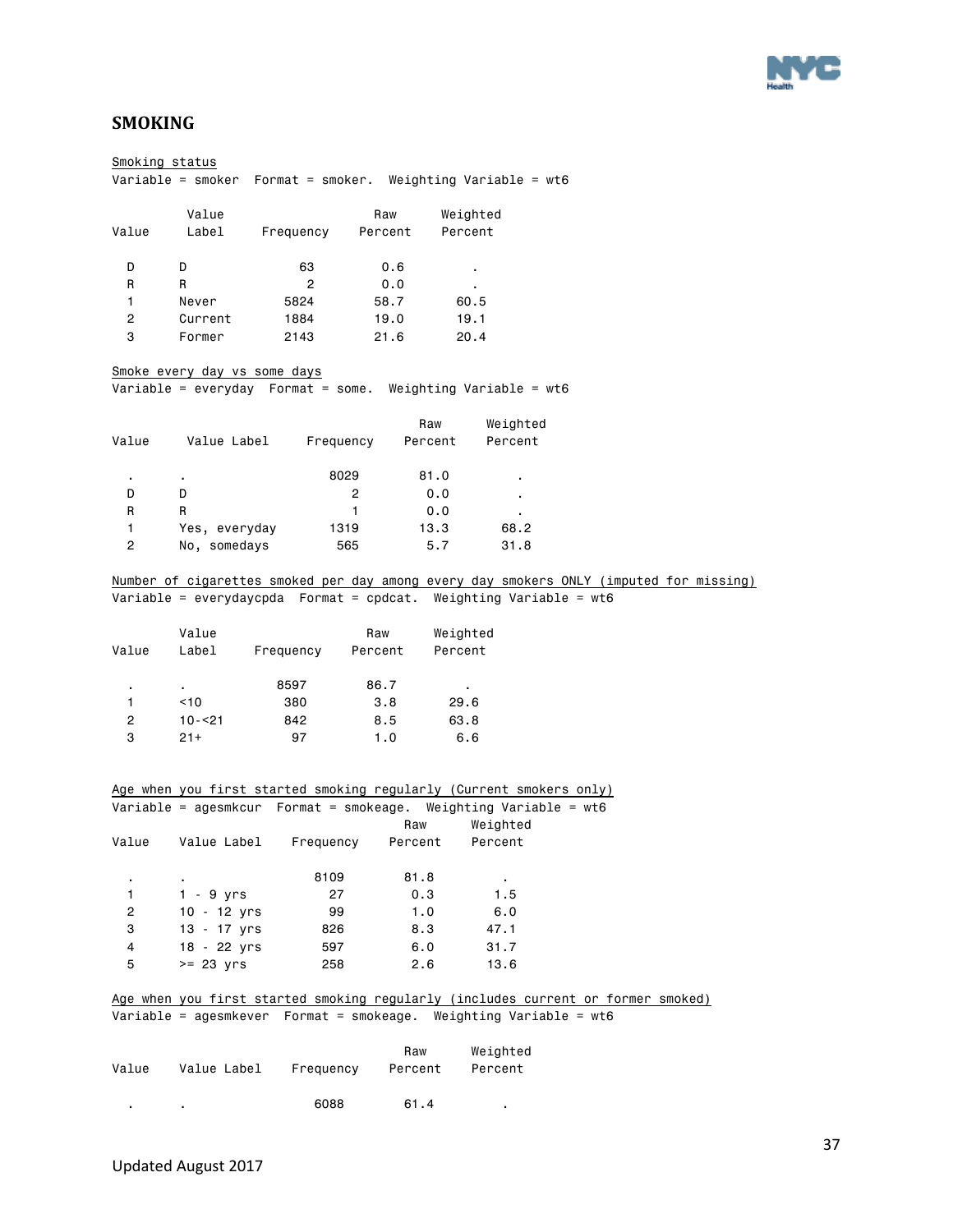

### <span id="page-36-0"></span>**SMOKING**

| Smoking status |                                                                                        |                                 |         |                |                |  |  |
|----------------|----------------------------------------------------------------------------------------|---------------------------------|---------|----------------|----------------|--|--|
|                |                                                                                        |                                 |         |                |                |  |  |
|                | Value                                                                                  |                                 | Raw     | Weighted       |                |  |  |
| Value          |                                                                                        | Label Frequency Percent         |         | Percent        |                |  |  |
|                |                                                                                        |                                 |         |                |                |  |  |
| D              | D                                                                                      | 63                              | 0.6     | $\blacksquare$ |                |  |  |
| R              | R                                                                                      | $\mathbf{2}$                    | 0.0     |                |                |  |  |
| 1              | Never                                                                                  | 5824                            | 58.7    | 60.5           |                |  |  |
| $\overline{2}$ | Current                                                                                | 1884                            | 19.0    | 19.1           |                |  |  |
| 3              | Former                                                                                 | 2143                            | 21.6    | 20.4           |                |  |  |
|                | Smoke every day vs some days                                                           |                                 |         |                |                |  |  |
|                | Variable = everyday Format = some. Weighting Variable = wt6                            |                                 |         |                |                |  |  |
|                |                                                                                        |                                 |         |                |                |  |  |
|                |                                                                                        |                                 |         | Raw            | Weighted       |  |  |
| Value          | Value Label       Frequency      Percent                                               |                                 |         |                | Percent        |  |  |
|                |                                                                                        |                                 |         |                |                |  |  |
| $\blacksquare$ | $\sim$                                                                                 | 8029                            |         | 81.0           |                |  |  |
| D              | D                                                                                      | $\mathbf{2}^{\circ}$            |         | 0.0            |                |  |  |
| R              | R.                                                                                     | 1.                              |         | 0.0            | $\mathbf{r}$ . |  |  |
| 1              |                                                                                        |                                 |         | 13.3           | 68.2           |  |  |
| $\overline{2}$ | No, somedays                                                                           | 565                             |         | 5.7            | 31.8           |  |  |
|                | Number of cigarettes smoked per day among every day smokers ONLY (imputed for missing) |                                 |         |                |                |  |  |
|                | Variable = everydaycpda Format = cpdcat. Weighting Variable = wt6                      |                                 |         |                |                |  |  |
|                |                                                                                        |                                 |         |                |                |  |  |
|                | Value                                                                                  |                                 | Raw     | Weighted       |                |  |  |
| Value          |                                                                                        | Label Frequency Percent Percent |         |                |                |  |  |
|                |                                                                                        |                                 |         |                |                |  |  |
| $\blacksquare$ | $\mathbf{r} = \mathbf{r}$ .                                                            | 8597                            | 86.7    | $\mathbf{r}$   |                |  |  |
| 1              | $<$ 10 $-$                                                                             | 380                             | 3.8     | 29.6           |                |  |  |
| $\overline{c}$ | 10-<21                                                                                 | 842                             | 8.5     | 63.8           |                |  |  |
| 3              | $21+$                                                                                  | 97                              | 1.0     | 6.6            |                |  |  |
|                |                                                                                        |                                 |         |                |                |  |  |
|                |                                                                                        |                                 |         |                |                |  |  |
|                | Age when you first started smoking regularly (Current smokers only)                    |                                 |         |                |                |  |  |
|                | Variable = agesmkcur Format = smokeage. Weighting Variable = wt6                       |                                 |         |                |                |  |  |
|                |                                                                                        |                                 | Raw     |                | Weighted       |  |  |
|                | Value Value Label Frequency Percent Percent                                            |                                 |         |                |                |  |  |
|                |                                                                                        |                                 |         |                |                |  |  |
|                |                                                                                        | 8109                            | 81.8    |                | $\mathbf{r}$   |  |  |
| 1              | $1 - 9$ yrs                                                                            | 27                              | 0.3     |                | 1.5            |  |  |
| $\overline{c}$ | $10 - 12$ yrs                                                                          | 99                              | 1.0     |                | 6.0            |  |  |
| 3              | 13 - 17 yrs                                                                            | 826                             | 8.3     |                | 47.1           |  |  |
| 4<br>5         | 18 - 22 yrs                                                                            | 597                             | 6.0     |                | 31.7           |  |  |
|                | $>= 23$ yrs                                                                            | 258                             | 2.6     |                | 13.6           |  |  |
|                | Age when you first started smoking regularly (includes current or former smoked)       |                                 |         |                |                |  |  |
|                | Variable = agesmkever Format = smokeage. Weighting Variable = wt6                      |                                 |         |                |                |  |  |
|                |                                                                                        |                                 |         |                |                |  |  |
|                |                                                                                        |                                 | Raw     |                | Weighted       |  |  |
| Value          | Value Label                                                                            | Frequency                       | Percent |                | Percent        |  |  |
|                |                                                                                        |                                 |         |                |                |  |  |

. . 6088 61.4 .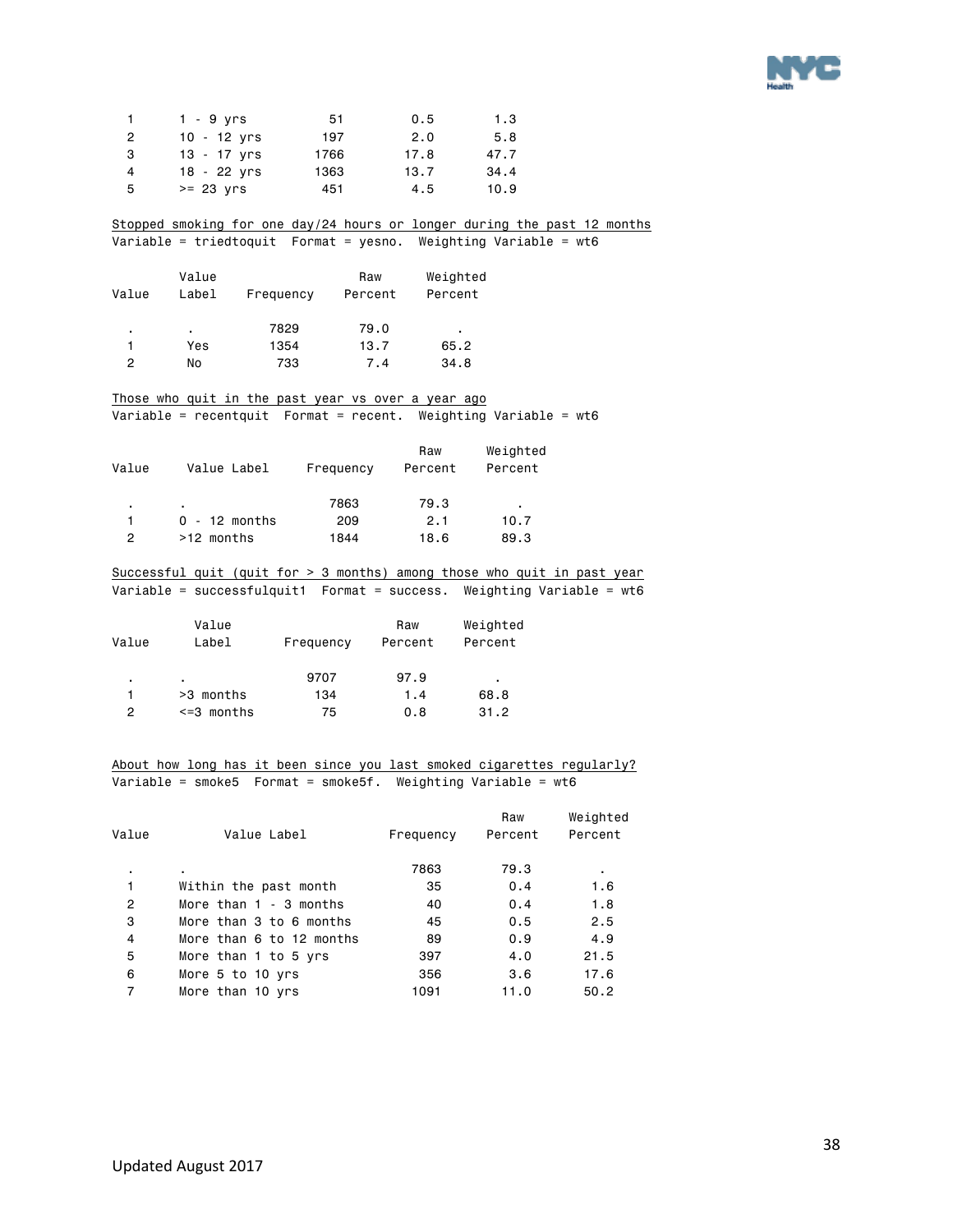

|                | $1 - 9$ yrs   | 51   | 0.5  | 1.3  |
|----------------|---------------|------|------|------|
| $\overline{2}$ | $10 - 12$ yrs | 197  | 2.0  | 5.8  |
| 3              | $13 - 17$ yrs | 1766 | 17.8 | 47.7 |
| 4              | $18 - 22$ yrs | 1363 | 13.7 | 34.4 |
| 5              | $>= 23$ $Vrs$ | 451  | 4.5  | 10.9 |

#### Stopped smoking for one day/24 hours or longer during the past 12 months Variable = triedtoquit Format = yesno. Weighting Variable = wt6

| Value | Value<br>Label | Frequency | Raw<br>Percent | Weighted<br>Percent |
|-------|----------------|-----------|----------------|---------------------|
| ٠     | ٠              | 7829      | 79.0           | ٠                   |
|       | Yes            | 1354      | 13.7           | 65.2                |
| 2     | No             | 733       | 7.4            | 34.8                |

### Those who quit in the past year vs over a year ago

Variable = recentquit Format = recent. Weighting Variable = wt6

| Value | Value Label     | Frequency | Raw<br>Percent | Weighted<br>Percent |
|-------|-----------------|-----------|----------------|---------------------|
| ٠.    |                 | 7863      | 79.3           | $\blacksquare$      |
|       | $0 - 12$ months | 209       | 2.1            | 10.7                |
| 2     | >12 months      | 1844      | 18.6           | 89.3                |

### Successful quit (quit for > 3 months) among those who quit in past year  $Variable = successfulquit1$  Format = success. Weighting Variable = wt6

| Value | Value<br>Label  | Frequency | Raw<br>Percent | Weighted<br>Percent |
|-------|-----------------|-----------|----------------|---------------------|
| ٠     | $\blacksquare$  | 9707      | 97.9           | ٠                   |
|       | >3 months       | 134       | 1.4            | 68.8                |
| 2     | $\leq$ 3 months | 75        | 0.8            | 31.2                |

#### About how long has it been since you last smoked cigarettes regularly? Variable = smoke5 Format = smoke5f. Weighting Variable = wt6

| Value | Value Label              | Frequency | Raw<br>Percent | Weighted<br>Percent |
|-------|--------------------------|-----------|----------------|---------------------|
| ٠     | ٠.                       | 7863      | 79.3           | ٠                   |
| 1     | Within the past month    | 35        | 0.4            | 1.6                 |
| 2     | More than $1 - 3$ months | 40        | 0.4            | 1.8                 |
| 3     | More than 3 to 6 months  | 45        | 0.5            | 2.5                 |
| 4     | More than 6 to 12 months | 89        | 0.9            | 4.9                 |
| 5     | More than 1 to 5 yrs     | 397       | 4.0            | 21.5                |
| 6     | More 5 to 10 yrs         | 356       | 3.6            | 17.6                |
| 7     | More than 10 yrs         | 1091      | 11.0           | 50.2                |
|       |                          |           |                |                     |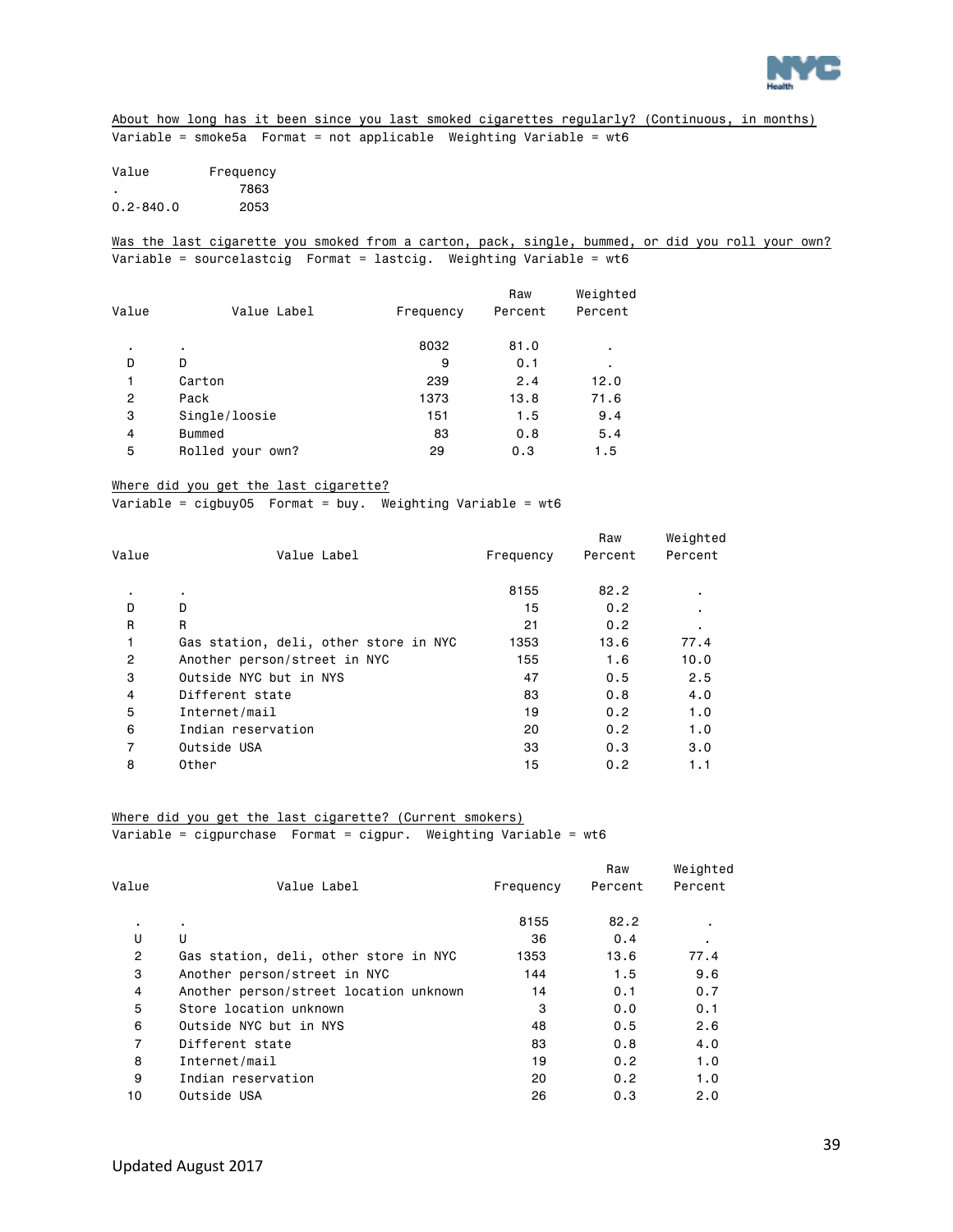

About how long has it been since you last smoked cigarettes regularly? (Continuous, in months) Variable = smoke5a Format = not applicable Weighting Variable = wt6

| Value         | Frequency |
|---------------|-----------|
|               | 7863      |
| $0.2 - 840.0$ | 2053      |

Was the last cigarette you smoked from a carton, pack, single, bummed, or did you roll your own? Variable = sourcelastcig Format = lastcig. Weighting Variable = wt6

| Value | Value Label      |           | Raw<br>Percent | Weighted<br>Percent |
|-------|------------------|-----------|----------------|---------------------|
|       |                  | Frequency |                |                     |
| ٠     | ٠                | 8032      | 81.0           | ٠                   |
| D     | D                | 9         | 0.1            | ٠                   |
|       | Carton           | 239       | 2.4            | 12.0                |
| 2     | Pack             | 1373      | 13.8           | 71.6                |
| 3     | Single/loosie    | 151       | 1.5            | 9.4                 |
| 4     | <b>Bummed</b>    | 83        | 0.8            | 5.4                 |
| 5     | Rolled your own? | 29        | 0.3            | 1.5                 |

#### Where did you get the last cigarette?

Variable = cigbuy05 Format = buy. Weighting Variable = wt6

| Value          | Value Label                           | Frequency | Raw<br>Percent | Weighted<br>Percent |
|----------------|---------------------------------------|-----------|----------------|---------------------|
|                |                                       |           |                |                     |
| ٠.             |                                       | 8155      | 82.2           | ٠.                  |
| D              | D                                     | 15        | 0.2            | ٠                   |
| R              | R                                     | 21        | 0.2            | ٠.                  |
| 1              | Gas station, deli, other store in NYC | 1353      | 13.6           | 77.4                |
| $\overline{2}$ | Another person/street in NYC          | 155       | 1.6            | 10.0                |
| 3              | Outside NYC but in NYS                | 47        | 0.5            | 2.5                 |
| 4              | Different state                       | 83        | 0.8            | 4.0                 |
| 5              | Internet/mail                         | 19        | 0.2            | 1.0                 |
| 6              | Indian reservation                    | 20        | 0.2            | 1.0                 |
| 7              | Outside USA                           | 33        | 0.3            | 3.0                 |
| 8              | Other                                 | 15        | 0.2            | 1.1                 |

Where did you get the last cigarette? (Current smokers)

Variable = cigpurchase Format = cigpur. Weighting Variable = wt6

|                |                                        |           | Raw     | Weighted |
|----------------|----------------------------------------|-----------|---------|----------|
| Value          | Value Label                            | Frequency | Percent | Percent  |
| ٠.             | ٠.                                     | 8155      | 82.2    |          |
| U              | U                                      | 36        | 0.4     | ٠.       |
| $\overline{2}$ | Gas station, deli, other store in NYC  | 1353      | 13.6    | 77.4     |
| 3              | Another person/street in NYC           | 144       | 1.5     | 9.6      |
| 4              | Another person/street location unknown | 14        | 0.1     | 0.7      |
| 5              | Store location unknown                 | 3         | 0.0     | 0.1      |
| 6              | Outside NYC but in NYS                 | 48        | 0.5     | 2.6      |
| $\overline{7}$ | Different state                        | 83        | 0.8     | 4.0      |
| 8              | Internet/mail                          | 19        | 0.2     | 1.0      |
| 9              | Indian reservation                     | 20        | 0.2     | 1.0      |
| 10             | Outside USA                            | 26        | 0.3     | 2.0      |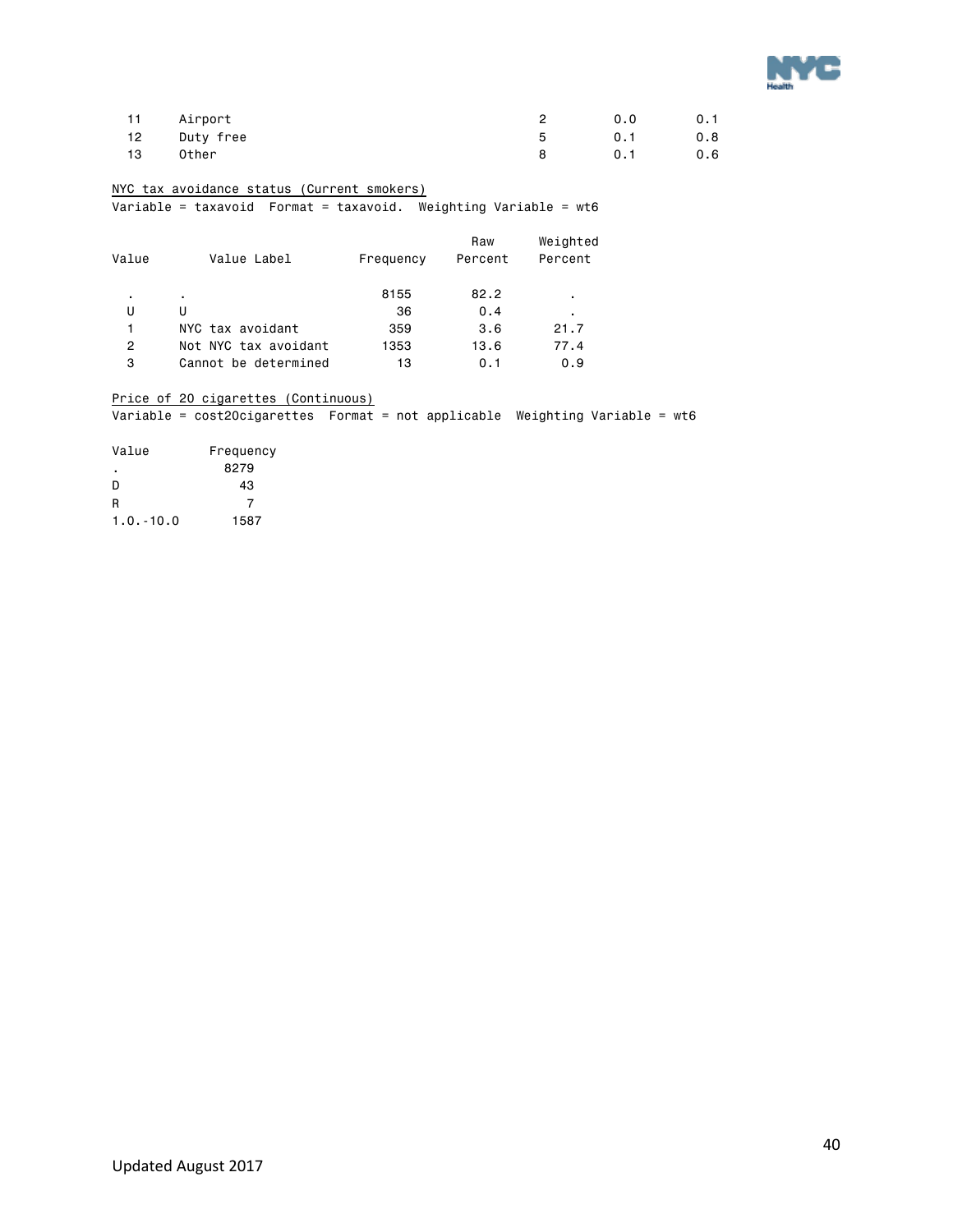

|    | 11 Airport   | 0.0 |     |
|----|--------------|-----|-----|
|    | 12 Duty free | 0.1 | 0.8 |
| 13 | Other        | 0.1 | 0.6 |

### NYC tax avoidance status (Current smokers)

Variable = taxavoid Format = taxavoid. Weighting Variable = wt6

| Value | Value Label          | Frequency | Raw<br>Percent | Weighted<br>Percent |
|-------|----------------------|-----------|----------------|---------------------|
| ٠     | ٠                    | 8155      | 82.2           | ٠                   |
| U     | U                    | 36        | 0.4            | ٠                   |
| 1     | NYC tax avoidant     | 359       | 3.6            | 21.7                |
| 2     | Not NYC tax avoidant | 1353      | 13.6           | 77.4                |
| 3     | Cannot be determined | 13        | 0.1            | 0.9                 |

### Price of 20 cigarettes (Continuous)

Variable = cost20cigarettes Format = not applicable Weighting Variable = wt6

| Value        | Frequency |
|--------------|-----------|
|              | 8279      |
| D            | 43        |
| R            | 7         |
| $1.0 - 10.0$ | 1587      |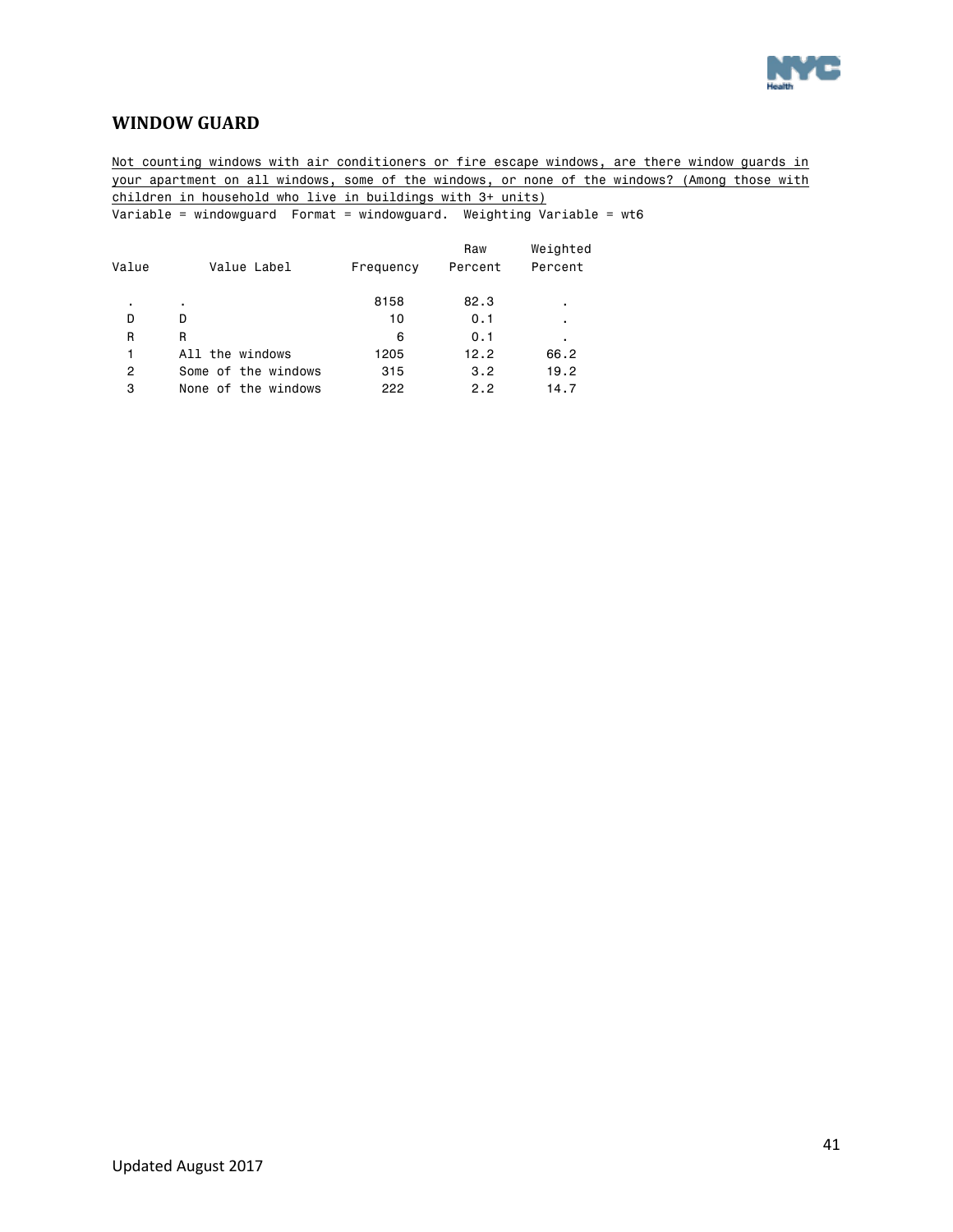

### <span id="page-40-0"></span>**WINDOW GUARD**

Not counting windows with air conditioners or fire escape windows, are there window guards in your apartment on all windows, some of the windows, or none of the windows? (Among those with children in household who live in buildings with 3+ units) Variable = windowguard Format = windowguard. Weighting Variable = wt6

 Raw Weighted Value Value Label Frequency Percent Percent . . 8158 82.3 . D D 10 0.1 . R R 6 0.1 . 1 All the windows 1205 12.2 66.2 2 Some of the windows 315 3.2 19.2 3 None of the windows 222 2.2 14.7